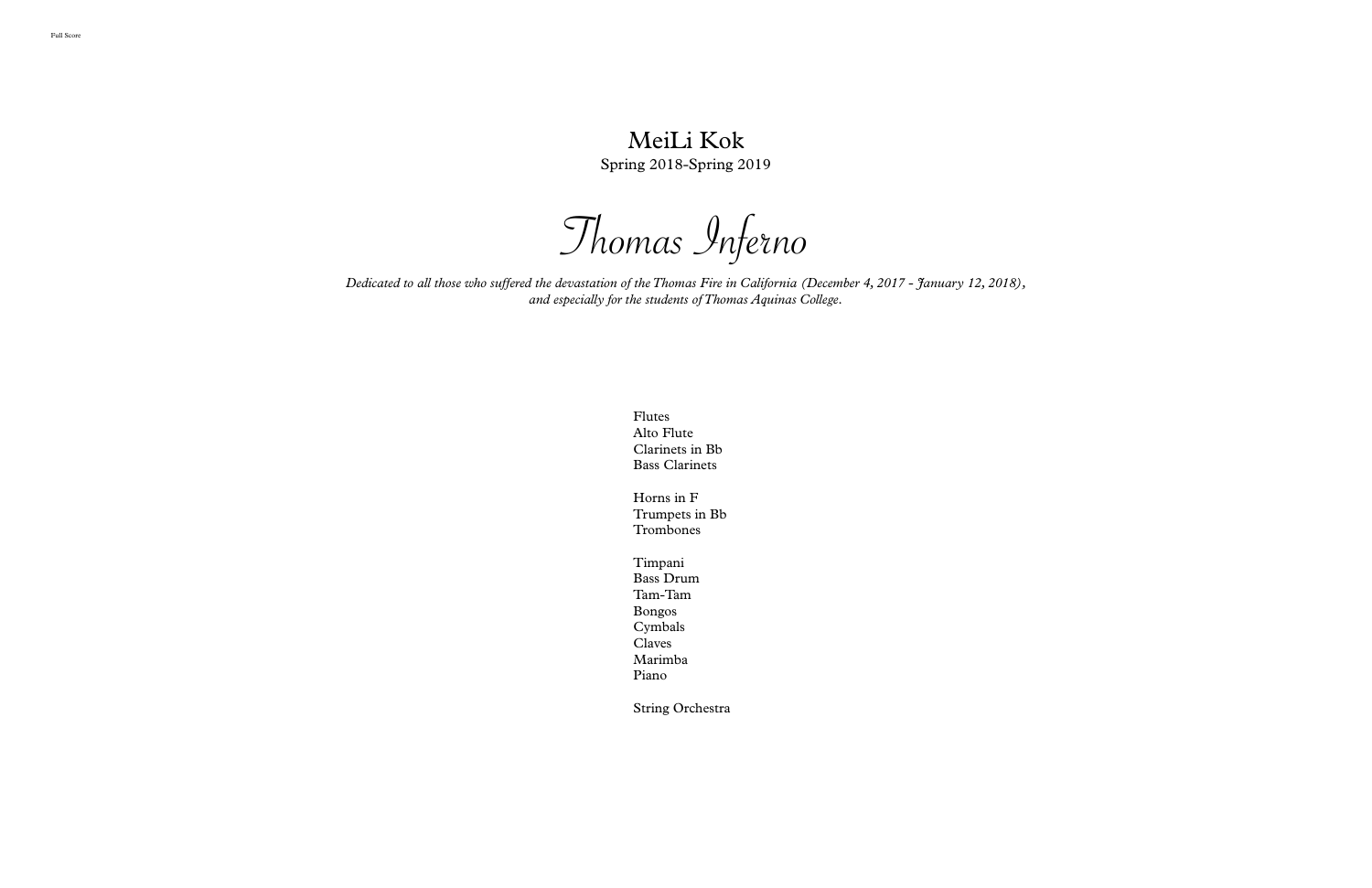Thomas Inferno

## MeiLi Kok

Spring 2018-Spring 2019

Flutes Alto Flute Clarinets in Bb Bass Clarinets

Horns in F Trumpets in Bb Trombones

Timpani Bass Drum Tam-Tam Bongos Cymbals Claves Marimba Piano

Dedicated to all those who suffered the devastation of the Thomas Fire in California (December 4, 2017 - January 12, 2018), *and especially for the students ofThomas Aquinas College.*

String Orchestra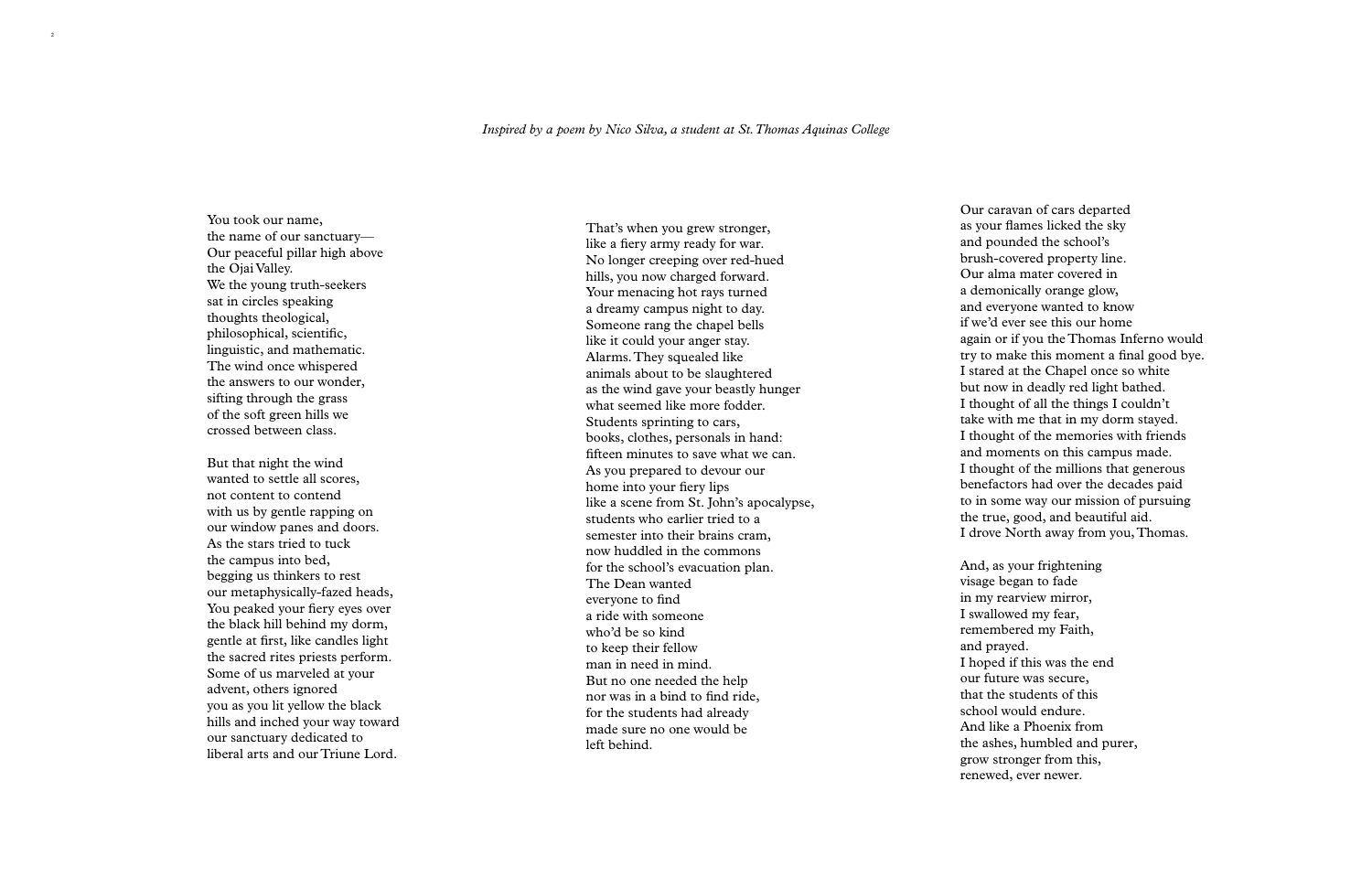You took our name, the name of our sanctuary— Our peaceful pillar high above the Ojai Valley. We the young truth-seekers sat in circles speaking thoughts theological, philosophical, scientific, linguistic, and mathematic. The wind once whispered the answers to our wonder, sifting through the grass of the soft green hills we crossed between class.

2

But that night the wind wanted to settle all scores, not content to contend with us by gentle rapping on our window panes and doors. As the stars tried to tuck the campus into bed, begging us thinkers to rest our metaphysically-fazed heads, You peaked your fiery eyes over the black hill behind my dorm, gentle at first, like candles light the sacred rites priests perform. Some of us marveled at your advent, others ignored you as you lit yellow the black hills and inched your way toward our sanctuary dedicated to liberal arts and our Triune Lord.

That's when you grew stronger, like a fiery army ready for war. No longer creeping over red-hued hills, you now charged forward. Your menacing hot rays turned a dreamy campus night to day. Someone rang the chapel bells like it could your anger stay. Alarms. They squealed like animals about to be slaughtered as the wind gave your beastly hunger what seemed like more fodder. Students sprinting to cars, books, clothes, personals in hand: fifteen minutes to save what we can. As you prepared to devour our home into your fiery lips like a scene from St. John's apocalypse, students who earlier tried to a semester into their brains cram, now huddled in the commons for the school's evacuation plan. The Dean wanted everyone to find a ride with someone who'd be so kind to keep their fellow man in need in mind. But no one needed the help nor was in a bind to find ride, for the students had already made sure no one would be left behind.

and prayed.

Our caravan of cars departed as your flames licked the sky and pounded the school's brush-covered property line. Our alma mater covered in a demonically orange glow, and everyone wanted to know if we'd ever see this our home again or if you the Thomas Inferno would try to make this moment a final good bye. I stared at the Chapel once so white but now in deadly red light bathed. I thought of all the things I couldn't take with me that in my dorm stayed. I thought of the memories with friends and moments on this campus made. I thought of the millions that generous benefactors had over the decades paid to in some way our mission of pursuing the true, good, and beautiful aid. I drove North away from you, Thomas.

And, as your frightening visage began to fade in my rearview mirror, I swallowed my fear, remembered my Faith, I hoped if this was the end our future was secure, that the students of this school would endure. And like a Phoenix from the ashes, humbled and purer, g r o w s t r o n g e r fr o m t h i s , renewed, ever newer.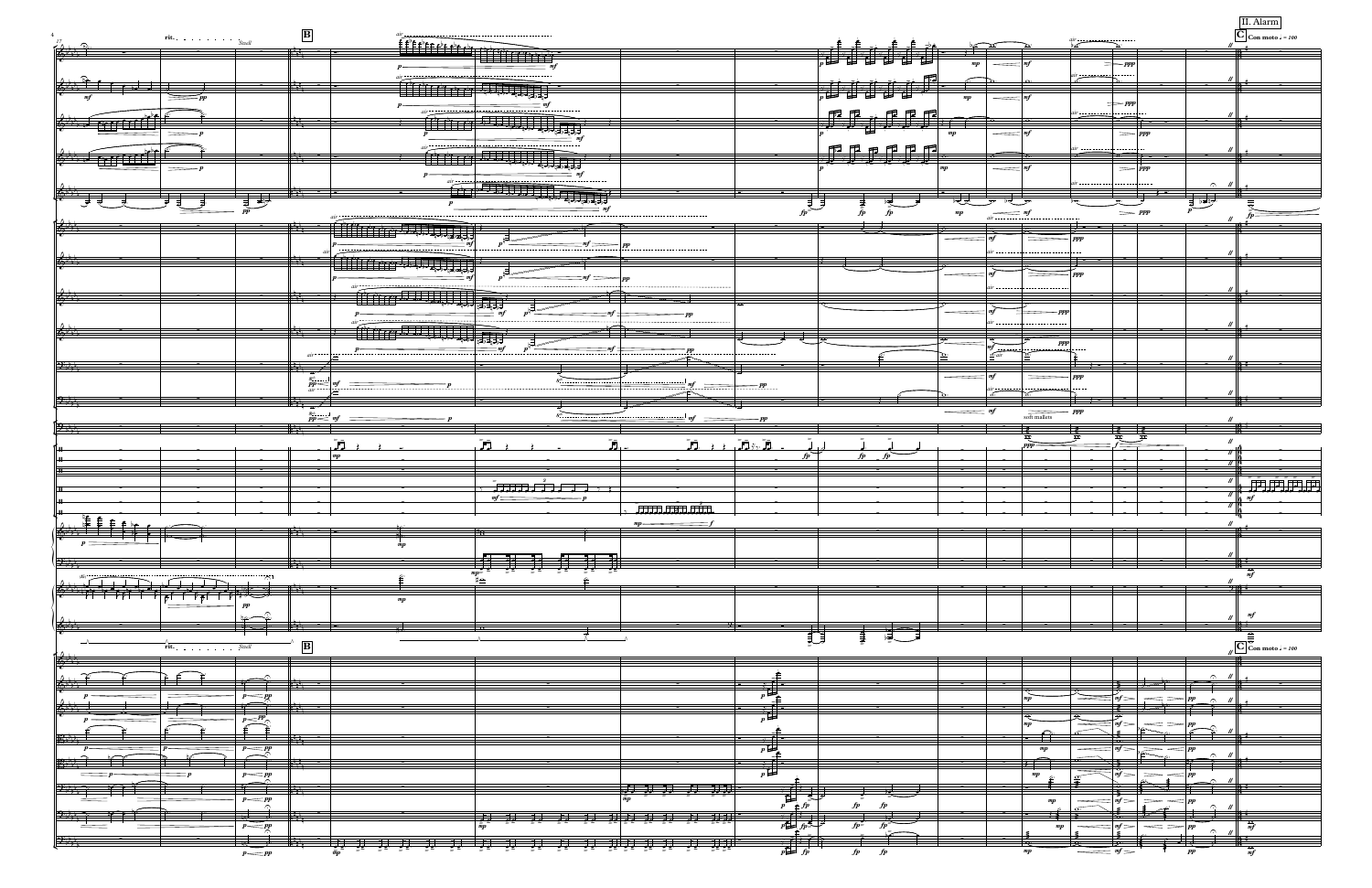|                                                      | rit.                                                                                                                                                                                                                                                                                                                                                                                                 |                                  | $\boxed{\mathbf{B}}$                                                                                                                                                                                                                                                                                                                                                                                                                                          |                                                                                                                                                                                                                                                                                                                                                                                                                                                             |                                                                     |                                                                                                                                                       |                                      |                                |                                                                                     |                          |                                      | $\boxed{\textbf{C}}$ Con moto $l = 100$                                                                       |
|------------------------------------------------------|------------------------------------------------------------------------------------------------------------------------------------------------------------------------------------------------------------------------------------------------------------------------------------------------------------------------------------------------------------------------------------------------------|----------------------------------|---------------------------------------------------------------------------------------------------------------------------------------------------------------------------------------------------------------------------------------------------------------------------------------------------------------------------------------------------------------------------------------------------------------------------------------------------------------|-------------------------------------------------------------------------------------------------------------------------------------------------------------------------------------------------------------------------------------------------------------------------------------------------------------------------------------------------------------------------------------------------------------------------------------------------------------|---------------------------------------------------------------------|-------------------------------------------------------------------------------------------------------------------------------------------------------|--------------------------------------|--------------------------------|-------------------------------------------------------------------------------------|--------------------------|--------------------------------------|---------------------------------------------------------------------------------------------------------------|
| $8 + 1$                                              |                                                                                                                                                                                                                                                                                                                                                                                                      | Swell                            | $\mathbb{N}$ , $\mathbb{N}$                                                                                                                                                                                                                                                                                                                                                                                                                                   |                                                                                                                                                                                                                                                                                                                                                                                                                                                             |                                                                     |                                                                                                                                                       |                                      |                                |                                                                                     |                          |                                      |                                                                                                               |
|                                                      |                                                                                                                                                                                                                                                                                                                                                                                                      |                                  |                                                                                                                                                                                                                                                                                                                                                                                                                                                               |                                                                                                                                                                                                                                                                                                                                                                                                                                                             |                                                                     | $\mathbb{E}\left[\left[\mathcal{V}_{\sigma}\right]\right]\mathbb{V}_{\sigma}\left[\left[\mathcal{V}_{\sigma}\right]\right]\mathbb{V}_{\sigma}\right]$ | mp                                   |                                | $\Rightarrow$ ppp                                                                   |                          |                                      |                                                                                                               |
|                                                      |                                                                                                                                                                                                                                                                                                                                                                                                      |                                  |                                                                                                                                                                                                                                                                                                                                                                                                                                                               |                                                                                                                                                                                                                                                                                                                                                                                                                                                             |                                                                     |                                                                                                                                                       |                                      |                                |                                                                                     |                          |                                      |                                                                                                               |
| 6.17                                                 | $\overline{f}$ , $\overline{f}$                                                                                                                                                                                                                                                                                                                                                                      |                                  | $\frac{1}{2} \sqrt{\frac{1}{2} \left( \frac{1}{2} \left( \frac{1}{2} \left( \frac{1}{2} \left( \frac{1}{2} \left( \frac{1}{2} \left( \frac{1}{2} \right) - \frac{1}{2} \left( \frac{1}{2} \right) \right) \right) + \frac{1}{2} \left( \frac{1}{2} \left( \frac{1}{2} \left( \frac{1}{2} \right) - \frac{1}{2} \left( \frac{1}{2} \right) \right) \right) + \frac{1}{2} \left( \frac{1}{2} \left( \frac{1}{2} \left( \frac{1}{2} \left( \frac{1}{$<br>والوالة |                                                                                                                                                                                                                                                                                                                                                                                                                                                             |                                                                     | $\vec{y}$ , $\vec{f}$ , $\vec{f}$ , $\vec{f}$ , $\vec{f}$ , $\vec{f}$ , $\vec{f}$ , $\vec{f}$ , $\vec{f}$                                             |                                      |                                |                                                                                     |                          |                                      |                                                                                                               |
|                                                      | - pp                                                                                                                                                                                                                                                                                                                                                                                                 |                                  |                                                                                                                                                                                                                                                                                                                                                                                                                                                               |                                                                                                                                                                                                                                                                                                                                                                                                                                                             |                                                                     |                                                                                                                                                       | $\mathfrak{m}p$                      | $\frac{1}{2}$ mf               | $\neq_{\it PPP}$                                                                    |                          |                                      |                                                                                                               |
|                                                      |                                                                                                                                                                                                                                                                                                                                                                                                      |                                  |                                                                                                                                                                                                                                                                                                                                                                                                                                                               |                                                                                                                                                                                                                                                                                                                                                                                                                                                             |                                                                     | 戶<br>厚                                                                                                                                                |                                      |                                |                                                                                     |                          |                                      |                                                                                                               |
|                                                      | $633.2$ report of                                                                                                                                                                                                                                                                                                                                                                                    |                                  | ËŤ,                                                                                                                                                                                                                                                                                                                                                                                                                                                           |                                                                                                                                                                                                                                                                                                                                                                                                                                                             |                                                                     | نور کو                                                                                                                                                |                                      |                                |                                                                                     |                          |                                      |                                                                                                               |
|                                                      |                                                                                                                                                                                                                                                                                                                                                                                                      |                                  |                                                                                                                                                                                                                                                                                                                                                                                                                                                               | mf                                                                                                                                                                                                                                                                                                                                                                                                                                                          |                                                                     |                                                                                                                                                       | mp                                   | $=$ mf                         | $=$ $ppp$                                                                           |                          |                                      |                                                                                                               |
|                                                      |                                                                                                                                                                                                                                                                                                                                                                                                      |                                  |                                                                                                                                                                                                                                                                                                                                                                                                                                                               | --------------------                                                                                                                                                                                                                                                                                                                                                                                                                                        |                                                                     | $F_{2}$<br>臣<br>币币<br>币.                                                                                                                              |                                      |                                |                                                                                     |                          |                                      |                                                                                                               |
|                                                      | $\frac{1}{2}$                                                                                                                                                                                                                                                                                                                                                                                        |                                  | والزالة                                                                                                                                                                                                                                                                                                                                                                                                                                                       | $\frac{1}{\sqrt{2}}\left[\frac{1}{\sqrt{2}}\left(\frac{1}{\sqrt{2}}\left(\frac{1}{\sqrt{2}}\right)^2+\frac{1}{\sqrt{2}}\left(\frac{1}{\sqrt{2}}\right)^2+\frac{1}{\sqrt{2}}\left(\frac{1}{\sqrt{2}}\right)^2+\frac{1}{\sqrt{2}}\left(\frac{1}{\sqrt{2}}\right)^2+\frac{1}{\sqrt{2}}\left(\frac{1}{\sqrt{2}}\right)^2+\frac{1}{\sqrt{2}}\left(\frac{1}{\sqrt{2}}\right)^2+\frac{1}{\sqrt{2}}\left(\frac{1}{\sqrt{2}}\right)^2+\frac{1}{\sqrt{2}}\left(\frac$ |                                                                     | 7 2 7 2 7 2 7 2 7 2 7 2                                                                                                                               | ⊤o⊷                                  | o-                             |                                                                                     |                          |                                      |                                                                                                               |
|                                                      | $\frac{1}{1}$                                                                                                                                                                                                                                                                                                                                                                                        |                                  |                                                                                                                                                                                                                                                                                                                                                                                                                                                               | = mf                                                                                                                                                                                                                                                                                                                                                                                                                                                        |                                                                     |                                                                                                                                                       |                                      | $\sim$                         | $=$ $ppp$                                                                           |                          |                                      |                                                                                                               |
|                                                      |                                                                                                                                                                                                                                                                                                                                                                                                      |                                  |                                                                                                                                                                                                                                                                                                                                                                                                                                                               |                                                                                                                                                                                                                                                                                                                                                                                                                                                             |                                                                     |                                                                                                                                                       |                                      |                                | .                                                                                   | ----                     |                                      |                                                                                                               |
|                                                      |                                                                                                                                                                                                                                                                                                                                                                                                      | $\overline{\phantom{a}}$<br>ਵੀ⊺ਵ | $\mathbb{P}^1$                                                                                                                                                                                                                                                                                                                                                                                                                                                |                                                                                                                                                                                                                                                                                                                                                                                                                                                             |                                                                     |                                                                                                                                                       | $\overline{\phantom{a}}$<br>بلحي لهم | $\overline{r}$<br>ण्ट्         |                                                                                     | $\overline{\phantom{a}}$ | $\overline{\phantom{a}}$<br>∄ भ्वैष् |                                                                                                               |
|                                                      |                                                                                                                                                                                                                                                                                                                                                                                                      |                                  |                                                                                                                                                                                                                                                                                                                                                                                                                                                               |                                                                                                                                                                                                                                                                                                                                                                                                                                                             |                                                                     |                                                                                                                                                       |                                      | $\equiv$ mf                    | $=$ $ppp$                                                                           |                          |                                      |                                                                                                               |
| 【命令】                                                 |                                                                                                                                                                                                                                                                                                                                                                                                      |                                  |                                                                                                                                                                                                                                                                                                                                                                                                                                                               |                                                                                                                                                                                                                                                                                                                                                                                                                                                             |                                                                     |                                                                                                                                                       |                                      | $air$ ----------               | _____                                                                               |                          |                                      |                                                                                                               |
|                                                      |                                                                                                                                                                                                                                                                                                                                                                                                      |                                  |                                                                                                                                                                                                                                                                                                                                                                                                                                                               |                                                                                                                                                                                                                                                                                                                                                                                                                                                             |                                                                     |                                                                                                                                                       |                                      |                                | ppp                                                                                 |                          |                                      |                                                                                                               |
|                                                      |                                                                                                                                                                                                                                                                                                                                                                                                      |                                  |                                                                                                                                                                                                                                                                                                                                                                                                                                                               | $m f \equiv$                                                                                                                                                                                                                                                                                                                                                                                                                                                |                                                                     |                                                                                                                                                       |                                      |                                |                                                                                     |                          |                                      |                                                                                                               |
| 合字                                                   |                                                                                                                                                                                                                                                                                                                                                                                                      |                                  | $\int_0^{\frac{\sqrt{2}}{\sqrt{2}}} \frac{e^{i\frac{2\pi}{2}}}{(1-e^{i\frac{2\pi}{2}})^2} e^{i\frac{2\pi}{2}} e^{i\frac{2\pi}{2}} e^{i\frac{2\pi}{2}} e^{i\frac{2\pi}{2}} e^{i\frac{2\pi}{2}} e^{i\frac{2\pi}{2}} e^{i\frac{2\pi}{2}} e^{i\frac{2\pi}{2}} e^{i\frac{2\pi}{2}} e^{i\frac{2\pi}{2}} e^{i\frac{2\pi}{2}} e^{i\frac{2\pi}{2}} e^{i\frac{2\pi}{2}} e^{i\frac{2\pi}{2}} e^{$                                                                        |                                                                                                                                                                                                                                                                                                                                                                                                                                                             |                                                                     |                                                                                                                                                       |                                      |                                |                                                                                     |                          |                                      |                                                                                                               |
|                                                      |                                                                                                                                                                                                                                                                                                                                                                                                      |                                  |                                                                                                                                                                                                                                                                                                                                                                                                                                                               |                                                                                                                                                                                                                                                                                                                                                                                                                                                             |                                                                     |                                                                                                                                                       |                                      |                                | $ ppp\rangle$                                                                       |                          |                                      |                                                                                                               |
|                                                      |                                                                                                                                                                                                                                                                                                                                                                                                      |                                  |                                                                                                                                                                                                                                                                                                                                                                                                                                                               |                                                                                                                                                                                                                                                                                                                                                                                                                                                             |                                                                     |                                                                                                                                                       |                                      |                                |                                                                                     |                          |                                      |                                                                                                               |
| $\frac{2}{2}$                                        |                                                                                                                                                                                                                                                                                                                                                                                                      |                                  | $\frac{1}{2}$<br>والرائز<br>$-$                                                                                                                                                                                                                                                                                                                                                                                                                               |                                                                                                                                                                                                                                                                                                                                                                                                                                                             |                                                                     |                                                                                                                                                       |                                      |                                | --<br>--                                                                            |                          |                                      |                                                                                                               |
|                                                      |                                                                                                                                                                                                                                                                                                                                                                                                      |                                  | <b>Telesia dipertuan dengan di Sant</b>                                                                                                                                                                                                                                                                                                                                                                                                                       | mf                                                                                                                                                                                                                                                                                                                                                                                                                                                          |                                                                     |                                                                                                                                                       |                                      |                                |                                                                                     |                          |                                      |                                                                                                               |
|                                                      |                                                                                                                                                                                                                                                                                                                                                                                                      |                                  |                                                                                                                                                                                                                                                                                                                                                                                                                                                               |                                                                                                                                                                                                                                                                                                                                                                                                                                                             |                                                                     |                                                                                                                                                       |                                      |                                |                                                                                     |                          |                                      |                                                                                                               |
| $\mathcal{L}$                                        |                                                                                                                                                                                                                                                                                                                                                                                                      |                                  | $\frac{1}{\sqrt{\left(\frac{1}{2}\int_{0}^{2}\frac{1}{2}e^{2\lambda t}e^{2\lambda t}e^{2\lambda t}e^{2\lambda t}e^{2\lambda t}e^{2\lambda t}e^{2\lambda t}e^{2\lambda t}e^{2\lambda t}e^{2\lambda t}e^{2\lambda t}e^{2\lambda t}e^{2\lambda t}e^{2\lambda t}e^{2\lambda t}e^{2\lambda t}e^{2\lambda t}e^{2\lambda t}e^{2\lambda t}e^{2\lambda t}e^{2\lambda t}e^{2\lambda t}e^{2\lambda t}e^{2\lambda t}e^{2\lambda t}e^{2\lambda t}e^{2\lambda t}e^{$<br>ËË, |                                                                                                                                                                                                                                                                                                                                                                                                                                                             |                                                                     |                                                                                                                                                       |                                      |                                |                                                                                     |                          |                                      |                                                                                                               |
|                                                      |                                                                                                                                                                                                                                                                                                                                                                                                      |                                  |                                                                                                                                                                                                                                                                                                                                                                                                                                                               | $\equiv$ mf                                                                                                                                                                                                                                                                                                                                                                                                                                                 |                                                                     |                                                                                                                                                       |                                      | PPP                            |                                                                                     |                          |                                      |                                                                                                               |
|                                                      |                                                                                                                                                                                                                                                                                                                                                                                                      |                                  | $air -$                                                                                                                                                                                                                                                                                                                                                                                                                                                       |                                                                                                                                                                                                                                                                                                                                                                                                                                                             |                                                                     |                                                                                                                                                       |                                      | o_air                          |                                                                                     |                          |                                      |                                                                                                               |
| $\mathcal{O}(\mathcal{P}_{\mathcal{P}_{\mathsf{B}}}$ |                                                                                                                                                                                                                                                                                                                                                                                                      |                                  | M.<br>≂                                                                                                                                                                                                                                                                                                                                                                                                                                                       |                                                                                                                                                                                                                                                                                                                                                                                                                                                             |                                                                     |                                                                                                                                                       |                                      |                                | $\rightarrow$ $ -$                                                                  |                          |                                      |                                                                                                               |
|                                                      |                                                                                                                                                                                                                                                                                                                                                                                                      |                                  | $8^{ab}$ .<br>$pp = \vert \psi \vert$                                                                                                                                                                                                                                                                                                                                                                                                                         |                                                                                                                                                                                                                                                                                                                                                                                                                                                             |                                                                     |                                                                                                                                                       |                                      |                                | <b>PPP</b>                                                                          |                          |                                      |                                                                                                               |
| $2_{\nu}$                                            |                                                                                                                                                                                                                                                                                                                                                                                                      |                                  | air                                                                                                                                                                                                                                                                                                                                                                                                                                                           |                                                                                                                                                                                                                                                                                                                                                                                                                                                             |                                                                     |                                                                                                                                                       |                                      |                                | $\cdot$ $-$                                                                         |                          |                                      |                                                                                                               |
|                                                      |                                                                                                                                                                                                                                                                                                                                                                                                      |                                  | $R^{ab}$                                                                                                                                                                                                                                                                                                                                                                                                                                                      |                                                                                                                                                                                                                                                                                                                                                                                                                                                             |                                                                     |                                                                                                                                                       |                                      |                                | $-\,ppp$                                                                            |                          |                                      |                                                                                                               |
|                                                      |                                                                                                                                                                                                                                                                                                                                                                                                      |                                  | $pp\!=\!m\!f$                                                                                                                                                                                                                                                                                                                                                                                                                                                 |                                                                                                                                                                                                                                                                                                                                                                                                                                                             | mf                                                                  |                                                                                                                                                       |                                      | soft mallets                   |                                                                                     |                          |                                      |                                                                                                               |
|                                                      |                                                                                                                                                                                                                                                                                                                                                                                                      |                                  |                                                                                                                                                                                                                                                                                                                                                                                                                                                               |                                                                                                                                                                                                                                                                                                                                                                                                                                                             |                                                                     |                                                                                                                                                       |                                      |                                |                                                                                     |                          |                                      |                                                                                                               |
|                                                      |                                                                                                                                                                                                                                                                                                                                                                                                      |                                  | $\tilde{F}$                                                                                                                                                                                                                                                                                                                                                                                                                                                   | 'n                                                                                                                                                                                                                                                                                                                                                                                                                                                          | $\tilde{\mathbf{E}}$<br>$\tilde{\mathbf{D}}$ ) $\tilde{\mathbf{D}}$ |                                                                                                                                                       |                                      |                                |                                                                                     |                          |                                      |                                                                                                               |
|                                                      |                                                                                                                                                                                                                                                                                                                                                                                                      |                                  | $\mathbf{m}$                                                                                                                                                                                                                                                                                                                                                                                                                                                  |                                                                                                                                                                                                                                                                                                                                                                                                                                                             |                                                                     | fп                                                                                                                                                    |                                      |                                |                                                                                     |                          |                                      |                                                                                                               |
|                                                      |                                                                                                                                                                                                                                                                                                                                                                                                      |                                  |                                                                                                                                                                                                                                                                                                                                                                                                                                                               |                                                                                                                                                                                                                                                                                                                                                                                                                                                             |                                                                     |                                                                                                                                                       |                                      |                                |                                                                                     |                          |                                      |                                                                                                               |
|                                                      |                                                                                                                                                                                                                                                                                                                                                                                                      |                                  |                                                                                                                                                                                                                                                                                                                                                                                                                                                               | <del>.</del>                                                                                                                                                                                                                                                                                                                                                                                                                                                |                                                                     |                                                                                                                                                       |                                      |                                |                                                                                     |                          |                                      | $\frac{1}{4}$ , $\frac{1}{4}$ , $\frac{1}{4}$ , $\frac{1}{4}$ , $\frac{1}{4}$ , $\frac{1}{4}$ , $\frac{1}{4}$ |
|                                                      |                                                                                                                                                                                                                                                                                                                                                                                                      |                                  |                                                                                                                                                                                                                                                                                                                                                                                                                                                               | $m f$ $\equiv$                                                                                                                                                                                                                                                                                                                                                                                                                                              |                                                                     |                                                                                                                                                       |                                      |                                |                                                                                     |                          |                                      |                                                                                                               |
|                                                      |                                                                                                                                                                                                                                                                                                                                                                                                      |                                  |                                                                                                                                                                                                                                                                                                                                                                                                                                                               |                                                                                                                                                                                                                                                                                                                                                                                                                                                             | <u>נולות ותחות ורוח</u> ל                                           |                                                                                                                                                       |                                      |                                |                                                                                     |                          |                                      |                                                                                                               |
|                                                      |                                                                                                                                                                                                                                                                                                                                                                                                      |                                  |                                                                                                                                                                                                                                                                                                                                                                                                                                                               |                                                                                                                                                                                                                                                                                                                                                                                                                                                             |                                                                     |                                                                                                                                                       |                                      |                                |                                                                                     |                          |                                      |                                                                                                               |
|                                                      |                                                                                                                                                                                                                                                                                                                                                                                                      |                                  | تاتا                                                                                                                                                                                                                                                                                                                                                                                                                                                          |                                                                                                                                                                                                                                                                                                                                                                                                                                                             |                                                                     |                                                                                                                                                       |                                      |                                |                                                                                     |                          |                                      |                                                                                                               |
|                                                      |                                                                                                                                                                                                                                                                                                                                                                                                      |                                  |                                                                                                                                                                                                                                                                                                                                                                                                                                                               |                                                                                                                                                                                                                                                                                                                                                                                                                                                             |                                                                     |                                                                                                                                                       |                                      |                                |                                                                                     |                          |                                      |                                                                                                               |
| $\frac{1}{2}$                                        |                                                                                                                                                                                                                                                                                                                                                                                                      |                                  | ky –                                                                                                                                                                                                                                                                                                                                                                                                                                                          | $\frac{1}{2}$<br>$\frac{1}{mp}$<br>$\frac{1}{2}$<br>31                                                                                                                                                                                                                                                                                                                                                                                                      |                                                                     |                                                                                                                                                       |                                      |                                | --<br>$  -$                                                                         |                          |                                      |                                                                                                               |
|                                                      |                                                                                                                                                                                                                                                                                                                                                                                                      |                                  |                                                                                                                                                                                                                                                                                                                                                                                                                                                               |                                                                                                                                                                                                                                                                                                                                                                                                                                                             |                                                                     |                                                                                                                                                       |                                      |                                |                                                                                     |                          |                                      |                                                                                                               |
|                                                      |                                                                                                                                                                                                                                                                                                                                                                                                      |                                  | $\mathbb{R}^n$ , and $\mathbb{R}^n$                                                                                                                                                                                                                                                                                                                                                                                                                           | $\frac{1}{2}$                                                                                                                                                                                                                                                                                                                                                                                                                                               |                                                                     |                                                                                                                                                       |                                      |                                |                                                                                     |                          |                                      | 9.14                                                                                                          |
|                                                      | $\left( \frac{2}{9} + \frac{1}{3} + \frac{1}{3} + \frac{1}{3} + \frac{1}{3} + \frac{1}{3} + \frac{1}{3} + \frac{1}{3} + \frac{1}{3} + \frac{1}{3} + \frac{1}{3} + \frac{1}{3} + \frac{1}{3} + \frac{1}{3} + \frac{1}{3} + \frac{1}{3} + \frac{1}{3} + \frac{1}{3} + \frac{1}{3} + \frac{1}{3} + \frac{1}{3} + \frac{1}{3} + \frac{1}{3} + \frac{1}{3} + \frac{1}{3} + \frac{1}{3} + \frac{1}{3} + \$ |                                  | $_{\it mp}$                                                                                                                                                                                                                                                                                                                                                                                                                                                   |                                                                                                                                                                                                                                                                                                                                                                                                                                                             |                                                                     |                                                                                                                                                       |                                      |                                |                                                                                     |                          |                                      |                                                                                                               |
|                                                      |                                                                                                                                                                                                                                                                                                                                                                                                      | $_{pp}$<br>$\sim$                |                                                                                                                                                                                                                                                                                                                                                                                                                                                               |                                                                                                                                                                                                                                                                                                                                                                                                                                                             |                                                                     |                                                                                                                                                       |                                      |                                |                                                                                     |                          |                                      | mf                                                                                                            |
| $\frac{2}{9}$                                        |                                                                                                                                                                                                                                                                                                                                                                                                      |                                  | $ -$<br>₩₩                                                                                                                                                                                                                                                                                                                                                                                                                                                    |                                                                                                                                                                                                                                                                                                                                                                                                                                                             | ゾーー                                                                 |                                                                                                                                                       |                                      |                                |                                                                                     |                          |                                      |                                                                                                               |
|                                                      |                                                                                                                                                                                                                                                                                                                                                                                                      |                                  |                                                                                                                                                                                                                                                                                                                                                                                                                                                               |                                                                                                                                                                                                                                                                                                                                                                                                                                                             | €€                                                                  | FOR<br>┋                                                                                                                                              |                                      |                                |                                                                                     |                          |                                      |                                                                                                               |
|                                                      | rit. Swell                                                                                                                                                                                                                                                                                                                                                                                           |                                  | $\boxed{\mathbf{B}}$                                                                                                                                                                                                                                                                                                                                                                                                                                          |                                                                                                                                                                                                                                                                                                                                                                                                                                                             |                                                                     |                                                                                                                                                       |                                      |                                |                                                                                     |                          |                                      | $\sqrt{\frac{1}{2}}$ Con moto $l = 100$                                                                       |
| $6 - 1$                                              |                                                                                                                                                                                                                                                                                                                                                                                                      |                                  |                                                                                                                                                                                                                                                                                                                                                                                                                                                               |                                                                                                                                                                                                                                                                                                                                                                                                                                                             |                                                                     |                                                                                                                                                       |                                      |                                |                                                                                     |                          |                                      |                                                                                                               |
|                                                      |                                                                                                                                                                                                                                                                                                                                                                                                      |                                  |                                                                                                                                                                                                                                                                                                                                                                                                                                                               |                                                                                                                                                                                                                                                                                                                                                                                                                                                             |                                                                     |                                                                                                                                                       |                                      |                                |                                                                                     |                          |                                      |                                                                                                               |
| 6, 1                                                 |                                                                                                                                                                                                                                                                                                                                                                                                      |                                  | HH,                                                                                                                                                                                                                                                                                                                                                                                                                                                           |                                                                                                                                                                                                                                                                                                                                                                                                                                                             | $\frac{1}{p}$                                                       |                                                                                                                                                       | ——                                   | $ -$                           | $\frac{1}{2}$ $\frac{1}{2}$ $\frac{1}{2}$ $\frac{1}{2}$ $\frac{1}{2}$ $\frac{1}{2}$ |                          |                                      |                                                                                                               |
|                                                      |                                                                                                                                                                                                                                                                                                                                                                                                      | $p = pp$                         |                                                                                                                                                                                                                                                                                                                                                                                                                                                               |                                                                                                                                                                                                                                                                                                                                                                                                                                                             |                                                                     |                                                                                                                                                       |                                      |                                | mf $\,$                                                                             | $\mathrel{=}$            | $\lnot\vert pp$                      |                                                                                                               |
| 633.1                                                |                                                                                                                                                                                                                                                                                                                                                                                                      | —                                | <b>King</b>                                                                                                                                                                                                                                                                                                                                                                                                                                                   |                                                                                                                                                                                                                                                                                                                                                                                                                                                             | 藉                                                                   |                                                                                                                                                       |                                      | --                             | ∣≨.                                                                                 |                          |                                      |                                                                                                               |
|                                                      |                                                                                                                                                                                                                                                                                                                                                                                                      | $p\leq P$                        |                                                                                                                                                                                                                                                                                                                                                                                                                                                               |                                                                                                                                                                                                                                                                                                                                                                                                                                                             |                                                                     |                                                                                                                                                       |                                      | mp                             | mf $\,$                                                                             | $\!=$                    | pp                                   |                                                                                                               |
| $\mathbb{B}^{1}$                                     |                                                                                                                                                                                                                                                                                                                                                                                                      |                                  | H.<br>$\sim$ $\sim$                                                                                                                                                                                                                                                                                                                                                                                                                                           |                                                                                                                                                                                                                                                                                                                                                                                                                                                             |                                                                     |                                                                                                                                                       |                                      | --<br>$\overline{\phantom{a}}$ |                                                                                     |                          |                                      |                                                                                                               |
|                                                      |                                                                                                                                                                                                                                                                                                                                                                                                      | $\frac{p}{\sqrt{p}}$             |                                                                                                                                                                                                                                                                                                                                                                                                                                                               |                                                                                                                                                                                                                                                                                                                                                                                                                                                             | $\frac{1}{p}$                                                       |                                                                                                                                                       |                                      | $\boldsymbol{m}\boldsymbol{p}$ | $\vert$ mf $\vert$                                                                  | $=$ $=$ $p$              |                                      |                                                                                                               |
| $B^{3}$                                              |                                                                                                                                                                                                                                                                                                                                                                                                      |                                  | --                                                                                                                                                                                                                                                                                                                                                                                                                                                            |                                                                                                                                                                                                                                                                                                                                                                                                                                                             |                                                                     |                                                                                                                                                       |                                      |                                |                                                                                     |                          | $\sim$                               |                                                                                                               |
|                                                      | $=p$                                                                                                                                                                                                                                                                                                                                                                                                 | $p \equiv pp$                    |                                                                                                                                                                                                                                                                                                                                                                                                                                                               |                                                                                                                                                                                                                                                                                                                                                                                                                                                             | $\frac{1}{p}$                                                       |                                                                                                                                                       |                                      | $\it mp$                       | $\frac{1}{m}$                                                                       | $=$ $p$<br>$\!=$         |                                      |                                                                                                               |
| $\mathfrak{I} \sharp \sharp_\mathfrak{p}$            |                                                                                                                                                                                                                                                                                                                                                                                                      |                                  |                                                                                                                                                                                                                                                                                                                                                                                                                                                               |                                                                                                                                                                                                                                                                                                                                                                                                                                                             |                                                                     |                                                                                                                                                       |                                      |                                |                                                                                     |                          |                                      |                                                                                                               |
|                                                      |                                                                                                                                                                                                                                                                                                                                                                                                      | $p \equiv pp$                    | 轟                                                                                                                                                                                                                                                                                                                                                                                                                                                             | $\overline{m}$                                                                                                                                                                                                                                                                                                                                                                                                                                              | $\sum_{p=1}^{n} \frac{1}{p}$                                        |                                                                                                                                                       |                                      | mp                             | $m f$ $\geq$                                                                        | $\equiv$<br>$=$ $p$      |                                      |                                                                                                               |
|                                                      |                                                                                                                                                                                                                                                                                                                                                                                                      | $\hat{ }$                        | $\sim$ $\sim$                                                                                                                                                                                                                                                                                                                                                                                                                                                 |                                                                                                                                                                                                                                                                                                                                                                                                                                                             |                                                                     | $f\!p$<br>$\bm{fp}$                                                                                                                                   |                                      | ≂                              |                                                                                     |                          | $\sim$                               |                                                                                                               |
| 2337                                                 |                                                                                                                                                                                                                                                                                                                                                                                                      |                                  | $\mathbf{h}^{\text{h}}\mathbf{h}^{\text{h}}$                                                                                                                                                                                                                                                                                                                                                                                                                  | $\overline{J}$ , $\overline{J}$ , $\overline{J}$ , $\overline{J}$ , $\overline{J}$<br>∕₹<br>妻<br>⇁<br>$\overline{\phantom{a}}$<br>ากีท                                                                                                                                                                                                                                                                                                                      | $\frac{1}{p}$<br><b>TI J.J.</b>                                     | $\frac{1}{\sqrt{p}}$<br>$\overline{fp^*}$                                                                                                             |                                      | ∹<br>$_{mp}$                   | $m f$ $\geq$                                                                        | $\>=$                    | pp                                   | $\frac{\Theta}{m}$                                                                                            |
|                                                      |                                                                                                                                                                                                                                                                                                                                                                                                      | $p = pp$                         | --                                                                                                                                                                                                                                                                                                                                                                                                                                                            |                                                                                                                                                                                                                                                                                                                                                                                                                                                             |                                                                     |                                                                                                                                                       |                                      |                                |                                                                                     |                          | $\sim$                               |                                                                                                               |
| $2_{\rm BB}$                                         |                                                                                                                                                                                                                                                                                                                                                                                                      |                                  | <u>i î î î î î î</u>                                                                                                                                                                                                                                                                                                                                                                                                                                          | <u>i ji ji</u><br>च्च्                                                                                                                                                                                                                                                                                                                                                                                                                                      | $\frac{1}{p}$                                                       |                                                                                                                                                       |                                      |                                |                                                                                     | $\overline{\rho}$        |                                      |                                                                                                               |
|                                                      |                                                                                                                                                                                                                                                                                                                                                                                                      | $p = pp$                         |                                                                                                                                                                                                                                                                                                                                                                                                                                                               |                                                                                                                                                                                                                                                                                                                                                                                                                                                             |                                                                     | $f\!p$<br>$\bm{fp}$                                                                                                                                   |                                      | $_{\it mp}$                    | $\equiv$ mf $\>=$                                                                   |                          | $_{pp}$                              | $\frac{\Theta}{m f}$                                                                                          |

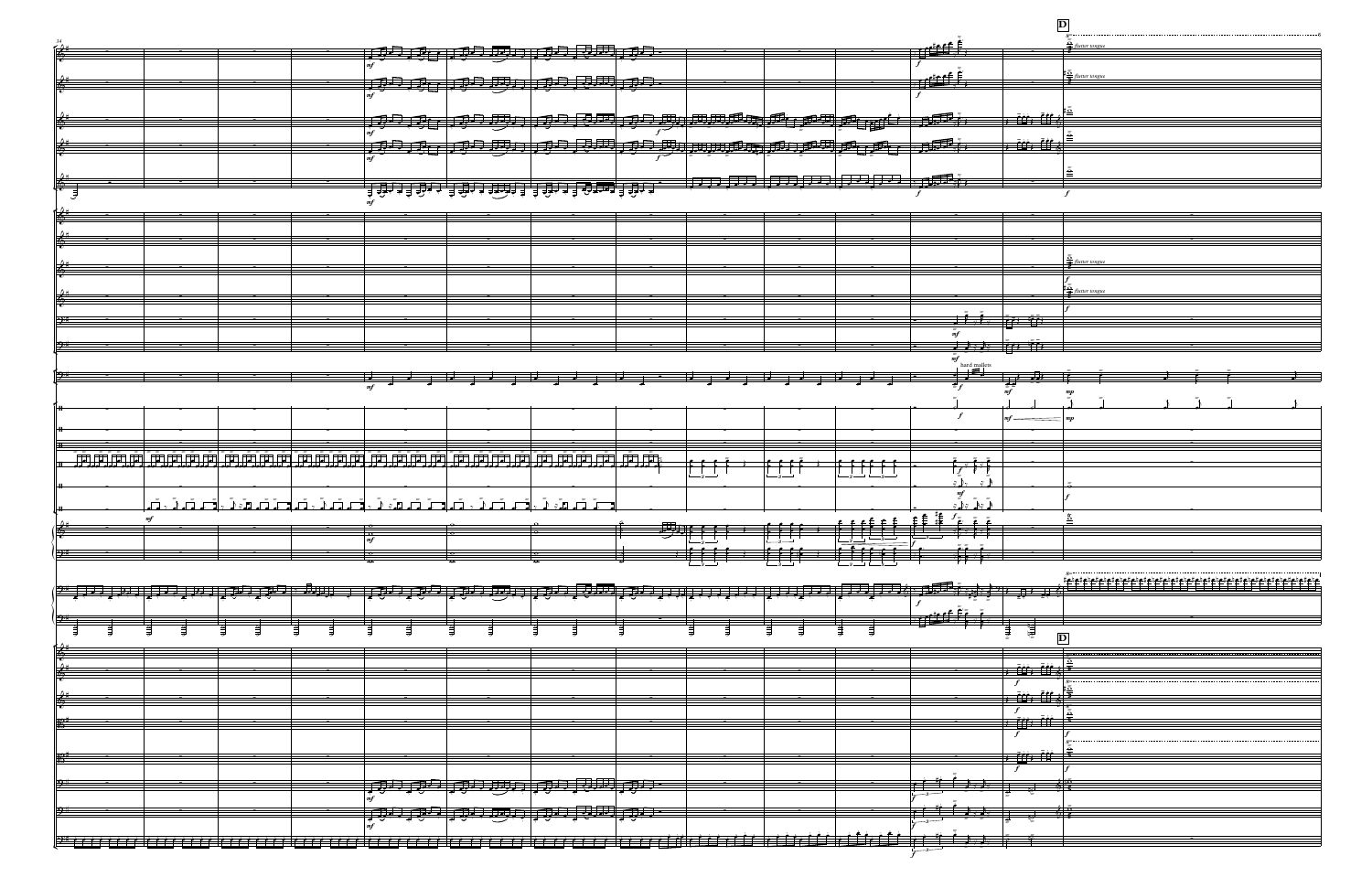| <u> - רובין וליינקי רופידין רובית ויולין רופי</u><br>$\frac{1}{2}$<br>$\frac{15}{3}$ flutter tongue<br>カワカー カワ ワロ カワ マア カワー<br>6<br>شهدان نورد التحامل المسترعات المستقبل السابق دبها إسباح المواطن المواطن المواردين<br>$\overline{\mathcal{X}}$<br>فكالمرغب المستبطر بالمستبس المراجع المسابق المرادي المرادر المرادي المرادي المستبد<br>$\frac{1}{2}$ , $\frac{1}{2}$ , $\frac{1}{2}$ , $\frac{1}{2}$<br>$\ket{\pi\pi} \ket{\pi\pi} \ket{\pi\pi} \ket{\pi\pi} \ket{\pi}$ , $\sharp \bar\pi$ , $\sharp$<br><u>ig</u><br>_ فَيَافُلْ مُسْتَقَلُ فَيَافًا ۚ أَعْظَمْ فَيَافًا ۚ فَيَافًا ۚ فَيَافًا ۚ فَيَافًا ۚ فَيَافًا ۚ فَ<br>flutter tongue<br>$\downarrow$ $\theta$ , $\theta$ , $\leftarrow$ $\theta$ , $\theta$ ,<br>$\frac{1}{2}$ $\frac{1}{2}$ $\frac{1}{2}$ $\frac{1}{2}$ $\frac{1}{2}$ $\frac{1}{2}$ $\frac{1}{2}$ $\frac{1}{2}$ $\frac{1}{2}$ $\frac{1}{2}$<br>$\tilde{m}f$<br>$\begin{array}{c} \n\text{hard mallets} \\ \hline\n\end{array}$<br>चो−<br>mp<br>▌ 放射的的 历史历史 历史历史 历史历史 历史历史 历史历史 历史的 方序。<br>$\overline{f_{f}}$<br>$\overline{\phantom{a}}$<br>$\frac{1}{-3}$<br>—3—<br>7 <sup>h</sup><br><u>الْ نِزْاً بِزَاً بِرَ</u><br>$\begin{array}{ c c c c c c c c } \hline -3 & -3 & -2 & -1 & -1 \\ \hline 6 & 6 & 6 & 6 & 1 & 1 \\ \hline \end{array}$<br>$-$ 3 $-$<br>$-$ 3 $-$<br>$\mathbf{v} = \mathbf{v}$<br>$\mathbf{F}$ , $\mathbf{F}$ , $\mathbf{F}$ , $\mathbf{F}$<br>$\overline{\phantom{a}}$ . The contract of $\overline{\phantom{a}}$<br>$\Omega$<br>$-3-$<br>$\begin{array}{c} \begin{array}{c} \begin{array}{c} \end{array} \\ \end{array} \end{array} \begin{array}{c} \begin{array}{c} \end{array} \\ \begin{array}{c} \end{array} \end{array} \begin{array}{c} \begin{array}{c} \end{array} \\ \end{array} \begin{array}{c} \end{array} \begin{array}{c} \end{array} \begin{array}{c} \end{array} \begin{array}{c} \end{array} \begin{array}{c} \end{array} \begin{array}{c} \end{array} \begin{array}{c} \end{array} \begin{array}{c} \end{array} \begin{array}{c} \end{array} \begin{array}{c} \end{array} \$<br>$\sqrt{48}$ , $\sqrt{6}$ , $\sqrt{24}$ , $\sqrt{7}$ , $\sqrt{24}$ , $\sqrt{24}$ , $\sqrt{24}$ , $\sqrt{24}$ , $\sqrt{24}$ , $\sqrt{24}$ , $\sqrt{24}$ , $\sqrt{24}$ , $\sqrt{24}$ , $\sqrt{24}$ , $\sqrt{24}$ , $\sqrt{24}$ , $\sqrt{24}$ , $\sqrt{24}$ , $\sqrt{24}$ , $\sqrt{24}$ , $\sqrt$<br>_ <del>____</del> ___<br>$\frac{1}{2}$<br>博<br>$\boxed{\mathbf{D}}$<br>$\frac{1}{2}$ if $\frac{1}{2}$<br>$\frac{1}{2}$ , if $\frac{1}{2}$<br><u>- 700 - 700 - 700 - 700 - 700 - 700 - 700 - 700 - 700 - 700 - 700 - 700 - 700 - 700 - 700 - 700 - 700 - 700 - </u><br>$\boldsymbol{f}$<br>$\frac{1}{2}$ if $\frac{1}{2}$<br>$\boldsymbol{f}$<br>بالربال أأفاخ<br>- جود المورد القوات المورد المورد المورد المورد<br>$\rightarrow$ $\rightarrow$ $\rightarrow$ $\rightarrow$ $\rightarrow$<br>$\frac{1}{2}$ , $\frac{1}{2}$ , $\frac{1}{2}$ , $\frac{1}{2}$ , $\frac{1}{2}$ |                 |  |  |  |  |  |                  |               |
|--------------------------------------------------------------------------------------------------------------------------------------------------------------------------------------------------------------------------------------------------------------------------------------------------------------------------------------------------------------------------------------------------------------------------------------------------------------------------------------------------------------------------------------------------------------------------------------------------------------------------------------------------------------------------------------------------------------------------------------------------------------------------------------------------------------------------------------------------------------------------------------------------------------------------------------------------------------------------------------------------------------------------------------------------------------------------------------------------------------------------------------------------------------------------------------------------------------------------------------------------------------------------------------------------------------------------------------------------------------------------------------------------------------------------------------------------------------------------------------------------------------------------------------------------------------------------------------------------------------------------------------------------------------------------------------------------------------------------------------------------------------------------------------------------------------------------------------------------------------------------------------------------------------------------------------------------------------------------------------------------------------------------------------------------------------------------------------------------------------------------------------------------------------------------------------------------------------------------------------------------------------------------------------------------------------------------------------------------------------------------------------------------------------------------------------------------------------------------------------------------------------------------------------------------------------------------------------------------------------------------------------------------------------------------------------------------------------------------------------------------------------------------------------------------------------------------------------------------------------------------------------------------------------------------------------|-----------------|--|--|--|--|--|------------------|---------------|
|                                                                                                                                                                                                                                                                                                                                                                                                                                                                                                                                                                                                                                                                                                                                                                                                                                                                                                                                                                                                                                                                                                                                                                                                                                                                                                                                                                                                                                                                                                                                                                                                                                                                                                                                                                                                                                                                                                                                                                                                                                                                                                                                                                                                                                                                                                                                                                                                                                                                                                                                                                                                                                                                                                                                                                                                                                                                                                                                      | ⊯               |  |  |  |  |  | <u>، ئائىئات</u> | flutter tongu |
|                                                                                                                                                                                                                                                                                                                                                                                                                                                                                                                                                                                                                                                                                                                                                                                                                                                                                                                                                                                                                                                                                                                                                                                                                                                                                                                                                                                                                                                                                                                                                                                                                                                                                                                                                                                                                                                                                                                                                                                                                                                                                                                                                                                                                                                                                                                                                                                                                                                                                                                                                                                                                                                                                                                                                                                                                                                                                                                                      |                 |  |  |  |  |  |                  |               |
|                                                                                                                                                                                                                                                                                                                                                                                                                                                                                                                                                                                                                                                                                                                                                                                                                                                                                                                                                                                                                                                                                                                                                                                                                                                                                                                                                                                                                                                                                                                                                                                                                                                                                                                                                                                                                                                                                                                                                                                                                                                                                                                                                                                                                                                                                                                                                                                                                                                                                                                                                                                                                                                                                                                                                                                                                                                                                                                                      |                 |  |  |  |  |  |                  |               |
|                                                                                                                                                                                                                                                                                                                                                                                                                                                                                                                                                                                                                                                                                                                                                                                                                                                                                                                                                                                                                                                                                                                                                                                                                                                                                                                                                                                                                                                                                                                                                                                                                                                                                                                                                                                                                                                                                                                                                                                                                                                                                                                                                                                                                                                                                                                                                                                                                                                                                                                                                                                                                                                                                                                                                                                                                                                                                                                                      |                 |  |  |  |  |  |                  |               |
|                                                                                                                                                                                                                                                                                                                                                                                                                                                                                                                                                                                                                                                                                                                                                                                                                                                                                                                                                                                                                                                                                                                                                                                                                                                                                                                                                                                                                                                                                                                                                                                                                                                                                                                                                                                                                                                                                                                                                                                                                                                                                                                                                                                                                                                                                                                                                                                                                                                                                                                                                                                                                                                                                                                                                                                                                                                                                                                                      |                 |  |  |  |  |  |                  |               |
|                                                                                                                                                                                                                                                                                                                                                                                                                                                                                                                                                                                                                                                                                                                                                                                                                                                                                                                                                                                                                                                                                                                                                                                                                                                                                                                                                                                                                                                                                                                                                                                                                                                                                                                                                                                                                                                                                                                                                                                                                                                                                                                                                                                                                                                                                                                                                                                                                                                                                                                                                                                                                                                                                                                                                                                                                                                                                                                                      |                 |  |  |  |  |  |                  |               |
|                                                                                                                                                                                                                                                                                                                                                                                                                                                                                                                                                                                                                                                                                                                                                                                                                                                                                                                                                                                                                                                                                                                                                                                                                                                                                                                                                                                                                                                                                                                                                                                                                                                                                                                                                                                                                                                                                                                                                                                                                                                                                                                                                                                                                                                                                                                                                                                                                                                                                                                                                                                                                                                                                                                                                                                                                                                                                                                                      |                 |  |  |  |  |  |                  |               |
|                                                                                                                                                                                                                                                                                                                                                                                                                                                                                                                                                                                                                                                                                                                                                                                                                                                                                                                                                                                                                                                                                                                                                                                                                                                                                                                                                                                                                                                                                                                                                                                                                                                                                                                                                                                                                                                                                                                                                                                                                                                                                                                                                                                                                                                                                                                                                                                                                                                                                                                                                                                                                                                                                                                                                                                                                                                                                                                                      |                 |  |  |  |  |  |                  |               |
|                                                                                                                                                                                                                                                                                                                                                                                                                                                                                                                                                                                                                                                                                                                                                                                                                                                                                                                                                                                                                                                                                                                                                                                                                                                                                                                                                                                                                                                                                                                                                                                                                                                                                                                                                                                                                                                                                                                                                                                                                                                                                                                                                                                                                                                                                                                                                                                                                                                                                                                                                                                                                                                                                                                                                                                                                                                                                                                                      |                 |  |  |  |  |  |                  |               |
|                                                                                                                                                                                                                                                                                                                                                                                                                                                                                                                                                                                                                                                                                                                                                                                                                                                                                                                                                                                                                                                                                                                                                                                                                                                                                                                                                                                                                                                                                                                                                                                                                                                                                                                                                                                                                                                                                                                                                                                                                                                                                                                                                                                                                                                                                                                                                                                                                                                                                                                                                                                                                                                                                                                                                                                                                                                                                                                                      |                 |  |  |  |  |  |                  |               |
|                                                                                                                                                                                                                                                                                                                                                                                                                                                                                                                                                                                                                                                                                                                                                                                                                                                                                                                                                                                                                                                                                                                                                                                                                                                                                                                                                                                                                                                                                                                                                                                                                                                                                                                                                                                                                                                                                                                                                                                                                                                                                                                                                                                                                                                                                                                                                                                                                                                                                                                                                                                                                                                                                                                                                                                                                                                                                                                                      |                 |  |  |  |  |  |                  |               |
|                                                                                                                                                                                                                                                                                                                                                                                                                                                                                                                                                                                                                                                                                                                                                                                                                                                                                                                                                                                                                                                                                                                                                                                                                                                                                                                                                                                                                                                                                                                                                                                                                                                                                                                                                                                                                                                                                                                                                                                                                                                                                                                                                                                                                                                                                                                                                                                                                                                                                                                                                                                                                                                                                                                                                                                                                                                                                                                                      |                 |  |  |  |  |  |                  |               |
|                                                                                                                                                                                                                                                                                                                                                                                                                                                                                                                                                                                                                                                                                                                                                                                                                                                                                                                                                                                                                                                                                                                                                                                                                                                                                                                                                                                                                                                                                                                                                                                                                                                                                                                                                                                                                                                                                                                                                                                                                                                                                                                                                                                                                                                                                                                                                                                                                                                                                                                                                                                                                                                                                                                                                                                                                                                                                                                                      |                 |  |  |  |  |  |                  |               |
|                                                                                                                                                                                                                                                                                                                                                                                                                                                                                                                                                                                                                                                                                                                                                                                                                                                                                                                                                                                                                                                                                                                                                                                                                                                                                                                                                                                                                                                                                                                                                                                                                                                                                                                                                                                                                                                                                                                                                                                                                                                                                                                                                                                                                                                                                                                                                                                                                                                                                                                                                                                                                                                                                                                                                                                                                                                                                                                                      |                 |  |  |  |  |  |                  |               |
|                                                                                                                                                                                                                                                                                                                                                                                                                                                                                                                                                                                                                                                                                                                                                                                                                                                                                                                                                                                                                                                                                                                                                                                                                                                                                                                                                                                                                                                                                                                                                                                                                                                                                                                                                                                                                                                                                                                                                                                                                                                                                                                                                                                                                                                                                                                                                                                                                                                                                                                                                                                                                                                                                                                                                                                                                                                                                                                                      |                 |  |  |  |  |  |                  |               |
|                                                                                                                                                                                                                                                                                                                                                                                                                                                                                                                                                                                                                                                                                                                                                                                                                                                                                                                                                                                                                                                                                                                                                                                                                                                                                                                                                                                                                                                                                                                                                                                                                                                                                                                                                                                                                                                                                                                                                                                                                                                                                                                                                                                                                                                                                                                                                                                                                                                                                                                                                                                                                                                                                                                                                                                                                                                                                                                                      |                 |  |  |  |  |  |                  |               |
|                                                                                                                                                                                                                                                                                                                                                                                                                                                                                                                                                                                                                                                                                                                                                                                                                                                                                                                                                                                                                                                                                                                                                                                                                                                                                                                                                                                                                                                                                                                                                                                                                                                                                                                                                                                                                                                                                                                                                                                                                                                                                                                                                                                                                                                                                                                                                                                                                                                                                                                                                                                                                                                                                                                                                                                                                                                                                                                                      |                 |  |  |  |  |  |                  |               |
|                                                                                                                                                                                                                                                                                                                                                                                                                                                                                                                                                                                                                                                                                                                                                                                                                                                                                                                                                                                                                                                                                                                                                                                                                                                                                                                                                                                                                                                                                                                                                                                                                                                                                                                                                                                                                                                                                                                                                                                                                                                                                                                                                                                                                                                                                                                                                                                                                                                                                                                                                                                                                                                                                                                                                                                                                                                                                                                                      |                 |  |  |  |  |  |                  |               |
|                                                                                                                                                                                                                                                                                                                                                                                                                                                                                                                                                                                                                                                                                                                                                                                                                                                                                                                                                                                                                                                                                                                                                                                                                                                                                                                                                                                                                                                                                                                                                                                                                                                                                                                                                                                                                                                                                                                                                                                                                                                                                                                                                                                                                                                                                                                                                                                                                                                                                                                                                                                                                                                                                                                                                                                                                                                                                                                                      |                 |  |  |  |  |  |                  |               |
|                                                                                                                                                                                                                                                                                                                                                                                                                                                                                                                                                                                                                                                                                                                                                                                                                                                                                                                                                                                                                                                                                                                                                                                                                                                                                                                                                                                                                                                                                                                                                                                                                                                                                                                                                                                                                                                                                                                                                                                                                                                                                                                                                                                                                                                                                                                                                                                                                                                                                                                                                                                                                                                                                                                                                                                                                                                                                                                                      |                 |  |  |  |  |  |                  |               |
|                                                                                                                                                                                                                                                                                                                                                                                                                                                                                                                                                                                                                                                                                                                                                                                                                                                                                                                                                                                                                                                                                                                                                                                                                                                                                                                                                                                                                                                                                                                                                                                                                                                                                                                                                                                                                                                                                                                                                                                                                                                                                                                                                                                                                                                                                                                                                                                                                                                                                                                                                                                                                                                                                                                                                                                                                                                                                                                                      |                 |  |  |  |  |  |                  |               |
|                                                                                                                                                                                                                                                                                                                                                                                                                                                                                                                                                                                                                                                                                                                                                                                                                                                                                                                                                                                                                                                                                                                                                                                                                                                                                                                                                                                                                                                                                                                                                                                                                                                                                                                                                                                                                                                                                                                                                                                                                                                                                                                                                                                                                                                                                                                                                                                                                                                                                                                                                                                                                                                                                                                                                                                                                                                                                                                                      |                 |  |  |  |  |  |                  |               |
|                                                                                                                                                                                                                                                                                                                                                                                                                                                                                                                                                                                                                                                                                                                                                                                                                                                                                                                                                                                                                                                                                                                                                                                                                                                                                                                                                                                                                                                                                                                                                                                                                                                                                                                                                                                                                                                                                                                                                                                                                                                                                                                                                                                                                                                                                                                                                                                                                                                                                                                                                                                                                                                                                                                                                                                                                                                                                                                                      |                 |  |  |  |  |  |                  |               |
|                                                                                                                                                                                                                                                                                                                                                                                                                                                                                                                                                                                                                                                                                                                                                                                                                                                                                                                                                                                                                                                                                                                                                                                                                                                                                                                                                                                                                                                                                                                                                                                                                                                                                                                                                                                                                                                                                                                                                                                                                                                                                                                                                                                                                                                                                                                                                                                                                                                                                                                                                                                                                                                                                                                                                                                                                                                                                                                                      |                 |  |  |  |  |  |                  |               |
|                                                                                                                                                                                                                                                                                                                                                                                                                                                                                                                                                                                                                                                                                                                                                                                                                                                                                                                                                                                                                                                                                                                                                                                                                                                                                                                                                                                                                                                                                                                                                                                                                                                                                                                                                                                                                                                                                                                                                                                                                                                                                                                                                                                                                                                                                                                                                                                                                                                                                                                                                                                                                                                                                                                                                                                                                                                                                                                                      |                 |  |  |  |  |  |                  |               |
|                                                                                                                                                                                                                                                                                                                                                                                                                                                                                                                                                                                                                                                                                                                                                                                                                                                                                                                                                                                                                                                                                                                                                                                                                                                                                                                                                                                                                                                                                                                                                                                                                                                                                                                                                                                                                                                                                                                                                                                                                                                                                                                                                                                                                                                                                                                                                                                                                                                                                                                                                                                                                                                                                                                                                                                                                                                                                                                                      |                 |  |  |  |  |  |                  |               |
|                                                                                                                                                                                                                                                                                                                                                                                                                                                                                                                                                                                                                                                                                                                                                                                                                                                                                                                                                                                                                                                                                                                                                                                                                                                                                                                                                                                                                                                                                                                                                                                                                                                                                                                                                                                                                                                                                                                                                                                                                                                                                                                                                                                                                                                                                                                                                                                                                                                                                                                                                                                                                                                                                                                                                                                                                                                                                                                                      |                 |  |  |  |  |  |                  |               |
|                                                                                                                                                                                                                                                                                                                                                                                                                                                                                                                                                                                                                                                                                                                                                                                                                                                                                                                                                                                                                                                                                                                                                                                                                                                                                                                                                                                                                                                                                                                                                                                                                                                                                                                                                                                                                                                                                                                                                                                                                                                                                                                                                                                                                                                                                                                                                                                                                                                                                                                                                                                                                                                                                                                                                                                                                                                                                                                                      |                 |  |  |  |  |  |                  |               |
|                                                                                                                                                                                                                                                                                                                                                                                                                                                                                                                                                                                                                                                                                                                                                                                                                                                                                                                                                                                                                                                                                                                                                                                                                                                                                                                                                                                                                                                                                                                                                                                                                                                                                                                                                                                                                                                                                                                                                                                                                                                                                                                                                                                                                                                                                                                                                                                                                                                                                                                                                                                                                                                                                                                                                                                                                                                                                                                                      |                 |  |  |  |  |  |                  |               |
|                                                                                                                                                                                                                                                                                                                                                                                                                                                                                                                                                                                                                                                                                                                                                                                                                                                                                                                                                                                                                                                                                                                                                                                                                                                                                                                                                                                                                                                                                                                                                                                                                                                                                                                                                                                                                                                                                                                                                                                                                                                                                                                                                                                                                                                                                                                                                                                                                                                                                                                                                                                                                                                                                                                                                                                                                                                                                                                                      |                 |  |  |  |  |  |                  |               |
|                                                                                                                                                                                                                                                                                                                                                                                                                                                                                                                                                                                                                                                                                                                                                                                                                                                                                                                                                                                                                                                                                                                                                                                                                                                                                                                                                                                                                                                                                                                                                                                                                                                                                                                                                                                                                                                                                                                                                                                                                                                                                                                                                                                                                                                                                                                                                                                                                                                                                                                                                                                                                                                                                                                                                                                                                                                                                                                                      |                 |  |  |  |  |  |                  |               |
|                                                                                                                                                                                                                                                                                                                                                                                                                                                                                                                                                                                                                                                                                                                                                                                                                                                                                                                                                                                                                                                                                                                                                                                                                                                                                                                                                                                                                                                                                                                                                                                                                                                                                                                                                                                                                                                                                                                                                                                                                                                                                                                                                                                                                                                                                                                                                                                                                                                                                                                                                                                                                                                                                                                                                                                                                                                                                                                                      |                 |  |  |  |  |  |                  |               |
|                                                                                                                                                                                                                                                                                                                                                                                                                                                                                                                                                                                                                                                                                                                                                                                                                                                                                                                                                                                                                                                                                                                                                                                                                                                                                                                                                                                                                                                                                                                                                                                                                                                                                                                                                                                                                                                                                                                                                                                                                                                                                                                                                                                                                                                                                                                                                                                                                                                                                                                                                                                                                                                                                                                                                                                                                                                                                                                                      |                 |  |  |  |  |  |                  |               |
|                                                                                                                                                                                                                                                                                                                                                                                                                                                                                                                                                                                                                                                                                                                                                                                                                                                                                                                                                                                                                                                                                                                                                                                                                                                                                                                                                                                                                                                                                                                                                                                                                                                                                                                                                                                                                                                                                                                                                                                                                                                                                                                                                                                                                                                                                                                                                                                                                                                                                                                                                                                                                                                                                                                                                                                                                                                                                                                                      |                 |  |  |  |  |  |                  |               |
|                                                                                                                                                                                                                                                                                                                                                                                                                                                                                                                                                                                                                                                                                                                                                                                                                                                                                                                                                                                                                                                                                                                                                                                                                                                                                                                                                                                                                                                                                                                                                                                                                                                                                                                                                                                                                                                                                                                                                                                                                                                                                                                                                                                                                                                                                                                                                                                                                                                                                                                                                                                                                                                                                                                                                                                                                                                                                                                                      |                 |  |  |  |  |  |                  |               |
|                                                                                                                                                                                                                                                                                                                                                                                                                                                                                                                                                                                                                                                                                                                                                                                                                                                                                                                                                                                                                                                                                                                                                                                                                                                                                                                                                                                                                                                                                                                                                                                                                                                                                                                                                                                                                                                                                                                                                                                                                                                                                                                                                                                                                                                                                                                                                                                                                                                                                                                                                                                                                                                                                                                                                                                                                                                                                                                                      |                 |  |  |  |  |  |                  |               |
|                                                                                                                                                                                                                                                                                                                                                                                                                                                                                                                                                                                                                                                                                                                                                                                                                                                                                                                                                                                                                                                                                                                                                                                                                                                                                                                                                                                                                                                                                                                                                                                                                                                                                                                                                                                                                                                                                                                                                                                                                                                                                                                                                                                                                                                                                                                                                                                                                                                                                                                                                                                                                                                                                                                                                                                                                                                                                                                                      |                 |  |  |  |  |  |                  |               |
|                                                                                                                                                                                                                                                                                                                                                                                                                                                                                                                                                                                                                                                                                                                                                                                                                                                                                                                                                                                                                                                                                                                                                                                                                                                                                                                                                                                                                                                                                                                                                                                                                                                                                                                                                                                                                                                                                                                                                                                                                                                                                                                                                                                                                                                                                                                                                                                                                                                                                                                                                                                                                                                                                                                                                                                                                                                                                                                                      |                 |  |  |  |  |  |                  |               |
|                                                                                                                                                                                                                                                                                                                                                                                                                                                                                                                                                                                                                                                                                                                                                                                                                                                                                                                                                                                                                                                                                                                                                                                                                                                                                                                                                                                                                                                                                                                                                                                                                                                                                                                                                                                                                                                                                                                                                                                                                                                                                                                                                                                                                                                                                                                                                                                                                                                                                                                                                                                                                                                                                                                                                                                                                                                                                                                                      |                 |  |  |  |  |  |                  |               |
|                                                                                                                                                                                                                                                                                                                                                                                                                                                                                                                                                                                                                                                                                                                                                                                                                                                                                                                                                                                                                                                                                                                                                                                                                                                                                                                                                                                                                                                                                                                                                                                                                                                                                                                                                                                                                                                                                                                                                                                                                                                                                                                                                                                                                                                                                                                                                                                                                                                                                                                                                                                                                                                                                                                                                                                                                                                                                                                                      |                 |  |  |  |  |  |                  |               |
|                                                                                                                                                                                                                                                                                                                                                                                                                                                                                                                                                                                                                                                                                                                                                                                                                                                                                                                                                                                                                                                                                                                                                                                                                                                                                                                                                                                                                                                                                                                                                                                                                                                                                                                                                                                                                                                                                                                                                                                                                                                                                                                                                                                                                                                                                                                                                                                                                                                                                                                                                                                                                                                                                                                                                                                                                                                                                                                                      |                 |  |  |  |  |  |                  |               |
|                                                                                                                                                                                                                                                                                                                                                                                                                                                                                                                                                                                                                                                                                                                                                                                                                                                                                                                                                                                                                                                                                                                                                                                                                                                                                                                                                                                                                                                                                                                                                                                                                                                                                                                                                                                                                                                                                                                                                                                                                                                                                                                                                                                                                                                                                                                                                                                                                                                                                                                                                                                                                                                                                                                                                                                                                                                                                                                                      |                 |  |  |  |  |  |                  |               |
|                                                                                                                                                                                                                                                                                                                                                                                                                                                                                                                                                                                                                                                                                                                                                                                                                                                                                                                                                                                                                                                                                                                                                                                                                                                                                                                                                                                                                                                                                                                                                                                                                                                                                                                                                                                                                                                                                                                                                                                                                                                                                                                                                                                                                                                                                                                                                                                                                                                                                                                                                                                                                                                                                                                                                                                                                                                                                                                                      |                 |  |  |  |  |  |                  |               |
|                                                                                                                                                                                                                                                                                                                                                                                                                                                                                                                                                                                                                                                                                                                                                                                                                                                                                                                                                                                                                                                                                                                                                                                                                                                                                                                                                                                                                                                                                                                                                                                                                                                                                                                                                                                                                                                                                                                                                                                                                                                                                                                                                                                                                                                                                                                                                                                                                                                                                                                                                                                                                                                                                                                                                                                                                                                                                                                                      |                 |  |  |  |  |  |                  |               |
|                                                                                                                                                                                                                                                                                                                                                                                                                                                                                                                                                                                                                                                                                                                                                                                                                                                                                                                                                                                                                                                                                                                                                                                                                                                                                                                                                                                                                                                                                                                                                                                                                                                                                                                                                                                                                                                                                                                                                                                                                                                                                                                                                                                                                                                                                                                                                                                                                                                                                                                                                                                                                                                                                                                                                                                                                                                                                                                                      |                 |  |  |  |  |  |                  |               |
|                                                                                                                                                                                                                                                                                                                                                                                                                                                                                                                                                                                                                                                                                                                                                                                                                                                                                                                                                                                                                                                                                                                                                                                                                                                                                                                                                                                                                                                                                                                                                                                                                                                                                                                                                                                                                                                                                                                                                                                                                                                                                                                                                                                                                                                                                                                                                                                                                                                                                                                                                                                                                                                                                                                                                                                                                                                                                                                                      |                 |  |  |  |  |  |                  |               |
|                                                                                                                                                                                                                                                                                                                                                                                                                                                                                                                                                                                                                                                                                                                                                                                                                                                                                                                                                                                                                                                                                                                                                                                                                                                                                                                                                                                                                                                                                                                                                                                                                                                                                                                                                                                                                                                                                                                                                                                                                                                                                                                                                                                                                                                                                                                                                                                                                                                                                                                                                                                                                                                                                                                                                                                                                                                                                                                                      | <u>  9# = </u>  |  |  |  |  |  |                  |               |
|                                                                                                                                                                                                                                                                                                                                                                                                                                                                                                                                                                                                                                                                                                                                                                                                                                                                                                                                                                                                                                                                                                                                                                                                                                                                                                                                                                                                                                                                                                                                                                                                                                                                                                                                                                                                                                                                                                                                                                                                                                                                                                                                                                                                                                                                                                                                                                                                                                                                                                                                                                                                                                                                                                                                                                                                                                                                                                                                      |                 |  |  |  |  |  |                  |               |
|                                                                                                                                                                                                                                                                                                                                                                                                                                                                                                                                                                                                                                                                                                                                                                                                                                                                                                                                                                                                                                                                                                                                                                                                                                                                                                                                                                                                                                                                                                                                                                                                                                                                                                                                                                                                                                                                                                                                                                                                                                                                                                                                                                                                                                                                                                                                                                                                                                                                                                                                                                                                                                                                                                                                                                                                                                                                                                                                      |                 |  |  |  |  |  |                  |               |
|                                                                                                                                                                                                                                                                                                                                                                                                                                                                                                                                                                                                                                                                                                                                                                                                                                                                                                                                                                                                                                                                                                                                                                                                                                                                                                                                                                                                                                                                                                                                                                                                                                                                                                                                                                                                                                                                                                                                                                                                                                                                                                                                                                                                                                                                                                                                                                                                                                                                                                                                                                                                                                                                                                                                                                                                                                                                                                                                      |                 |  |  |  |  |  |                  |               |
|                                                                                                                                                                                                                                                                                                                                                                                                                                                                                                                                                                                                                                                                                                                                                                                                                                                                                                                                                                                                                                                                                                                                                                                                                                                                                                                                                                                                                                                                                                                                                                                                                                                                                                                                                                                                                                                                                                                                                                                                                                                                                                                                                                                                                                                                                                                                                                                                                                                                                                                                                                                                                                                                                                                                                                                                                                                                                                                                      |                 |  |  |  |  |  |                  |               |
|                                                                                                                                                                                                                                                                                                                                                                                                                                                                                                                                                                                                                                                                                                                                                                                                                                                                                                                                                                                                                                                                                                                                                                                                                                                                                                                                                                                                                                                                                                                                                                                                                                                                                                                                                                                                                                                                                                                                                                                                                                                                                                                                                                                                                                                                                                                                                                                                                                                                                                                                                                                                                                                                                                                                                                                                                                                                                                                                      |                 |  |  |  |  |  |                  |               |
|                                                                                                                                                                                                                                                                                                                                                                                                                                                                                                                                                                                                                                                                                                                                                                                                                                                                                                                                                                                                                                                                                                                                                                                                                                                                                                                                                                                                                                                                                                                                                                                                                                                                                                                                                                                                                                                                                                                                                                                                                                                                                                                                                                                                                                                                                                                                                                                                                                                                                                                                                                                                                                                                                                                                                                                                                                                                                                                                      | ( <del>ஒ⊫</del> |  |  |  |  |  |                  |               |
|                                                                                                                                                                                                                                                                                                                                                                                                                                                                                                                                                                                                                                                                                                                                                                                                                                                                                                                                                                                                                                                                                                                                                                                                                                                                                                                                                                                                                                                                                                                                                                                                                                                                                                                                                                                                                                                                                                                                                                                                                                                                                                                                                                                                                                                                                                                                                                                                                                                                                                                                                                                                                                                                                                                                                                                                                                                                                                                                      |                 |  |  |  |  |  |                  |               |
|                                                                                                                                                                                                                                                                                                                                                                                                                                                                                                                                                                                                                                                                                                                                                                                                                                                                                                                                                                                                                                                                                                                                                                                                                                                                                                                                                                                                                                                                                                                                                                                                                                                                                                                                                                                                                                                                                                                                                                                                                                                                                                                                                                                                                                                                                                                                                                                                                                                                                                                                                                                                                                                                                                                                                                                                                                                                                                                                      |                 |  |  |  |  |  |                  |               |
|                                                                                                                                                                                                                                                                                                                                                                                                                                                                                                                                                                                                                                                                                                                                                                                                                                                                                                                                                                                                                                                                                                                                                                                                                                                                                                                                                                                                                                                                                                                                                                                                                                                                                                                                                                                                                                                                                                                                                                                                                                                                                                                                                                                                                                                                                                                                                                                                                                                                                                                                                                                                                                                                                                                                                                                                                                                                                                                                      | F               |  |  |  |  |  |                  |               |
|                                                                                                                                                                                                                                                                                                                                                                                                                                                                                                                                                                                                                                                                                                                                                                                                                                                                                                                                                                                                                                                                                                                                                                                                                                                                                                                                                                                                                                                                                                                                                                                                                                                                                                                                                                                                                                                                                                                                                                                                                                                                                                                                                                                                                                                                                                                                                                                                                                                                                                                                                                                                                                                                                                                                                                                                                                                                                                                                      |                 |  |  |  |  |  |                  |               |
|                                                                                                                                                                                                                                                                                                                                                                                                                                                                                                                                                                                                                                                                                                                                                                                                                                                                                                                                                                                                                                                                                                                                                                                                                                                                                                                                                                                                                                                                                                                                                                                                                                                                                                                                                                                                                                                                                                                                                                                                                                                                                                                                                                                                                                                                                                                                                                                                                                                                                                                                                                                                                                                                                                                                                                                                                                                                                                                                      | ⊯               |  |  |  |  |  |                  |               |
|                                                                                                                                                                                                                                                                                                                                                                                                                                                                                                                                                                                                                                                                                                                                                                                                                                                                                                                                                                                                                                                                                                                                                                                                                                                                                                                                                                                                                                                                                                                                                                                                                                                                                                                                                                                                                                                                                                                                                                                                                                                                                                                                                                                                                                                                                                                                                                                                                                                                                                                                                                                                                                                                                                                                                                                                                                                                                                                                      |                 |  |  |  |  |  |                  |               |
|                                                                                                                                                                                                                                                                                                                                                                                                                                                                                                                                                                                                                                                                                                                                                                                                                                                                                                                                                                                                                                                                                                                                                                                                                                                                                                                                                                                                                                                                                                                                                                                                                                                                                                                                                                                                                                                                                                                                                                                                                                                                                                                                                                                                                                                                                                                                                                                                                                                                                                                                                                                                                                                                                                                                                                                                                                                                                                                                      | 6               |  |  |  |  |  |                  |               |
|                                                                                                                                                                                                                                                                                                                                                                                                                                                                                                                                                                                                                                                                                                                                                                                                                                                                                                                                                                                                                                                                                                                                                                                                                                                                                                                                                                                                                                                                                                                                                                                                                                                                                                                                                                                                                                                                                                                                                                                                                                                                                                                                                                                                                                                                                                                                                                                                                                                                                                                                                                                                                                                                                                                                                                                                                                                                                                                                      |                 |  |  |  |  |  |                  |               |
|                                                                                                                                                                                                                                                                                                                                                                                                                                                                                                                                                                                                                                                                                                                                                                                                                                                                                                                                                                                                                                                                                                                                                                                                                                                                                                                                                                                                                                                                                                                                                                                                                                                                                                                                                                                                                                                                                                                                                                                                                                                                                                                                                                                                                                                                                                                                                                                                                                                                                                                                                                                                                                                                                                                                                                                                                                                                                                                                      | B               |  |  |  |  |  |                  |               |
|                                                                                                                                                                                                                                                                                                                                                                                                                                                                                                                                                                                                                                                                                                                                                                                                                                                                                                                                                                                                                                                                                                                                                                                                                                                                                                                                                                                                                                                                                                                                                                                                                                                                                                                                                                                                                                                                                                                                                                                                                                                                                                                                                                                                                                                                                                                                                                                                                                                                                                                                                                                                                                                                                                                                                                                                                                                                                                                                      |                 |  |  |  |  |  |                  |               |
|                                                                                                                                                                                                                                                                                                                                                                                                                                                                                                                                                                                                                                                                                                                                                                                                                                                                                                                                                                                                                                                                                                                                                                                                                                                                                                                                                                                                                                                                                                                                                                                                                                                                                                                                                                                                                                                                                                                                                                                                                                                                                                                                                                                                                                                                                                                                                                                                                                                                                                                                                                                                                                                                                                                                                                                                                                                                                                                                      |                 |  |  |  |  |  |                  |               |
|                                                                                                                                                                                                                                                                                                                                                                                                                                                                                                                                                                                                                                                                                                                                                                                                                                                                                                                                                                                                                                                                                                                                                                                                                                                                                                                                                                                                                                                                                                                                                                                                                                                                                                                                                                                                                                                                                                                                                                                                                                                                                                                                                                                                                                                                                                                                                                                                                                                                                                                                                                                                                                                                                                                                                                                                                                                                                                                                      |                 |  |  |  |  |  |                  |               |
|                                                                                                                                                                                                                                                                                                                                                                                                                                                                                                                                                                                                                                                                                                                                                                                                                                                                                                                                                                                                                                                                                                                                                                                                                                                                                                                                                                                                                                                                                                                                                                                                                                                                                                                                                                                                                                                                                                                                                                                                                                                                                                                                                                                                                                                                                                                                                                                                                                                                                                                                                                                                                                                                                                                                                                                                                                                                                                                                      |                 |  |  |  |  |  |                  |               |
|                                                                                                                                                                                                                                                                                                                                                                                                                                                                                                                                                                                                                                                                                                                                                                                                                                                                                                                                                                                                                                                                                                                                                                                                                                                                                                                                                                                                                                                                                                                                                                                                                                                                                                                                                                                                                                                                                                                                                                                                                                                                                                                                                                                                                                                                                                                                                                                                                                                                                                                                                                                                                                                                                                                                                                                                                                                                                                                                      | 9≇              |  |  |  |  |  |                  |               |
|                                                                                                                                                                                                                                                                                                                                                                                                                                                                                                                                                                                                                                                                                                                                                                                                                                                                                                                                                                                                                                                                                                                                                                                                                                                                                                                                                                                                                                                                                                                                                                                                                                                                                                                                                                                                                                                                                                                                                                                                                                                                                                                                                                                                                                                                                                                                                                                                                                                                                                                                                                                                                                                                                                                                                                                                                                                                                                                                      |                 |  |  |  |  |  |                  |               |
|                                                                                                                                                                                                                                                                                                                                                                                                                                                                                                                                                                                                                                                                                                                                                                                                                                                                                                                                                                                                                                                                                                                                                                                                                                                                                                                                                                                                                                                                                                                                                                                                                                                                                                                                                                                                                                                                                                                                                                                                                                                                                                                                                                                                                                                                                                                                                                                                                                                                                                                                                                                                                                                                                                                                                                                                                                                                                                                                      |                 |  |  |  |  |  |                  |               |
|                                                                                                                                                                                                                                                                                                                                                                                                                                                                                                                                                                                                                                                                                                                                                                                                                                                                                                                                                                                                                                                                                                                                                                                                                                                                                                                                                                                                                                                                                                                                                                                                                                                                                                                                                                                                                                                                                                                                                                                                                                                                                                                                                                                                                                                                                                                                                                                                                                                                                                                                                                                                                                                                                                                                                                                                                                                                                                                                      | 19:1            |  |  |  |  |  |                  |               |
|                                                                                                                                                                                                                                                                                                                                                                                                                                                                                                                                                                                                                                                                                                                                                                                                                                                                                                                                                                                                                                                                                                                                                                                                                                                                                                                                                                                                                                                                                                                                                                                                                                                                                                                                                                                                                                                                                                                                                                                                                                                                                                                                                                                                                                                                                                                                                                                                                                                                                                                                                                                                                                                                                                                                                                                                                                                                                                                                      |                 |  |  |  |  |  |                  |               |
|                                                                                                                                                                                                                                                                                                                                                                                                                                                                                                                                                                                                                                                                                                                                                                                                                                                                                                                                                                                                                                                                                                                                                                                                                                                                                                                                                                                                                                                                                                                                                                                                                                                                                                                                                                                                                                                                                                                                                                                                                                                                                                                                                                                                                                                                                                                                                                                                                                                                                                                                                                                                                                                                                                                                                                                                                                                                                                                                      |                 |  |  |  |  |  |                  |               |

|          | D                                                                                    |
|----------|--------------------------------------------------------------------------------------|
|          | $-5$<br>$\sum_{i=1}^{8^{66}}$ flutter tongue                                         |
|          |                                                                                      |
|          | $\sharp \underline{\underline{\underline{\mathbf{a}}}}_{\text{flutter longue}}$<br>s |
|          |                                                                                      |
| خغة<br>╓ | ⊯≦                                                                                   |
| €        |                                                                                      |
| ذذة      | $\stackrel{\text{>}}{=}$                                                             |
| Ģ        |                                                                                      |
|          | $\stackrel{\scriptscriptstyle >}{\cong}$                                             |
|          |                                                                                      |
|          | £                                                                                    |

|            | $\sum_{n=1}^{\infty}$ flutter tongue                                                                         |
|------------|--------------------------------------------------------------------------------------------------------------|
|            |                                                                                                              |
|            |                                                                                                              |
|            |                                                                                                              |
|            |                                                                                                              |
|            |                                                                                                              |
|            |                                                                                                              |
|            | . J                                                                                                          |
|            |                                                                                                              |
|            |                                                                                                              |
|            |                                                                                                              |
|            |                                                                                                              |
|            | $\stackrel{\sim}{\underset{\longleftarrow}{\mathbf{H}}}\frac{1}{\stackrel{\sim}{\mathbf{H}}}$ flutter tongue |
|            |                                                                                                              |
|            | 5                                                                                                            |
|            |                                                                                                              |
|            |                                                                                                              |
|            |                                                                                                              |
|            |                                                                                                              |
|            |                                                                                                              |
|            |                                                                                                              |
|            |                                                                                                              |
|            |                                                                                                              |
| f.         |                                                                                                              |
|            |                                                                                                              |
| 5          |                                                                                                              |
|            |                                                                                                              |
|            |                                                                                                              |
|            |                                                                                                              |
|            |                                                                                                              |
|            |                                                                                                              |
|            |                                                                                                              |
|            |                                                                                                              |
|            |                                                                                                              |
| $\geq$ $-$ |                                                                                                              |
|            |                                                                                                              |
| 7<br>ю     |                                                                                                              |
|            |                                                                                                              |
|            |                                                                                                              |
| ۳          |                                                                                                              |
|            |                                                                                                              |

|                         | $\sharp_{\mathbb{Z}}^{s^{**}}$<br>والحراء<br>eb.<br>∰_<br>୳Ք                                             |
|-------------------------|----------------------------------------------------------------------------------------------------------|
|                         |                                                                                                          |
| ÷                       |                                                                                                          |
|                         |                                                                                                          |
|                         |                                                                                                          |
|                         |                                                                                                          |
|                         |                                                                                                          |
| 科博                      |                                                                                                          |
| $\overline{\mathbf{D}}$ |                                                                                                          |
|                         |                                                                                                          |
|                         |                                                                                                          |
|                         | $\frac{1}{\frac{1}{2}}$                                                                                  |
| Z                       |                                                                                                          |
|                         |                                                                                                          |
|                         |                                                                                                          |
|                         | $\begin{array}{c}\n\overline{\mathbf{a}} \\ \overline{\mathbf{b}} \\ \overline{\mathbf{b}}\n\end{array}$ |
| Н                       |                                                                                                          |
|                         | $rac{8}{\sqrt{2}}$                                                                                       |
|                         |                                                                                                          |
| Ð                       |                                                                                                          |
| $\boldsymbol{f}$        | $\bar{f}$                                                                                                |
|                         |                                                                                                          |
|                         |                                                                                                          |
| ⊤                       | $rac{8}{10}$                                                                                             |
|                         |                                                                                                          |
| $\boldsymbol{f}$        | $\bar{f}$                                                                                                |
|                         |                                                                                                          |
| ⊝                       | <u>सुंबर</u><br>3                                                                                        |
| ΤS                      |                                                                                                          |
|                         |                                                                                                          |
| る                       | ទី                                                                                                       |
| ঢ়                      |                                                                                                          |
|                         |                                                                                                          |
|                         |                                                                                                          |
| 糁                       |                                                                                                          |
|                         |                                                                                                          |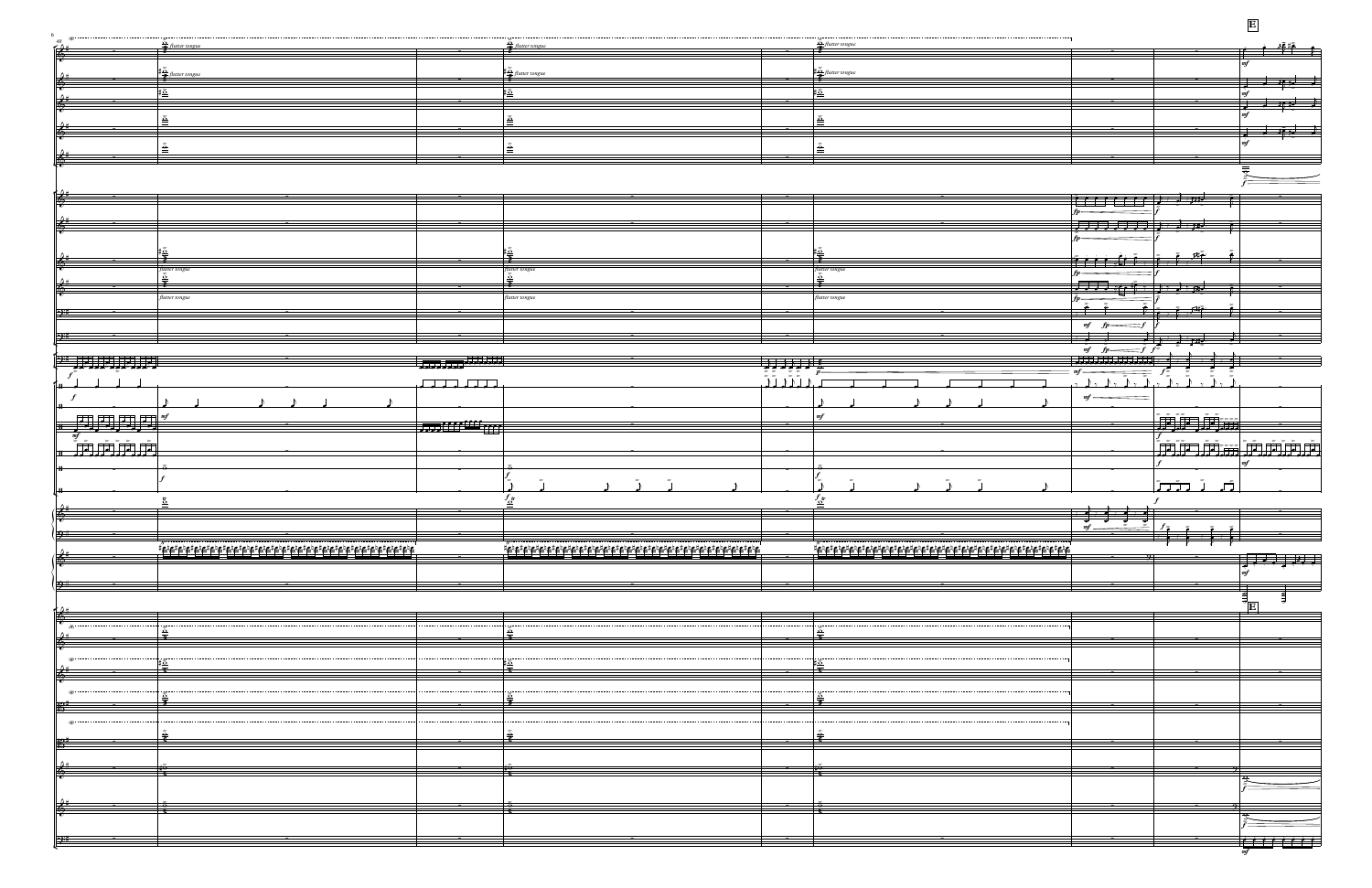|                                                                                                                                                                                                                                                                                 |                                                |                            |                                                                             |                                                      |                                                                                                                                                                                                                                                                                                                                                                                              | $\mathbf{E}$                                                                                                                                                                                                                                                |
|---------------------------------------------------------------------------------------------------------------------------------------------------------------------------------------------------------------------------------------------------------------------------------|------------------------------------------------|----------------------------|-----------------------------------------------------------------------------|------------------------------------------------------|----------------------------------------------------------------------------------------------------------------------------------------------------------------------------------------------------------------------------------------------------------------------------------------------------------------------------------------------------------------------------------------------|-------------------------------------------------------------------------------------------------------------------------------------------------------------------------------------------------------------------------------------------------------------|
| $\mathbb{R}^*$                                                                                                                                                                                                                                                                  | $\frac{6}{3}$ flutter tongue                   |                            | $\frac{a}{\epsilon}$ flutter tongue                                         | $\frac{Q}{2}$ <i>flutter tongue</i>                  |                                                                                                                                                                                                                                                                                                                                                                                              | <u>، په پېښې</u>                                                                                                                                                                                                                                            |
|                                                                                                                                                                                                                                                                                 |                                                |                            |                                                                             |                                                      |                                                                                                                                                                                                                                                                                                                                                                                              | m f                                                                                                                                                                                                                                                         |
|                                                                                                                                                                                                                                                                                 | $\frac{\text{#} \tilde{\mathbf{o}}}{\text{#}}$ |                            | $\frac{\textbf{10}}{\textbf{2}}$ flutter tongue<br>$\overline{\phantom{a}}$ | $\frac{\sharp \sum_{\text{flutter tongue}}}{\sharp}$ |                                                                                                                                                                                                                                                                                                                                                                                              | $\frac{1}{2}$ is the set of $\frac{1}{2}$                                                                                                                                                                                                                   |
|                                                                                                                                                                                                                                                                                 | ∦≧                                             |                            | ₫ŏ<br>--                                                                    | ‡ă                                                   |                                                                                                                                                                                                                                                                                                                                                                                              | m <sub>f</sub><br>لم ليوم تو                                                                                                                                                                                                                                |
|                                                                                                                                                                                                                                                                                 | $\bullet$                                      |                            | $\bullet$                                                                   | $\bullet$                                            |                                                                                                                                                                                                                                                                                                                                                                                              | m <sub>f</sub>                                                                                                                                                                                                                                              |
|                                                                                                                                                                                                                                                                                 |                                                | —                          | --                                                                          |                                                      | --                                                                                                                                                                                                                                                                                                                                                                                           | <b>ファップ</b><br>$\overline{m}$                                                                                                                                                                                                                               |
| $\frac{1}{6}$                                                                                                                                                                                                                                                                   |                                                |                            |                                                                             |                                                      |                                                                                                                                                                                                                                                                                                                                                                                              |                                                                                                                                                                                                                                                             |
|                                                                                                                                                                                                                                                                                 |                                                |                            |                                                                             |                                                      |                                                                                                                                                                                                                                                                                                                                                                                              |                                                                                                                                                                                                                                                             |
| í6''                                                                                                                                                                                                                                                                            |                                                |                            |                                                                             |                                                      | <u>  Creerer Charles Den Joyah</u>                                                                                                                                                                                                                                                                                                                                                           | --                                                                                                                                                                                                                                                          |
|                                                                                                                                                                                                                                                                                 |                                                |                            |                                                                             |                                                      |                                                                                                                                                                                                                                                                                                                                                                                              |                                                                                                                                                                                                                                                             |
|                                                                                                                                                                                                                                                                                 |                                                |                            |                                                                             |                                                      | $\frac{1}{2}$ $\frac{1}{2}$ $\frac{1}{2}$ $\frac{1}{2}$ $\frac{1}{2}$ $\frac{1}{2}$ $\frac{1}{2}$ $\frac{1}{2}$ $\frac{1}{2}$ $\frac{1}{2}$ $\frac{1}{2}$ $\frac{1}{2}$ $\frac{1}{2}$ $\frac{1}{2}$ $\frac{1}{2}$ $\frac{1}{2}$ $\frac{1}{2}$ $\frac{1}{2}$ $\frac{1}{2}$ $\frac{1}{2}$ $\frac{1}{2}$ $\frac{1}{2}$                                                                          |                                                                                                                                                                                                                                                             |
| ⊉⊁≇                                                                                                                                                                                                                                                                             | ₹                                              |                            | علا<br>∃                                                                    | ⊟                                                    | $\frac{1}{2} \frac{1}{2} \frac{1}{2} \frac{1}{2} \frac{1}{2} \frac{1}{2} \frac{1}{2} \frac{1}{2} \frac{1}{2} \frac{1}{2} \frac{1}{2} \frac{1}{2} \frac{1}{2} \frac{1}{2} \frac{1}{2} \frac{1}{2} \frac{1}{2} \frac{1}{2} \frac{1}{2} \frac{1}{2} \frac{1}{2} \frac{1}{2} \frac{1}{2} \frac{1}{2} \frac{1}{2} \frac{1}{2} \frac{1}{2} \frac{1}{2} \frac{1}{2} \frac{1}{2} \frac{1}{2} \frac{$ |                                                                                                                                                                                                                                                             |
|                                                                                                                                                                                                                                                                                 | Hutter tongue<br>$\tilde{\mathbf{a}}$          |                            | flutter tongue<br>هَ                                                        | flutter tongue                                       |                                                                                                                                                                                                                                                                                                                                                                                              |                                                                                                                                                                                                                                                             |
|                                                                                                                                                                                                                                                                                 | flutter tongue                                 |                            | --<br>flutter tongue                                                        | flutter tongue                                       | $\frac{1}{2}$ , $\frac{1}{2}$ , $\frac{1}{2}$ , $\frac{1}{2}$ , $\frac{1}{2}$ , $\frac{1}{2}$ , $\frac{1}{2}$                                                                                                                                                                                                                                                                                | --                                                                                                                                                                                                                                                          |
| י⊕ ה                                                                                                                                                                                                                                                                            |                                                |                            |                                                                             |                                                      | $\geq$<br>$\cdot$ +                                                                                                                                                                                                                                                                                                                                                                          | $E[\frac{1}{6}, \frac{1}{6}, \frac{1}{6}]$                                                                                                                                                                                                                  |
|                                                                                                                                                                                                                                                                                 |                                                |                            |                                                                             |                                                      |                                                                                                                                                                                                                                                                                                                                                                                              |                                                                                                                                                                                                                                                             |
| <u> 9#=</u>                                                                                                                                                                                                                                                                     |                                                |                            | $\sim$                                                                      |                                                      | $\frac{1}{2}$                                                                                                                                                                                                                                                                                                                                                                                | $\Rightarrow$ $\rightarrow$ $\rightarrow$ $\rightarrow$                                                                                                                                                                                                     |
| $\left(\begin{smallmatrix} 2^t & \cdots & 2^t \end{smallmatrix}\right)$                                                                                                                                                                                                         |                                                | <u>الاندلين برور روز ا</u> |                                                                             |                                                      |                                                                                                                                                                                                                                                                                                                                                                                              | $\frac{f}{\sqrt{f}}$ $\frac{f}{\sqrt{f}}$ $\frac{f}{\sqrt{f}}$ $\frac{f}{\sqrt{f}}$ $\frac{f}{\sqrt{f}}$ $\frac{f}{\sqrt{f}}$ $\frac{f}{\sqrt{f}}$ $\frac{f}{\sqrt{f}}$ $\frac{f}{\sqrt{f}}$ $\frac{f}{\sqrt{f}}$ $\frac{f}{\sqrt{f}}$ $\frac{f}{\sqrt{f}}$ |
|                                                                                                                                                                                                                                                                                 |                                                | $\Box$ , $\Box$ ,          |                                                                             |                                                      | $\bar{h}_{+}$ .<br>$\Delta$ , $\Delta$ ,                                                                                                                                                                                                                                                                                                                                                     |                                                                                                                                                                                                                                                             |
|                                                                                                                                                                                                                                                                                 |                                                |                            |                                                                             |                                                      | $m f -$                                                                                                                                                                                                                                                                                                                                                                                      |                                                                                                                                                                                                                                                             |
| $\left  \begin{array}{cc} \frac{1}{2} & \frac{1}{2} \\ \frac{1}{2} & \frac{1}{2} \end{array} \right  \left  \begin{array}{c} \frac{1}{2} & \frac{1}{2} \\ \frac{1}{2} & \frac{1}{2} \end{array} \right  \left  \begin{array}{c} \frac{1}{2} \\ \frac{1}{2} \end{array} \right $ |                                                | martii aa                  |                                                                             |                                                      |                                                                                                                                                                                                                                                                                                                                                                                              | <u>Film film</u>                                                                                                                                                                                                                                            |
| $m$ f<br>通向面面                                                                                                                                                                                                                                                                   |                                                |                            |                                                                             |                                                      |                                                                                                                                                                                                                                                                                                                                                                                              |                                                                                                                                                                                                                                                             |
|                                                                                                                                                                                                                                                                                 |                                                |                            |                                                                             |                                                      |                                                                                                                                                                                                                                                                                                                                                                                              | $\vert$ mf                                                                                                                                                                                                                                                  |
|                                                                                                                                                                                                                                                                                 |                                                |                            |                                                                             |                                                      |                                                                                                                                                                                                                                                                                                                                                                                              | $\geq$<br>$\overrightarrow{ }$                                                                                                                                                                                                                              |
|                                                                                                                                                                                                                                                                                 | 효                                              |                            | t tr<br>് ച്                                                                | $f_{\alpha}^{tr}$                                    |                                                                                                                                                                                                                                                                                                                                                                                              |                                                                                                                                                                                                                                                             |
| 421                                                                                                                                                                                                                                                                             |                                                | --                         | $-$                                                                         |                                                      | $\rightarrow$ $\rightarrow$ $\rightarrow$ $\rightarrow$ $\rightarrow$ $\rightarrow$                                                                                                                                                                                                                                                                                                          | --                                                                                                                                                                                                                                                          |
| (D.L<br>--                                                                                                                                                                                                                                                                      |                                                | $\overline{\phantom{a}}$   | $\overline{\phantom{a}}$                                                    |                                                      | $\frac{1}{m}$                                                                                                                                                                                                                                                                                                                                                                                | $f_{\geq}$<br>$\sim$ $ -$                                                                                                                                                                                                                                   |
|                                                                                                                                                                                                                                                                                 |                                                |                            | --                                                                          |                                                      |                                                                                                                                                                                                                                                                                                                                                                                              | $\overline{\phantom{a}}$                                                                                                                                                                                                                                    |
|                                                                                                                                                                                                                                                                                 |                                                |                            |                                                                             |                                                      |                                                                                                                                                                                                                                                                                                                                                                                              |                                                                                                                                                                                                                                                             |
| $\Theta$ =                                                                                                                                                                                                                                                                      |                                                |                            |                                                                             |                                                      |                                                                                                                                                                                                                                                                                                                                                                                              |                                                                                                                                                                                                                                                             |
| 6                                                                                                                                                                                                                                                                               |                                                |                            |                                                                             |                                                      |                                                                                                                                                                                                                                                                                                                                                                                              | $ \mathbf{E} $                                                                                                                                                                                                                                              |
|                                                                                                                                                                                                                                                                                 | ഛ                                              |                            | $\mathbf{a}$<br>-3                                                          | ≏                                                    |                                                                                                                                                                                                                                                                                                                                                                                              |                                                                                                                                                                                                                                                             |
|                                                                                                                                                                                                                                                                                 |                                                |                            |                                                                             |                                                      |                                                                                                                                                                                                                                                                                                                                                                                              |                                                                                                                                                                                                                                                             |
|                                                                                                                                                                                                                                                                                 |                                                |                            | 3<br>--                                                                     |                                                      |                                                                                                                                                                                                                                                                                                                                                                                              |                                                                                                                                                                                                                                                             |
|                                                                                                                                                                                                                                                                                 |                                                |                            | $\Omega$                                                                    |                                                      |                                                                                                                                                                                                                                                                                                                                                                                              |                                                                                                                                                                                                                                                             |
|                                                                                                                                                                                                                                                                                 |                                                |                            |                                                                             |                                                      |                                                                                                                                                                                                                                                                                                                                                                                              |                                                                                                                                                                                                                                                             |
|                                                                                                                                                                                                                                                                                 |                                                |                            |                                                                             |                                                      |                                                                                                                                                                                                                                                                                                                                                                                              |                                                                                                                                                                                                                                                             |
|                                                                                                                                                                                                                                                                                 |                                                |                            | --                                                                          |                                                      |                                                                                                                                                                                                                                                                                                                                                                                              |                                                                                                                                                                                                                                                             |
|                                                                                                                                                                                                                                                                                 |                                                |                            |                                                                             |                                                      |                                                                                                                                                                                                                                                                                                                                                                                              |                                                                                                                                                                                                                                                             |
|                                                                                                                                                                                                                                                                                 |                                                |                            | --                                                                          |                                                      |                                                                                                                                                                                                                                                                                                                                                                                              |                                                                                                                                                                                                                                                             |
|                                                                                                                                                                                                                                                                                 |                                                |                            |                                                                             |                                                      |                                                                                                                                                                                                                                                                                                                                                                                              |                                                                                                                                                                                                                                                             |
|                                                                                                                                                                                                                                                                                 |                                                |                            | --                                                                          |                                                      |                                                                                                                                                                                                                                                                                                                                                                                              |                                                                                                                                                                                                                                                             |
|                                                                                                                                                                                                                                                                                 |                                                |                            |                                                                             |                                                      |                                                                                                                                                                                                                                                                                                                                                                                              |                                                                                                                                                                                                                                                             |
|                                                                                                                                                                                                                                                                                 |                                                |                            |                                                                             |                                                      |                                                                                                                                                                                                                                                                                                                                                                                              | اثفث ففاتا                                                                                                                                                                                                                                                  |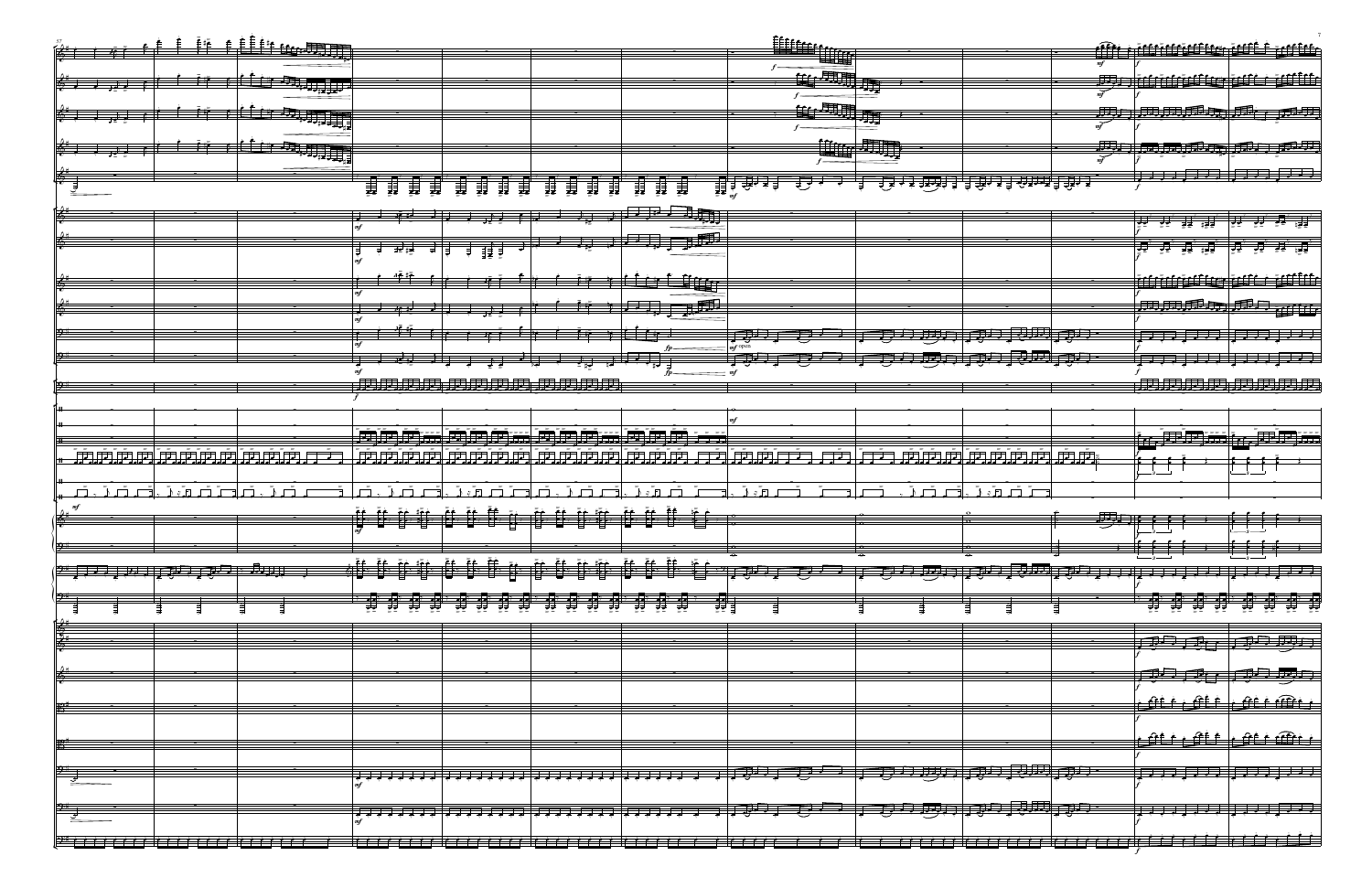|                          |                         |                                                                                                                                                                                                                                                                                                                     |                                                                                                                                                                                                                                                                                                                                                                                                                                                                   | <u>filifice</u>                                                                                                       |                                 |                                                                                                                                                                                                                                |
|--------------------------|-------------------------|---------------------------------------------------------------------------------------------------------------------------------------------------------------------------------------------------------------------------------------------------------------------------------------------------------------------|-------------------------------------------------------------------------------------------------------------------------------------------------------------------------------------------------------------------------------------------------------------------------------------------------------------------------------------------------------------------------------------------------------------------------------------------------------------------|-----------------------------------------------------------------------------------------------------------------------|---------------------------------|--------------------------------------------------------------------------------------------------------------------------------------------------------------------------------------------------------------------------------|
|                          | <u> Arcost, T</u>       |                                                                                                                                                                                                                                                                                                                     |                                                                                                                                                                                                                                                                                                                                                                                                                                                                   | ▀▀▁▛▀                                                                                                                 |                                 | <u>Fire a concentrative continua</u>                                                                                                                                                                                           |
|                          |                         |                                                                                                                                                                                                                                                                                                                     |                                                                                                                                                                                                                                                                                                                                                                                                                                                                   | $\overline{w}$                                                                                                        |                                 | FF, pierrere en en el profil                                                                                                                                                                                                   |
|                          |                         |                                                                                                                                                                                                                                                                                                                     |                                                                                                                                                                                                                                                                                                                                                                                                                                                                   |                                                                                                                       |                                 |                                                                                                                                                                                                                                |
|                          |                         |                                                                                                                                                                                                                                                                                                                     |                                                                                                                                                                                                                                                                                                                                                                                                                                                                   | <b>生化"。"</b>                                                                                                          |                                 | $\pi$ , $\pi$ , $\pi$ , $\pi$ , $\pi$ , $\pi$                                                                                                                                                                                  |
| $\frac{1}{2}$            | $\overline{D}_{\mu\nu}$ |                                                                                                                                                                                                                                                                                                                     |                                                                                                                                                                                                                                                                                                                                                                                                                                                                   |                                                                                                                       |                                 |                                                                                                                                                                                                                                |
|                          |                         |                                                                                                                                                                                                                                                                                                                     |                                                                                                                                                                                                                                                                                                                                                                                                                                                                   |                                                                                                                       |                                 | 海母                                                                                                                                                                                                                             |
|                          | $\sum_{i}$              |                                                                                                                                                                                                                                                                                                                     |                                                                                                                                                                                                                                                                                                                                                                                                                                                                   | <b>The Contract of the Contract of the Contract of the Contract of the Contract of the Contract of the Contract o</b> |                                 | <u> PEZE FEZE FEZE DA</u>                                                                                                                                                                                                      |
| 6                        |                         |                                                                                                                                                                                                                                                                                                                     |                                                                                                                                                                                                                                                                                                                                                                                                                                                                   |                                                                                                                       |                                 | $\overline{\phantom{a}}$                                                                                                                                                                                                       |
|                          |                         | J.<br>蒪<br>Į<br>ţ<br>ţ<br>ţ<br>ţ                                                                                                                                                                                                                                                                                    | <b>W</b><br>ţ<br>Ų<br>Į<br>Ų<br>ţ                                                                                                                                                                                                                                                                                                                                                                                                                                 | $\frac{1}{\sqrt{2}}$ $\frac{1}{\sqrt{2}}$ $\frac{1}{\sqrt{2}}$                                                        | <del>। तुम्ब विद्यान</del> ानुम |                                                                                                                                                                                                                                |
|                          |                         |                                                                                                                                                                                                                                                                                                                     |                                                                                                                                                                                                                                                                                                                                                                                                                                                                   |                                                                                                                       |                                 |                                                                                                                                                                                                                                |
|                          |                         | コース・バット                                                                                                                                                                                                                                                                                                             |                                                                                                                                                                                                                                                                                                                                                                                                                                                                   |                                                                                                                       |                                 | ▕ <del>▞</del> ▘▞▘▞▕▞<br>$\frac{1}{2}$ $\frac{1}{2}$ $\frac{1}{2}$ $\frac{1}{2}$ $\frac{1}{2}$<br>₹                                                                                                                            |
|                          |                         |                                                                                                                                                                                                                                                                                                                     |                                                                                                                                                                                                                                                                                                                                                                                                                                                                   |                                                                                                                       |                                 |                                                                                                                                                                                                                                |
|                          |                         | TI.                                                                                                                                                                                                                                                                                                                 |                                                                                                                                                                                                                                                                                                                                                                                                                                                                   |                                                                                                                       |                                 |                                                                                                                                                                                                                                |
|                          |                         |                                                                                                                                                                                                                                                                                                                     | <u>skir tím</u>                                                                                                                                                                                                                                                                                                                                                                                                                                                   |                                                                                                                       |                                 |                                                                                                                                                                                                                                |
|                          |                         |                                                                                                                                                                                                                                                                                                                     |                                                                                                                                                                                                                                                                                                                                                                                                                                                                   |                                                                                                                       |                                 |                                                                                                                                                                                                                                |
|                          |                         |                                                                                                                                                                                                                                                                                                                     | $\frac{1}{\sqrt{2}}$                                                                                                                                                                                                                                                                                                                                                                                                                                              |                                                                                                                       |                                 | $\langle \overline{m}, \overline{m}, \overline{m}, \overline{m} \rangle$ , with                                                                                                                                                |
|                          |                         | $\frac{1}{2}$ $\frac{1}{2}$ $\frac{1}{2}$ $\frac{1}{2}$ $\frac{1}{2}$ $\frac{1}{2}$ $\frac{1}{2}$ $\frac{1}{2}$ $\frac{1}{2}$ $\frac{1}{2}$ $\frac{1}{2}$ $\frac{1}{2}$ $\frac{1}{2}$ $\frac{1}{2}$ $\frac{1}{2}$ $\frac{1}{2}$ $\frac{1}{2}$ $\frac{1}{2}$ $\frac{1}{2}$ $\frac{1}{2}$ $\frac{1}{2}$ $\frac{1}{2}$ | $5$ if $-$ is $1$ . If the $\alpha$                                                                                                                                                                                                                                                                                                                                                                                                                               |                                                                                                                       | アファカカ プワ マストカラー                 | $\equiv$ , , , ,                                                                                                                                                                                                               |
|                          |                         |                                                                                                                                                                                                                                                                                                                     |                                                                                                                                                                                                                                                                                                                                                                                                                                                                   | 子手                                                                                                                    |                                 |                                                                                                                                                                                                                                |
|                          |                         |                                                                                                                                                                                                                                                                                                                     |                                                                                                                                                                                                                                                                                                                                                                                                                                                                   | <u>ज़िले ।</u>                                                                                                        | フルカ プタフ プルプ カワー                 |                                                                                                                                                                                                                                |
|                          |                         |                                                                                                                                                                                                                                                                                                                     |                                                                                                                                                                                                                                                                                                                                                                                                                                                                   |                                                                                                                       |                                 |                                                                                                                                                                                                                                |
|                          |                         |                                                                                                                                                                                                                                                                                                                     |                                                                                                                                                                                                                                                                                                                                                                                                                                                                   |                                                                                                                       |                                 |                                                                                                                                                                                                                                |
|                          |                         |                                                                                                                                                                                                                                                                                                                     |                                                                                                                                                                                                                                                                                                                                                                                                                                                                   |                                                                                                                       |                                 |                                                                                                                                                                                                                                |
|                          |                         |                                                                                                                                                                                                                                                                                                                     |                                                                                                                                                                                                                                                                                                                                                                                                                                                                   |                                                                                                                       |                                 | de de la populación de la contradición de la contradición de la contradición de la contradición de la contradición de la contradición de la contradición de la contradición de la contradición de la contradición de la contra |
|                          |                         |                                                                                                                                                                                                                                                                                                                     | <u>ؘؘ؆؉ڗڗ؋ڔۻۯ؊ڒ؋ڒۻڒ؊ڔۻڒۄ؊ڒۻ</u><br>ۯڿڗڔ؋ڗۺڗ؊ۺڗۺۿڸۺۯۺۯۺۯڋۯ<br><u>ا آخری</u>                                                                                                                                                                                                                                                                                                                                                                                        |                                                                                                                       |                                 | ,更更为                                                                                                                                                                                                                           |
| <u>,沛府南南南南南南南南方</u>      | $+$                     |                                                                                                                                                                                                                                                                                                                     |                                                                                                                                                                                                                                                                                                                                                                                                                                                                   | 月三期见历                                                                                                                 |                                 |                                                                                                                                                                                                                                |
|                          |                         |                                                                                                                                                                                                                                                                                                                     |                                                                                                                                                                                                                                                                                                                                                                                                                                                                   |                                                                                                                       |                                 |                                                                                                                                                                                                                                |
| <u>Ìn d, ìn n</u>        |                         | ri, iniri, i, iniriri                                                                                                                                                                                                                                                                                               | $\lambda$ , $\lambda$ , $\overrightarrow{H}$ , $\lambda$ , $\overrightarrow{H}$ , $\overrightarrow{H}$                                                                                                                                                                                                                                                                                                                                                            | $\tilde{h}$ $\tilde{r}$ $\tilde{F}$                                                                                   | <u>jriri, janin</u>             |                                                                                                                                                                                                                                |
|                          |                         |                                                                                                                                                                                                                                                                                                                     | $\frac{1}{\sqrt{2}}\left(\frac{1}{\sqrt{2}}\right)^{\frac{1}{2}}\left(\frac{1}{\sqrt{2}}\right)^{\frac{1}{2}}\left(\frac{1}{\sqrt{2}}\right)^{\frac{1}{2}}\left(\frac{1}{\sqrt{2}}\right)^{\frac{1}{2}}\left(\frac{1}{\sqrt{2}}\right)^{\frac{1}{2}}\left(\frac{1}{\sqrt{2}}\right)^{\frac{1}{2}}\left(\frac{1}{\sqrt{2}}\right)^{\frac{1}{2}}\left(\frac{1}{\sqrt{2}}\right)^{\frac{1}{2}}\left(\frac{1}{\sqrt{2}}\right)^{\frac{1}{2}}\left(\frac{1}{\sqrt{2}}$ |                                                                                                                       |                                 | $J = J$ , $J = I$                                                                                                                                                                                                              |
|                          |                         |                                                                                                                                                                                                                                                                                                                     |                                                                                                                                                                                                                                                                                                                                                                                                                                                                   |                                                                                                                       |                                 |                                                                                                                                                                                                                                |
| 9:1                      |                         |                                                                                                                                                                                                                                                                                                                     |                                                                                                                                                                                                                                                                                                                                                                                                                                                                   | $\sim$                                                                                                                |                                 | $\cdot$ $\cdot$ $\cdot$ $\cdot$ $\cdot$<br>$\sim$ $\sim$ $\sim$ $\sim$                                                                                                                                                         |
| $\mathbb{P}^1$<br>$\Box$ |                         |                                                                                                                                                                                                                                                                                                                     |                                                                                                                                                                                                                                                                                                                                                                                                                                                                   |                                                                                                                       | $\Box$ $\Box$                   | $\overline{1}$ , $\overline{1}$ , $\overline{1}$ , $\overline{1}$ , $\overline{1}$<br><u> Fara de la P</u>                                                                                                                     |
|                          |                         |                                                                                                                                                                                                                                                                                                                     |                                                                                                                                                                                                                                                                                                                                                                                                                                                                   |                                                                                                                       |                                 |                                                                                                                                                                                                                                |
|                          |                         |                                                                                                                                                                                                                                                                                                                     | $\frac{1}{22}$ , $\frac{1}{22}$ , $\frac{1}{22}$ , $\frac{1}{22}$ , $\frac{1}{22}$ , $\frac{1}{22}$ , $\frac{1}{22}$ , $\frac{1}{22}$<br>≢₹                                                                                                                                                                                                                                                                                                                       |                                                                                                                       |                                 |                                                                                                                                                                                                                                |
|                          |                         |                                                                                                                                                                                                                                                                                                                     |                                                                                                                                                                                                                                                                                                                                                                                                                                                                   |                                                                                                                       |                                 |                                                                                                                                                                                                                                |
|                          |                         |                                                                                                                                                                                                                                                                                                                     |                                                                                                                                                                                                                                                                                                                                                                                                                                                                   |                                                                                                                       |                                 | けい パッ けい 毎日                                                                                                                                                                                                                    |
|                          |                         |                                                                                                                                                                                                                                                                                                                     |                                                                                                                                                                                                                                                                                                                                                                                                                                                                   |                                                                                                                       |                                 |                                                                                                                                                                                                                                |
|                          |                         |                                                                                                                                                                                                                                                                                                                     |                                                                                                                                                                                                                                                                                                                                                                                                                                                                   |                                                                                                                       |                                 | (カワ ファ・・・ フカフ カア                                                                                                                                                                                                               |
|                          |                         |                                                                                                                                                                                                                                                                                                                     |                                                                                                                                                                                                                                                                                                                                                                                                                                                                   |                                                                                                                       |                                 |                                                                                                                                                                                                                                |
|                          |                         |                                                                                                                                                                                                                                                                                                                     |                                                                                                                                                                                                                                                                                                                                                                                                                                                                   |                                                                                                                       |                                 | فكأفئ فكأفئ<br><u>fit are</u>                                                                                                                                                                                                  |
|                          |                         |                                                                                                                                                                                                                                                                                                                     |                                                                                                                                                                                                                                                                                                                                                                                                                                                                   |                                                                                                                       |                                 |                                                                                                                                                                                                                                |
|                          |                         |                                                                                                                                                                                                                                                                                                                     |                                                                                                                                                                                                                                                                                                                                                                                                                                                                   |                                                                                                                       |                                 | فكثف فتنش<br>$\epsilon$                                                                                                                                                                                                        |
|                          |                         |                                                                                                                                                                                                                                                                                                                     |                                                                                                                                                                                                                                                                                                                                                                                                                                                                   |                                                                                                                       |                                 |                                                                                                                                                                                                                                |
| $ 9^* $                  |                         |                                                                                                                                                                                                                                                                                                                     |                                                                                                                                                                                                                                                                                                                                                                                                                                                                   | $\Box$                                                                                                                | でり あっ はっ であ ばりー                 |                                                                                                                                                                                                                                |
|                          |                         |                                                                                                                                                                                                                                                                                                                     |                                                                                                                                                                                                                                                                                                                                                                                                                                                                   |                                                                                                                       |                                 |                                                                                                                                                                                                                                |
| $ 2^* $                  |                         | <del>1777 1777   1777 1777   1777</del> 1777   1777 17                                                                                                                                                                                                                                                              |                                                                                                                                                                                                                                                                                                                                                                                                                                                                   | ーラーフ                                                                                                                  | カ カカ フカワ マカ プカ                  | $\Box$ $\Box$ $\Box$ $\Box$ $\Box$ $\Box$                                                                                                                                                                                      |
|                          |                         |                                                                                                                                                                                                                                                                                                                     |                                                                                                                                                                                                                                                                                                                                                                                                                                                                   |                                                                                                                       |                                 |                                                                                                                                                                                                                                |
|                          |                         |                                                                                                                                                                                                                                                                                                                     |                                                                                                                                                                                                                                                                                                                                                                                                                                                                   | $\rightarrow$ $\rightarrow$ $\rightarrow$ $\rightarrow$ $\rightarrow$                                                 |                                 |                                                                                                                                                                                                                                |

|   |                  | <del>ئا ئىرى تىن ب</del> |                          | - 341                                                         |            |
|---|------------------|--------------------------|--------------------------|---------------------------------------------------------------|------------|
|   | $\boldsymbol{m}$ |                          |                          |                                                               |            |
|   |                  |                          |                          |                                                               | č⊈ ⊞       |
|   |                  |                          |                          |                                                               |            |
|   |                  | $\overline{L}$           | $\overline{\phantom{a}}$ | $\mathcal{L}$ , $\mathcal{L}$ , $\mathcal{L}$ , $\mathcal{L}$ |            |
|   |                  |                          |                          |                                                               |            |
| - |                  |                          |                          |                                                               |            |
|   | -----            |                          |                          |                                                               | $\pm 7.44$ |
|   |                  |                          |                          |                                                               |            |
|   |                  |                          |                          |                                                               |            |



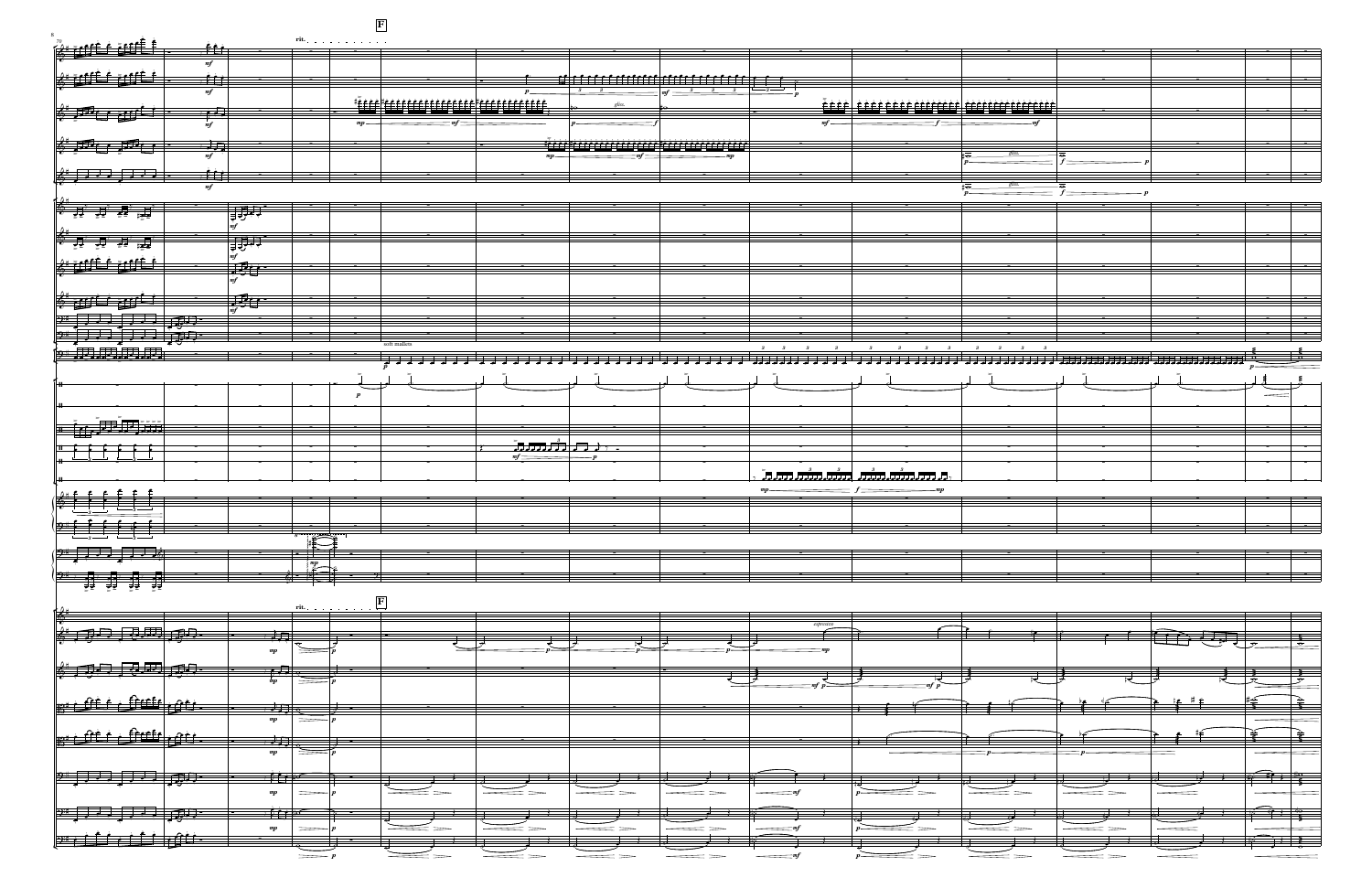**F**

| prent anti<br><u>, iti</u>                                                                                                                                                                                                                                                        |                                                             |                      |               |                                                                                    |                                                     |                                    |                                                                                                                 |
|-----------------------------------------------------------------------------------------------------------------------------------------------------------------------------------------------------------------------------------------------------------------------------------|-------------------------------------------------------------|----------------------|---------------|------------------------------------------------------------------------------------|-----------------------------------------------------|------------------------------------|-----------------------------------------------------------------------------------------------------------------|
| $_{mf}$                                                                                                                                                                                                                                                                           |                                                             |                      |               |                                                                                    |                                                     |                                    |                                                                                                                 |
| $\frac{1}{2}$                                                                                                                                                                                                                                                                     |                                                             |                      |               | <u>s er er er er er et er er er er er er er e</u>                                  |                                                     |                                    |                                                                                                                 |
| مخ فر د<br>$\overline{mf}$                                                                                                                                                                                                                                                        |                                                             |                      | $\mathbf{3}$  | $mf \frac{3}{\sqrt{3}}$ $\frac{3}{\sqrt{3}}$ $\frac{3}{\sqrt{3}}$<br>$\frac{1}{p}$ |                                                     |                                    |                                                                                                                 |
|                                                                                                                                                                                                                                                                                   |                                                             |                      |               |                                                                                    |                                                     |                                    |                                                                                                                 |
| بمان و مانیو کا<br>$\mathbb{Z}[\mathfrak{g},\mathfrak{g}]$<br>mf                                                                                                                                                                                                                  | $mp-$                                                       |                      |               | $m f -$                                                                            |                                                     |                                    |                                                                                                                 |
|                                                                                                                                                                                                                                                                                   |                                                             |                      |               |                                                                                    |                                                     |                                    |                                                                                                                 |
| $\cdot$ ) $\Box$<br>عظم کا<br>$\overline{1}$                                                                                                                                                                                                                                      |                                                             |                      |               |                                                                                    |                                                     | gliss.                             |                                                                                                                 |
| mf                                                                                                                                                                                                                                                                                |                                                             |                      |               | - mp                                                                               |                                                     |                                    |                                                                                                                 |
| فألأح<br>$\frac{1}{6}$<br>$\overline{\phantom{a}}$ , $\overline{\phantom{a}}$ , $\overline{\phantom{a}}$ , $\overline{\phantom{a}}$ , $\overline{\phantom{a}}$                                                                                                                    |                                                             |                      |               |                                                                                    |                                                     |                                    |                                                                                                                 |
| m f                                                                                                                                                                                                                                                                               |                                                             |                      |               |                                                                                    |                                                     | gliss.                             |                                                                                                                 |
|                                                                                                                                                                                                                                                                                   | 現年                                                          |                      |               |                                                                                    |                                                     |                                    |                                                                                                                 |
|                                                                                                                                                                                                                                                                                   | mf                                                          |                      |               |                                                                                    |                                                     |                                    |                                                                                                                 |
|                                                                                                                                                                                                                                                                                   |                                                             |                      |               |                                                                                    |                                                     |                                    |                                                                                                                 |
|                                                                                                                                                                                                                                                                                   | <b>FILL</b>                                                 |                      |               |                                                                                    |                                                     |                                    |                                                                                                                 |
| <b>BELLET FILLE</b>                                                                                                                                                                                                                                                               | mf<br>E                                                     |                      |               |                                                                                    |                                                     |                                    |                                                                                                                 |
|                                                                                                                                                                                                                                                                                   | $\vert$ mf                                                  |                      |               |                                                                                    |                                                     |                                    |                                                                                                                 |
|                                                                                                                                                                                                                                                                                   |                                                             |                      |               |                                                                                    |                                                     |                                    |                                                                                                                 |
| نائنڈ کا<br>$\pm$ and $\pm$                                                                                                                                                                                                                                                       | $\sqrt{\frac{1}{m}}$                                        |                      |               |                                                                                    |                                                     |                                    |                                                                                                                 |
| $\begin{array}{ c c c c c c c c } \hline \mathcal{P} & \mathcal{P} & \mathcal{P} & \mathcal{P} \\ \hline \mathcal{P} & \mathcal{P} & \mathcal{P} & \mathcal{P} & \mathcal{P} \\ \hline \mathcal{P} & \mathcal{P} & \mathcal{P} & \mathcal{P} & \mathcal{P} \\ \hline \end{array}$ |                                                             |                      |               |                                                                                    |                                                     |                                    |                                                                                                                 |
|                                                                                                                                                                                                                                                                                   |                                                             |                      |               |                                                                                    |                                                     |                                    |                                                                                                                 |
| .<br><u>河原源源源</u><br> 9≇                                                                                                                                                                                                                                                          |                                                             | soft mallets         |               | क्राम ल                                                                            |                                                     |                                    | $-\mathbf{e}$                                                                                                   |
|                                                                                                                                                                                                                                                                                   |                                                             |                      |               |                                                                                    |                                                     |                                    | ,,,,,,,,,,,,,                                                                                                   |
|                                                                                                                                                                                                                                                                                   |                                                             |                      |               |                                                                                    |                                                     |                                    |                                                                                                                 |
|                                                                                                                                                                                                                                                                                   | $\boldsymbol{p}$                                            |                      |               |                                                                                    |                                                     |                                    |                                                                                                                 |
|                                                                                                                                                                                                                                                                                   |                                                             |                      |               |                                                                                    |                                                     |                                    |                                                                                                                 |
| 男弟                                                                                                                                                                                                                                                                                | —                                                           |                      |               |                                                                                    |                                                     |                                    |                                                                                                                 |
|                                                                                                                                                                                                                                                                                   |                                                             | <del>hmiln r</del>   |               |                                                                                    |                                                     |                                    |                                                                                                                 |
|                                                                                                                                                                                                                                                                                   |                                                             | $m f =$              |               |                                                                                    |                                                     |                                    |                                                                                                                 |
|                                                                                                                                                                                                                                                                                   |                                                             |                      |               | $\overline{\mathbf{3}}$                                                            | $\overline{\mathbf{3}}$<br>ັນຫນໜຶ່ນໜຶ່ນ ໜ້ານໜ້ານໜັນ |                                    |                                                                                                                 |
|                                                                                                                                                                                                                                                                                   |                                                             |                      |               | mp—                                                                                | — MP                                                |                                    |                                                                                                                 |
| 8:5:5:5:5                                                                                                                                                                                                                                                                         |                                                             |                      |               |                                                                                    |                                                     |                                    |                                                                                                                 |
|                                                                                                                                                                                                                                                                                   |                                                             |                      |               |                                                                                    |                                                     |                                    |                                                                                                                 |
|                                                                                                                                                                                                                                                                                   |                                                             |                      |               |                                                                                    |                                                     |                                    |                                                                                                                 |
|                                                                                                                                                                                                                                                                                   |                                                             |                      |               |                                                                                    |                                                     |                                    |                                                                                                                 |
| $(2^*$ $\Box$ $\Box$ $\Box$                                                                                                                                                                                                                                                       |                                                             |                      |               |                                                                                    |                                                     |                                    |                                                                                                                 |
|                                                                                                                                                                                                                                                                                   | $\frac{mp}{2}$                                              |                      |               |                                                                                    |                                                     |                                    |                                                                                                                 |
| $\frac{24}{7}$<br>$\frac{1}{2}$ $\frac{1}{2}$ $\frac{1}{2}$ $\frac{1}{2}$                                                                                                                                                                                                         |                                                             |                      |               |                                                                                    |                                                     |                                    |                                                                                                                 |
|                                                                                                                                                                                                                                                                                   | rit. .                                                      | $\boxed{\mathbf{F}}$ |               |                                                                                    |                                                     |                                    |                                                                                                                 |
| 隆                                                                                                                                                                                                                                                                                 |                                                             |                      |               |                                                                                    |                                                     |                                    |                                                                                                                 |
| $\left \frac{\partial}{\partial t}\right $ , $\frac{1}{\sqrt{2}}$ , $\frac{1}{\sqrt{2}}$ , $\frac{1}{\sqrt{2}}$ , $\frac{1}{\sqrt{2}}$ , $\frac{1}{\sqrt{2}}$ , $\frac{1}{\sqrt{2}}$                                                                                              | ्रो                                                         |                      |               | $e$ spresivo                                                                       |                                                     |                                    |                                                                                                                 |
|                                                                                                                                                                                                                                                                                   | $\it mp$                                                    |                      |               | m p                                                                                |                                                     |                                    | te au<br>$\frac{1}{\sigma}$                                                                                     |
|                                                                                                                                                                                                                                                                                   |                                                             |                      |               |                                                                                    |                                                     |                                    |                                                                                                                 |
| $\frac{1}{2}$ $\frac{1}{2}$ $\frac{1}{2}$ $\frac{1}{2}$ $\frac{1}{2}$ $\frac{1}{2}$ $\frac{1}{2}$                                                                                                                                                                                 | 76.4                                                        |                      |               |                                                                                    | <u>। ज</u>                                          | ╤<br>न् ।<br>र                     | ऻॾ<br>⊟≸<br>⊤रू                                                                                                 |
|                                                                                                                                                                                                                                                                                   |                                                             |                      |               |                                                                                    |                                                     |                                    |                                                                                                                 |
| <b>B</b> C                                                                                                                                                                                                                                                                        | $\cdot$ ) $\Box$ $\sim$                                     |                      |               |                                                                                    |                                                     |                                    | $\frac{4}{2}$                                                                                                   |
|                                                                                                                                                                                                                                                                                   | $\mathfrak{m}p$                                             |                      |               |                                                                                    |                                                     |                                    |                                                                                                                 |
| <b>B</b> C                                                                                                                                                                                                                                                                        |                                                             |                      |               |                                                                                    |                                                     |                                    |                                                                                                                 |
|                                                                                                                                                                                                                                                                                   | $\Rightarrow$ $\Box$<br>$\overline{\phantom{a}}$<br>$_{mp}$ |                      |               |                                                                                    |                                                     |                                    |                                                                                                                 |
|                                                                                                                                                                                                                                                                                   |                                                             |                      |               |                                                                                    |                                                     |                                    |                                                                                                                 |
| $2^{n}$ , $\frac{1}{2^{n}}$ , $\frac{1}{2^{n}}$ , $\frac{1}{2^{n}}$                                                                                                                                                                                                               | كالأم المستوفر                                              |                      | $\rightarrow$ |                                                                                    |                                                     | $\rightarrow$                      | $\frac{1}{2}$ $\frac{1}{2}$ $\frac{1}{2}$ $\frac{1}{2}$ $\frac{1}{2}$ $\frac{1}{2}$ $\frac{1}{2}$ $\frac{1}{2}$ |
|                                                                                                                                                                                                                                                                                   | $\it mp$<br>=                                               | $\equiv$ $\,$        | $\!=\!=$      | $\!=$ $\!=$<br>$-$ mf                                                              |                                                     | $\!=\!=$<br>===                    |                                                                                                                 |
|                                                                                                                                                                                                                                                                                   |                                                             |                      |               |                                                                                    |                                                     |                                    | $\sqrt{2}$                                                                                                      |
| $\frac{1}{2}$ $\frac{1}{2}$ $\frac{1}{2}$ $\frac{1}{2}$ $\frac{1}{2}$ $\frac{1}{2}$<br>$\frac{1}{2}$                                                                                                                                                                              | ەلا مۇ ئ                                                    |                      |               | $\rightarrow$ $\rightarrow$                                                        |                                                     | $\equiv$ $\equiv$                  | $\rightarrow$                                                                                                   |
| t <u>etti le</u> ftia                                                                                                                                                                                                                                                             | $\mathfrak{m}p$                                             |                      | $\!=$ $\!=$   | $\qquad \qquad \Longrightarrow$<br>$-$ mf                                          |                                                     | $\equiv$ $\equiv$<br>$\rightarrow$ | $\mathbb{F}$ : $\mathbb{F}$                                                                                     |
|                                                                                                                                                                                                                                                                                   |                                                             |                      |               |                                                                                    |                                                     |                                    |                                                                                                                 |

**r i t .** *7 0* . . . . . . . 8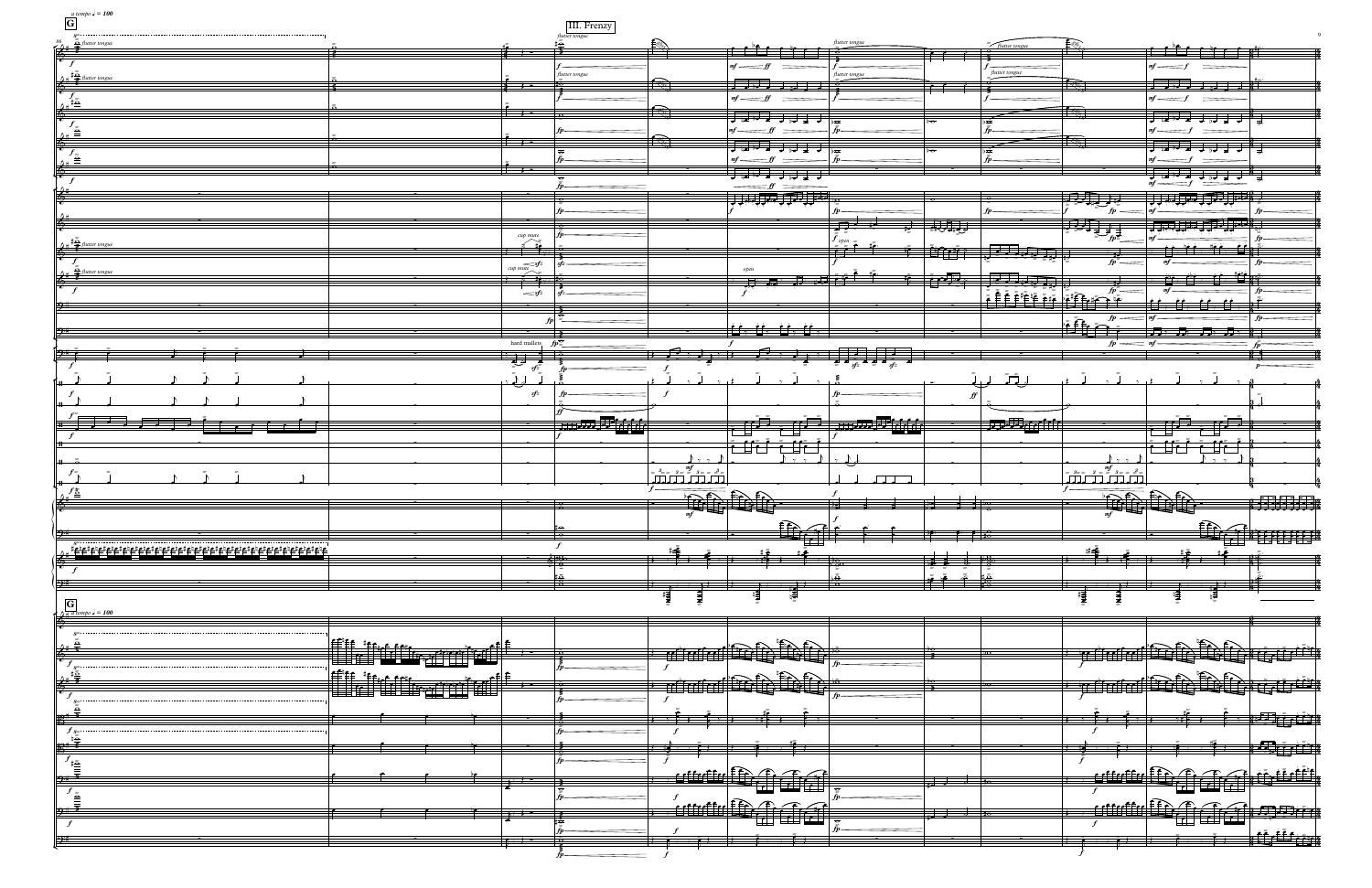| $\tilde{\mathbf{Q}}$ flutter tongue<br>$\mathbb{R}_p$<br>tš<br>flutter tongue<br>$\left[\begin{matrix} \frac{\partial}{\partial} & \frac{\partial}{\partial} \\ \frac{\partial}{\partial} & f \end{matrix}\right]$<br>flutter tongue<br>$F$ $f$ $f$ $f$ $g$ $g$ $g$ $g$ $g$ $h$ $h$<br>$\mathbf{r} = \mathbf{r} \mathbf{r} + \mathbf{r} \mathbf{r} + \mathbf{r} \mathbf{r} + \mathbf{r} \mathbf{r}$<br>ੋ∎ ∤ −<br>$\overline{\phantom{a}}$<br>$m f \longrightarrow f f$<br>$m f \equiv f$<br>$\qquad \qquad =$<br>flutter tongue<br>$\begin{array}{c}\n\begin{array}{c}\n\downarrow \frac{1}{2} \\ \hline\n\downarrow \frac{1}{2}\n\end{array}\n\end{array}$<br>flutter tongue<br>flutter tongue<br>$\overline{\mathbb{R}}$<br>$\sqrt{2}$<br>न करने<br>$\longrightarrow$<br>حائلا<br>$\sqrt{2}$<br>$\begin{array}{c}\n\overline{f} \\ \overline{f} \\ \overline{f} \\ \overline{g} \\ \overline{g} \\ \overline{g} \\ \overline{g} \\ \overline{g} \\ \overline{g} \\ \overline{g} \\ \overline{g} \\ \overline{g} \\ \overline{g} \\ \overline{g} \\ \overline{g} \\ \overline{g} \\ \overline{g} \\ \overline{g} \\ \overline{g} \\ \overline{g} \\ \overline{g} \\ \overline{g} \\ \overline{g} \\ \overline{g} \\ \overline{g} \\ \overline{g} \\ \overline{g} \\ \overline{g} \\ \overline{g} \\ \overline{g} \\ \over$<br>$m f \equiv f f$<br>$\frac{f}{f}$<br>$\qquad \qquad =$<br>$\mathbb{R}$<br>$\overline{\mathbb{Z}}$<br>كتها<br><del>रिकामी राजपुर</del><br>र दिल्ली के साथ पर <sup>14</sup><br>$\overline{p}$<br>$\int_{\frac{5}{6}}^{5}$<br>$\textrm{\it mf}$ —— $\textrm{\it ff}$<br>$\frac{f}{f}$ = $\frac{f}{f}$ = $\frac{f}{f}$<br>$\frac{2}{3}$<br>$\widehat{\mathbb{R}}$<br>$\frac{dy}{dx}$<br>$\rightarrow$<br>$\sqrt{1 + \frac{1}{2} + \frac{1}{2} + \frac{1}{2} + \frac{1}{2} + \frac{1}{2}}$<br>$\frac{1}{\sqrt{1+\frac{1}{2}}}\sqrt{\frac{1}{2+\frac{1}{2}}\sqrt{\frac{1}{2+\frac{1}{2}}}}$<br>১ত<br>$f_{\underline{\frac{z}{\underline{\theta}}}}$<br>$\mathcal{M}$ $\longrightarrow$ $\mathcal{M}$ $\longrightarrow$<br>$\frac{f}{f}$<br>$\frac{2}{3}$<br>$\begin{array}{ccc} \uparrow & \uparrow & \cdot \end{array}$<br><del>रासेल र रास र र</del><br>$\frac{1}{\sqrt{1-\frac{1}{n}}\sqrt{1-\frac{1}{n}}\sqrt{1-\frac{1}{n}}\sqrt{1-\frac{1}{n}}}}$<br>$\frac{1}{\sqrt{2\pi}}$<br>।ఊ<br>$\sqrt{10}$<br>$\frac{1}{2}$ , $\frac{1}{2}$ , $\frac{1}{2}$ , $\frac{1}{2}$ , $\frac{1}{2}$ , $\frac{1}{2}$ , $\frac{1}{2}$<br><b>Ferrer</b><br>$\overline{\phantom{a}}$<br>$fp$ .<br>$\frac{2}{6}$<br>$\sqrt{100}$ $\sqrt{10}$ $\sqrt{100}$<br>--<br>क्रीक्री<br><del>प्रेश</del><br>cup mute<br>$\begin{array}{ c c } \hline \begin{array}{c} \hline \text{#} & \text{#} \\ \hline \text{#} & \text{filter tongue} \end{array} \end{array}$<br>$\sim$<br>open<br>$\frac{1}{1+\frac{1}{2}}$<br>$\geq$ $\geq$ $\sim$<br><u>ee, het, het, det</u><br>$\frac{1}{2}$<br>$\overline{C}$ cup mute<br>$\begin{array}{ c c }\n\hline\n\end{array}$<br>open<br>$\pm \sigma$ , $\pm$<br><u>er, er, er, et</u><br>$\sqrt{100}$ , $\sqrt{100}$<br>$\frac{1}{2}$ is $\frac{1}{2}$<br>$\frac{1}{2}$ $\frac{1}{2}$ $\frac{1}{2}$ $\frac{1}{2}$ $\frac{1}{2}$ $\frac{1}{2}$ $\frac{1}{2}$ $\frac{1}{2}$<br>$<$ sfz<br>$\sqcup', \sqcup', \sqcup', \sqcup'$ .<br>9:1<br>--<br>ত<br>in f<br>$\blacksquare$ , $\blacksquare$ , $\blacksquare$ , $\blacksquare$<br> 9# =<br>$f p^{\nabla}$<br>hard mallets<br>fp<br>$\mathcal{F}$ , $\mathcal{F}$ , $\mathcal{F}$<br>$\Box$<br>$9 - 6$<br>$\frac{1}{\sqrt{1+\frac{1}{2}}}\frac{1}{\sqrt{1+\frac{1}{2}}}\frac{1}{\sqrt{1+\frac{1}{2}}}\frac{1}{\sqrt{1+\frac{1}{2}}}\frac{1}{\sqrt{1+\frac{1}{2}}}\frac{1}{\sqrt{1+\frac{1}{2}}}\frac{1}{\sqrt{1+\frac{1}{2}}}\frac{1}{\sqrt{1+\frac{1}{2}}}\frac{1}{\sqrt{1+\frac{1}{2}}}\frac{1}{\sqrt{1+\frac{1}{2}}}\frac{1}{\sqrt{1+\frac{1}{2}}}\frac{1}{\sqrt{1+\frac{1}{2}}}\frac{1}{\sqrt{1+\frac{1}{2}}}\frac{1}{\sqrt{1+\frac{$<br>$\frac{1}{2}$<br>$sf{z}$<br>$\sum_{i=1}^{n}$<br>sfz<br>赤灰色色<br>mm, Tala<br>ترمع<br>▜▔▘▗<br>▜▀▛▀▀▀▀<br>كالخط<br>كاظكا<br>士亡<br>Ħ<br>$\begin{array}{c}\n\frac{3}{2} \\ \frac{3}{2} \\ \frac{3}{2} \\ \frac{3}{2} \\ \frac{3}{2} \\ \frac{3}{2} \\ \frac{3}{2} \\ \frac{3}{2} \\ \frac{3}{2} \\ \frac{3}{2} \\ \frac{3}{2} \\ \frac{3}{2} \\ \frac{3}{2} \\ \frac{3}{2} \\ \frac{3}{2} \\ \frac{3}{2} \\ \frac{3}{2} \\ \frac{3}{2} \\ \frac{3}{2} \\ \frac{3}{2} \\ \frac{3}{2} \\ \frac{3}{2} \\ \frac{3}{2} \\ \frac{3}{2} \\ \frac{3}{2} \\ \frac{3}{2} \\ \frac{3$<br>$\Box$<br>┉<br>$f^{\rm tr}_{\bf \Delta}$<br>$\frac{1}{\sqrt{2}}\sum_{i=1}^{n}\sum_{j=1}^{n}\sum_{j=1}^{n}\sum_{j=1}^{n}\sum_{j=1}^{n}\sum_{j=1}^{n}\sum_{j=1}^{n}$<br>绿绿<br>ี้ใ∞ื่<br>$\bullet$ $\bullet$ $\circ$<br>$\overline{\phantom{a}}$<br>--<br>$+ \circ$<br>$\bigoplus_{i\in I} \mathcal{A}_i$<br><u> Dans</u><br>(פי∉<br>$\bullet$ $\bullet$ $\bullet$<br><u> La serie de la constanta de la constanta de la constanta de la constanta de la constanta de la constanta de la constanta de la constanta de la constanta de la constanta de la constanta de la constanta de la constanta de </u><br>$\frac{1}{2}$<br><del>, 18</del> 0<br>$\rightarrow 8$<br>$+2$<br>$D\mathbf{O}$<br>$+$<br>$9^{\circ}$<br>-8<br>$\rightarrow$ :<br>$T \times T$<br>$-\mathbf{o}$<br>ţ<br>博<br>Ģ<br>$G$<br>$\theta$ # $\frac{d}{d}$ a tempo $\frac{1}{2}$ = 100<br><u> Latari Citi Citizani</u><br>$\frac{1}{2}$ , where $\frac{1}{2}$ , $\frac{1}{2}$ , $\frac{1}{2}$<br>$\frac{2}{6}$<br>$\cdot$ $\cdot$<br>₽o−<br>$\boldsymbol{f}_{\boldsymbol{\delta}^{\text{no}}}$<br>াতৃ<br>E <sup>n</sup><br><u> Letatat Colo Colora</u><br>$\frac{1}{2}$ , where $\frac{1}{2}$ is the state of $\frac{1}{2}$<br>$\frac{\partial f}{\partial}$<br>$\overline{p}$<br>▁▁▞ <i>▙▛▖▅▚▅▚▅<sup>▅▅</sup>▝▚▛▗▞▀▕▕▕▕▏▁▁</i> ░▁ <u>▗▁▔</u><br>▚▆▙▙▃▏▄▙▟▃▖▕▅▙▙▅▅▕<br>$\rightarrow$<br>$\frac{1}{2}$ , $\frac{1}{2}$ , $\frac{1}{2}$ , $\frac{1}{2}$<br>$\mathbb{B}^*$<br>$\sim$ $\rightarrow$ $\sim$<br>$\rightarrow$ $\rightarrow$ $\rightarrow$ $\rightarrow$<br>$\sim$ $\rightarrow$ $\rightarrow$<br>$\rightarrow$ $\rightarrow$ $\rightarrow$<br>$\gamma$ is the $\lambda$<br>$\rightarrow$ $\rightarrow$ $\rightarrow$<br>$\rightarrow$<br>$\begin{array}{ c c } \hline f_{\delta^m} \\ \hline \hline \mathbf{B}^{\ddagger} \\ \hline \mathbf{B}^{\ddagger} \\ \hline \end{array}$<br><b>Fight</b><br>$\mathbf{R} \times \mathbf{R}$<br>$\left  \cdot \right $ $\left  \cdot \right $ $\left  \cdot \right $<br>$\frac{1}{2}$ ight $\frac{1}{2}$ is a finite<br>$\begin{array}{c}\n\hline\nf_{\frac{15}{15}} \\ \hline\n\end{array}$<br>يمنن الكران والأفننا<br>$\frac{1}{2}$ $\frac{1}{2}$ $\frac{1}{2}$ $\frac{1}{2}$ $\frac{1}{2}$<br>$\rightarrow$<br><u>ututtu Defi alah pa</u> pa<br>ututu D.G.G.A<br>$\mathbf{p}$<br>$\frac{1}{2}$ $\frac{1}{2}$ $\frac{1}{2}$ to<br>$\lambda^2$ $\lambda$ $\sim$<br>اللغا للغا<br>▞▏<br>$\boldsymbol{f}$<br><u>, jirin</u><br>∣ஊ<br>$\lambda$ $\lambda$ $\lambda$ $\lambda$ $\lambda$ $\lambda$<br>$\uparrow$ $\uparrow$ $\uparrow$ $\uparrow$ $\uparrow$<br>$\bullet$ $\rightarrow$ $\rightarrow$<br>$\mathcal{X}$ $\mathcal{Y}$ $\mathcal{Y}$ $\mathcal{Y}$ $\mathcal{Y}$ $\mathcal{Y}$<br>$\sim$ $\sim$ $\sim$ |    | G |  | <b>III.</b> Frenzy<br>flutter tongue |  |  |  |
|--------------------------------------------------------------------------------------------------------------------------------------------------------------------------------------------------------------------------------------------------------------------------------------------------------------------------------------------------------------------------------------------------------------------------------------------------------------------------------------------------------------------------------------------------------------------------------------------------------------------------------------------------------------------------------------------------------------------------------------------------------------------------------------------------------------------------------------------------------------------------------------------------------------------------------------------------------------------------------------------------------------------------------------------------------------------------------------------------------------------------------------------------------------------------------------------------------------------------------------------------------------------------------------------------------------------------------------------------------------------------------------------------------------------------------------------------------------------------------------------------------------------------------------------------------------------------------------------------------------------------------------------------------------------------------------------------------------------------------------------------------------------------------------------------------------------------------------------------------------------------------------------------------------------------------------------------------------------------------------------------------------------------------------------------------------------------------------------------------------------------------------------------------------------------------------------------------------------------------------------------------------------------------------------------------------------------------------------------------------------------------------------------------------------------------------------------------------------------------------------------------------------------------------------------------------------------------------------------------------------------------------------------------------------------------------------------------------------------------------------------------------------------------------------------------------------------------------------------------------------------------------------------------------------------------------------------------------------------------------------------------------------------------------------------------------------------------------------------------------------------------------------------------------------------------------------------------------------------------------------------------------------------------------------------------------------------------------------------------------------------------------------------------------------------------------------------------------------------------------------------------------------------------------------------------------------------------------------------------------------------------------------------------------------------------------------------------------------------------------------------------------------------------------------------------------------------------------------------------------------------------------------------------------------------------------------------------------------------------------------------------------------------------------------------------------------------------------------------------------------------------------------------------------------------------------------------------------------------------------------------------------------------------------------------------------------------------------------------------------------------------------------------------------------------------------------------------------------------------------------------------------------------------------------------------------------------------------------------------------------------------------------------------------------------------------------------------------------------------------------------------------------------------------------------------------------------------------------------------------------------------------------------------------------------------------------------------------------------------------------------------------------------------------------------------------------------------------------------------------------------------------------------------------------------------------------------------------------------------------------------------------------------------------------------------------------------------------------------------------------------------------------------------------------------------------------------------------------------------------------------------------------------------------------------------------------------------------------------------------------------------------------------------------------------------------------------------------------------------------------------------------------------------------------------------------------------------------------------------------------------------------------------------------------------------------------------------------------------------------------------------------------------------------------------------------------------------------------------------------------------------------------------------------------------------------------------------------------------------------------------------------------------------------------------------------------------------------------------------------------------------------------------------------------------------------------------------------------------------------------------------------------------------------------------------------------------------------------------------------------------------------------------------------------------------------------------------------------------------------------------------------------------------------------------------------------------------------------------------------------------------------------------------------------------------------------------------------------------------------------------------------------------------------------------------------------------------------------------------------------------------------------------------------------------------------------------------------------------------------------|----|---|--|--------------------------------------|--|--|--|
|                                                                                                                                                                                                                                                                                                                                                                                                                                                                                                                                                                                                                                                                                                                                                                                                                                                                                                                                                                                                                                                                                                                                                                                                                                                                                                                                                                                                                                                                                                                                                                                                                                                                                                                                                                                                                                                                                                                                                                                                                                                                                                                                                                                                                                                                                                                                                                                                                                                                                                                                                                                                                                                                                                                                                                                                                                                                                                                                                                                                                                                                                                                                                                                                                                                                                                                                                                                                                                                                                                                                                                                                                                                                                                                                                                                                                                                                                                                                                                                                                                                                                                                                                                                                                                                                                                                                                                                                                                                                                                                                                                                                                                                                                                                                                                                                                                                                                                                                                                                                                                                                                                                                                                                                                                                                                                                                                                                                                                                                                                                                                                                                                                                                                                                                                                                                                                                                                                                                                                                                                                                                                                                                                                                                                                                                                                                                                                                                                                                                                                                                                                                                                                                                                                                                                                                                                                                                                                                                                                                                                                                                                                                                                                                                                                            | 86 |   |  |                                      |  |  |  |
|                                                                                                                                                                                                                                                                                                                                                                                                                                                                                                                                                                                                                                                                                                                                                                                                                                                                                                                                                                                                                                                                                                                                                                                                                                                                                                                                                                                                                                                                                                                                                                                                                                                                                                                                                                                                                                                                                                                                                                                                                                                                                                                                                                                                                                                                                                                                                                                                                                                                                                                                                                                                                                                                                                                                                                                                                                                                                                                                                                                                                                                                                                                                                                                                                                                                                                                                                                                                                                                                                                                                                                                                                                                                                                                                                                                                                                                                                                                                                                                                                                                                                                                                                                                                                                                                                                                                                                                                                                                                                                                                                                                                                                                                                                                                                                                                                                                                                                                                                                                                                                                                                                                                                                                                                                                                                                                                                                                                                                                                                                                                                                                                                                                                                                                                                                                                                                                                                                                                                                                                                                                                                                                                                                                                                                                                                                                                                                                                                                                                                                                                                                                                                                                                                                                                                                                                                                                                                                                                                                                                                                                                                                                                                                                                                                            |    |   |  |                                      |  |  |  |
|                                                                                                                                                                                                                                                                                                                                                                                                                                                                                                                                                                                                                                                                                                                                                                                                                                                                                                                                                                                                                                                                                                                                                                                                                                                                                                                                                                                                                                                                                                                                                                                                                                                                                                                                                                                                                                                                                                                                                                                                                                                                                                                                                                                                                                                                                                                                                                                                                                                                                                                                                                                                                                                                                                                                                                                                                                                                                                                                                                                                                                                                                                                                                                                                                                                                                                                                                                                                                                                                                                                                                                                                                                                                                                                                                                                                                                                                                                                                                                                                                                                                                                                                                                                                                                                                                                                                                                                                                                                                                                                                                                                                                                                                                                                                                                                                                                                                                                                                                                                                                                                                                                                                                                                                                                                                                                                                                                                                                                                                                                                                                                                                                                                                                                                                                                                                                                                                                                                                                                                                                                                                                                                                                                                                                                                                                                                                                                                                                                                                                                                                                                                                                                                                                                                                                                                                                                                                                                                                                                                                                                                                                                                                                                                                                                            |    |   |  |                                      |  |  |  |
|                                                                                                                                                                                                                                                                                                                                                                                                                                                                                                                                                                                                                                                                                                                                                                                                                                                                                                                                                                                                                                                                                                                                                                                                                                                                                                                                                                                                                                                                                                                                                                                                                                                                                                                                                                                                                                                                                                                                                                                                                                                                                                                                                                                                                                                                                                                                                                                                                                                                                                                                                                                                                                                                                                                                                                                                                                                                                                                                                                                                                                                                                                                                                                                                                                                                                                                                                                                                                                                                                                                                                                                                                                                                                                                                                                                                                                                                                                                                                                                                                                                                                                                                                                                                                                                                                                                                                                                                                                                                                                                                                                                                                                                                                                                                                                                                                                                                                                                                                                                                                                                                                                                                                                                                                                                                                                                                                                                                                                                                                                                                                                                                                                                                                                                                                                                                                                                                                                                                                                                                                                                                                                                                                                                                                                                                                                                                                                                                                                                                                                                                                                                                                                                                                                                                                                                                                                                                                                                                                                                                                                                                                                                                                                                                                                            |    |   |  |                                      |  |  |  |
|                                                                                                                                                                                                                                                                                                                                                                                                                                                                                                                                                                                                                                                                                                                                                                                                                                                                                                                                                                                                                                                                                                                                                                                                                                                                                                                                                                                                                                                                                                                                                                                                                                                                                                                                                                                                                                                                                                                                                                                                                                                                                                                                                                                                                                                                                                                                                                                                                                                                                                                                                                                                                                                                                                                                                                                                                                                                                                                                                                                                                                                                                                                                                                                                                                                                                                                                                                                                                                                                                                                                                                                                                                                                                                                                                                                                                                                                                                                                                                                                                                                                                                                                                                                                                                                                                                                                                                                                                                                                                                                                                                                                                                                                                                                                                                                                                                                                                                                                                                                                                                                                                                                                                                                                                                                                                                                                                                                                                                                                                                                                                                                                                                                                                                                                                                                                                                                                                                                                                                                                                                                                                                                                                                                                                                                                                                                                                                                                                                                                                                                                                                                                                                                                                                                                                                                                                                                                                                                                                                                                                                                                                                                                                                                                                                            |    |   |  |                                      |  |  |  |
|                                                                                                                                                                                                                                                                                                                                                                                                                                                                                                                                                                                                                                                                                                                                                                                                                                                                                                                                                                                                                                                                                                                                                                                                                                                                                                                                                                                                                                                                                                                                                                                                                                                                                                                                                                                                                                                                                                                                                                                                                                                                                                                                                                                                                                                                                                                                                                                                                                                                                                                                                                                                                                                                                                                                                                                                                                                                                                                                                                                                                                                                                                                                                                                                                                                                                                                                                                                                                                                                                                                                                                                                                                                                                                                                                                                                                                                                                                                                                                                                                                                                                                                                                                                                                                                                                                                                                                                                                                                                                                                                                                                                                                                                                                                                                                                                                                                                                                                                                                                                                                                                                                                                                                                                                                                                                                                                                                                                                                                                                                                                                                                                                                                                                                                                                                                                                                                                                                                                                                                                                                                                                                                                                                                                                                                                                                                                                                                                                                                                                                                                                                                                                                                                                                                                                                                                                                                                                                                                                                                                                                                                                                                                                                                                                                            |    |   |  |                                      |  |  |  |
|                                                                                                                                                                                                                                                                                                                                                                                                                                                                                                                                                                                                                                                                                                                                                                                                                                                                                                                                                                                                                                                                                                                                                                                                                                                                                                                                                                                                                                                                                                                                                                                                                                                                                                                                                                                                                                                                                                                                                                                                                                                                                                                                                                                                                                                                                                                                                                                                                                                                                                                                                                                                                                                                                                                                                                                                                                                                                                                                                                                                                                                                                                                                                                                                                                                                                                                                                                                                                                                                                                                                                                                                                                                                                                                                                                                                                                                                                                                                                                                                                                                                                                                                                                                                                                                                                                                                                                                                                                                                                                                                                                                                                                                                                                                                                                                                                                                                                                                                                                                                                                                                                                                                                                                                                                                                                                                                                                                                                                                                                                                                                                                                                                                                                                                                                                                                                                                                                                                                                                                                                                                                                                                                                                                                                                                                                                                                                                                                                                                                                                                                                                                                                                                                                                                                                                                                                                                                                                                                                                                                                                                                                                                                                                                                                                            |    |   |  |                                      |  |  |  |
|                                                                                                                                                                                                                                                                                                                                                                                                                                                                                                                                                                                                                                                                                                                                                                                                                                                                                                                                                                                                                                                                                                                                                                                                                                                                                                                                                                                                                                                                                                                                                                                                                                                                                                                                                                                                                                                                                                                                                                                                                                                                                                                                                                                                                                                                                                                                                                                                                                                                                                                                                                                                                                                                                                                                                                                                                                                                                                                                                                                                                                                                                                                                                                                                                                                                                                                                                                                                                                                                                                                                                                                                                                                                                                                                                                                                                                                                                                                                                                                                                                                                                                                                                                                                                                                                                                                                                                                                                                                                                                                                                                                                                                                                                                                                                                                                                                                                                                                                                                                                                                                                                                                                                                                                                                                                                                                                                                                                                                                                                                                                                                                                                                                                                                                                                                                                                                                                                                                                                                                                                                                                                                                                                                                                                                                                                                                                                                                                                                                                                                                                                                                                                                                                                                                                                                                                                                                                                                                                                                                                                                                                                                                                                                                                                                            |    |   |  |                                      |  |  |  |
|                                                                                                                                                                                                                                                                                                                                                                                                                                                                                                                                                                                                                                                                                                                                                                                                                                                                                                                                                                                                                                                                                                                                                                                                                                                                                                                                                                                                                                                                                                                                                                                                                                                                                                                                                                                                                                                                                                                                                                                                                                                                                                                                                                                                                                                                                                                                                                                                                                                                                                                                                                                                                                                                                                                                                                                                                                                                                                                                                                                                                                                                                                                                                                                                                                                                                                                                                                                                                                                                                                                                                                                                                                                                                                                                                                                                                                                                                                                                                                                                                                                                                                                                                                                                                                                                                                                                                                                                                                                                                                                                                                                                                                                                                                                                                                                                                                                                                                                                                                                                                                                                                                                                                                                                                                                                                                                                                                                                                                                                                                                                                                                                                                                                                                                                                                                                                                                                                                                                                                                                                                                                                                                                                                                                                                                                                                                                                                                                                                                                                                                                                                                                                                                                                                                                                                                                                                                                                                                                                                                                                                                                                                                                                                                                                                            |    |   |  |                                      |  |  |  |
|                                                                                                                                                                                                                                                                                                                                                                                                                                                                                                                                                                                                                                                                                                                                                                                                                                                                                                                                                                                                                                                                                                                                                                                                                                                                                                                                                                                                                                                                                                                                                                                                                                                                                                                                                                                                                                                                                                                                                                                                                                                                                                                                                                                                                                                                                                                                                                                                                                                                                                                                                                                                                                                                                                                                                                                                                                                                                                                                                                                                                                                                                                                                                                                                                                                                                                                                                                                                                                                                                                                                                                                                                                                                                                                                                                                                                                                                                                                                                                                                                                                                                                                                                                                                                                                                                                                                                                                                                                                                                                                                                                                                                                                                                                                                                                                                                                                                                                                                                                                                                                                                                                                                                                                                                                                                                                                                                                                                                                                                                                                                                                                                                                                                                                                                                                                                                                                                                                                                                                                                                                                                                                                                                                                                                                                                                                                                                                                                                                                                                                                                                                                                                                                                                                                                                                                                                                                                                                                                                                                                                                                                                                                                                                                                                                            |    |   |  |                                      |  |  |  |
|                                                                                                                                                                                                                                                                                                                                                                                                                                                                                                                                                                                                                                                                                                                                                                                                                                                                                                                                                                                                                                                                                                                                                                                                                                                                                                                                                                                                                                                                                                                                                                                                                                                                                                                                                                                                                                                                                                                                                                                                                                                                                                                                                                                                                                                                                                                                                                                                                                                                                                                                                                                                                                                                                                                                                                                                                                                                                                                                                                                                                                                                                                                                                                                                                                                                                                                                                                                                                                                                                                                                                                                                                                                                                                                                                                                                                                                                                                                                                                                                                                                                                                                                                                                                                                                                                                                                                                                                                                                                                                                                                                                                                                                                                                                                                                                                                                                                                                                                                                                                                                                                                                                                                                                                                                                                                                                                                                                                                                                                                                                                                                                                                                                                                                                                                                                                                                                                                                                                                                                                                                                                                                                                                                                                                                                                                                                                                                                                                                                                                                                                                                                                                                                                                                                                                                                                                                                                                                                                                                                                                                                                                                                                                                                                                                            |    |   |  |                                      |  |  |  |
|                                                                                                                                                                                                                                                                                                                                                                                                                                                                                                                                                                                                                                                                                                                                                                                                                                                                                                                                                                                                                                                                                                                                                                                                                                                                                                                                                                                                                                                                                                                                                                                                                                                                                                                                                                                                                                                                                                                                                                                                                                                                                                                                                                                                                                                                                                                                                                                                                                                                                                                                                                                                                                                                                                                                                                                                                                                                                                                                                                                                                                                                                                                                                                                                                                                                                                                                                                                                                                                                                                                                                                                                                                                                                                                                                                                                                                                                                                                                                                                                                                                                                                                                                                                                                                                                                                                                                                                                                                                                                                                                                                                                                                                                                                                                                                                                                                                                                                                                                                                                                                                                                                                                                                                                                                                                                                                                                                                                                                                                                                                                                                                                                                                                                                                                                                                                                                                                                                                                                                                                                                                                                                                                                                                                                                                                                                                                                                                                                                                                                                                                                                                                                                                                                                                                                                                                                                                                                                                                                                                                                                                                                                                                                                                                                                            |    |   |  |                                      |  |  |  |
|                                                                                                                                                                                                                                                                                                                                                                                                                                                                                                                                                                                                                                                                                                                                                                                                                                                                                                                                                                                                                                                                                                                                                                                                                                                                                                                                                                                                                                                                                                                                                                                                                                                                                                                                                                                                                                                                                                                                                                                                                                                                                                                                                                                                                                                                                                                                                                                                                                                                                                                                                                                                                                                                                                                                                                                                                                                                                                                                                                                                                                                                                                                                                                                                                                                                                                                                                                                                                                                                                                                                                                                                                                                                                                                                                                                                                                                                                                                                                                                                                                                                                                                                                                                                                                                                                                                                                                                                                                                                                                                                                                                                                                                                                                                                                                                                                                                                                                                                                                                                                                                                                                                                                                                                                                                                                                                                                                                                                                                                                                                                                                                                                                                                                                                                                                                                                                                                                                                                                                                                                                                                                                                                                                                                                                                                                                                                                                                                                                                                                                                                                                                                                                                                                                                                                                                                                                                                                                                                                                                                                                                                                                                                                                                                                                            |    |   |  |                                      |  |  |  |
|                                                                                                                                                                                                                                                                                                                                                                                                                                                                                                                                                                                                                                                                                                                                                                                                                                                                                                                                                                                                                                                                                                                                                                                                                                                                                                                                                                                                                                                                                                                                                                                                                                                                                                                                                                                                                                                                                                                                                                                                                                                                                                                                                                                                                                                                                                                                                                                                                                                                                                                                                                                                                                                                                                                                                                                                                                                                                                                                                                                                                                                                                                                                                                                                                                                                                                                                                                                                                                                                                                                                                                                                                                                                                                                                                                                                                                                                                                                                                                                                                                                                                                                                                                                                                                                                                                                                                                                                                                                                                                                                                                                                                                                                                                                                                                                                                                                                                                                                                                                                                                                                                                                                                                                                                                                                                                                                                                                                                                                                                                                                                                                                                                                                                                                                                                                                                                                                                                                                                                                                                                                                                                                                                                                                                                                                                                                                                                                                                                                                                                                                                                                                                                                                                                                                                                                                                                                                                                                                                                                                                                                                                                                                                                                                                                            |    |   |  |                                      |  |  |  |
|                                                                                                                                                                                                                                                                                                                                                                                                                                                                                                                                                                                                                                                                                                                                                                                                                                                                                                                                                                                                                                                                                                                                                                                                                                                                                                                                                                                                                                                                                                                                                                                                                                                                                                                                                                                                                                                                                                                                                                                                                                                                                                                                                                                                                                                                                                                                                                                                                                                                                                                                                                                                                                                                                                                                                                                                                                                                                                                                                                                                                                                                                                                                                                                                                                                                                                                                                                                                                                                                                                                                                                                                                                                                                                                                                                                                                                                                                                                                                                                                                                                                                                                                                                                                                                                                                                                                                                                                                                                                                                                                                                                                                                                                                                                                                                                                                                                                                                                                                                                                                                                                                                                                                                                                                                                                                                                                                                                                                                                                                                                                                                                                                                                                                                                                                                                                                                                                                                                                                                                                                                                                                                                                                                                                                                                                                                                                                                                                                                                                                                                                                                                                                                                                                                                                                                                                                                                                                                                                                                                                                                                                                                                                                                                                                                            |    |   |  |                                      |  |  |  |
|                                                                                                                                                                                                                                                                                                                                                                                                                                                                                                                                                                                                                                                                                                                                                                                                                                                                                                                                                                                                                                                                                                                                                                                                                                                                                                                                                                                                                                                                                                                                                                                                                                                                                                                                                                                                                                                                                                                                                                                                                                                                                                                                                                                                                                                                                                                                                                                                                                                                                                                                                                                                                                                                                                                                                                                                                                                                                                                                                                                                                                                                                                                                                                                                                                                                                                                                                                                                                                                                                                                                                                                                                                                                                                                                                                                                                                                                                                                                                                                                                                                                                                                                                                                                                                                                                                                                                                                                                                                                                                                                                                                                                                                                                                                                                                                                                                                                                                                                                                                                                                                                                                                                                                                                                                                                                                                                                                                                                                                                                                                                                                                                                                                                                                                                                                                                                                                                                                                                                                                                                                                                                                                                                                                                                                                                                                                                                                                                                                                                                                                                                                                                                                                                                                                                                                                                                                                                                                                                                                                                                                                                                                                                                                                                                                            |    |   |  |                                      |  |  |  |
|                                                                                                                                                                                                                                                                                                                                                                                                                                                                                                                                                                                                                                                                                                                                                                                                                                                                                                                                                                                                                                                                                                                                                                                                                                                                                                                                                                                                                                                                                                                                                                                                                                                                                                                                                                                                                                                                                                                                                                                                                                                                                                                                                                                                                                                                                                                                                                                                                                                                                                                                                                                                                                                                                                                                                                                                                                                                                                                                                                                                                                                                                                                                                                                                                                                                                                                                                                                                                                                                                                                                                                                                                                                                                                                                                                                                                                                                                                                                                                                                                                                                                                                                                                                                                                                                                                                                                                                                                                                                                                                                                                                                                                                                                                                                                                                                                                                                                                                                                                                                                                                                                                                                                                                                                                                                                                                                                                                                                                                                                                                                                                                                                                                                                                                                                                                                                                                                                                                                                                                                                                                                                                                                                                                                                                                                                                                                                                                                                                                                                                                                                                                                                                                                                                                                                                                                                                                                                                                                                                                                                                                                                                                                                                                                                                            |    |   |  |                                      |  |  |  |
|                                                                                                                                                                                                                                                                                                                                                                                                                                                                                                                                                                                                                                                                                                                                                                                                                                                                                                                                                                                                                                                                                                                                                                                                                                                                                                                                                                                                                                                                                                                                                                                                                                                                                                                                                                                                                                                                                                                                                                                                                                                                                                                                                                                                                                                                                                                                                                                                                                                                                                                                                                                                                                                                                                                                                                                                                                                                                                                                                                                                                                                                                                                                                                                                                                                                                                                                                                                                                                                                                                                                                                                                                                                                                                                                                                                                                                                                                                                                                                                                                                                                                                                                                                                                                                                                                                                                                                                                                                                                                                                                                                                                                                                                                                                                                                                                                                                                                                                                                                                                                                                                                                                                                                                                                                                                                                                                                                                                                                                                                                                                                                                                                                                                                                                                                                                                                                                                                                                                                                                                                                                                                                                                                                                                                                                                                                                                                                                                                                                                                                                                                                                                                                                                                                                                                                                                                                                                                                                                                                                                                                                                                                                                                                                                                                            |    |   |  |                                      |  |  |  |
|                                                                                                                                                                                                                                                                                                                                                                                                                                                                                                                                                                                                                                                                                                                                                                                                                                                                                                                                                                                                                                                                                                                                                                                                                                                                                                                                                                                                                                                                                                                                                                                                                                                                                                                                                                                                                                                                                                                                                                                                                                                                                                                                                                                                                                                                                                                                                                                                                                                                                                                                                                                                                                                                                                                                                                                                                                                                                                                                                                                                                                                                                                                                                                                                                                                                                                                                                                                                                                                                                                                                                                                                                                                                                                                                                                                                                                                                                                                                                                                                                                                                                                                                                                                                                                                                                                                                                                                                                                                                                                                                                                                                                                                                                                                                                                                                                                                                                                                                                                                                                                                                                                                                                                                                                                                                                                                                                                                                                                                                                                                                                                                                                                                                                                                                                                                                                                                                                                                                                                                                                                                                                                                                                                                                                                                                                                                                                                                                                                                                                                                                                                                                                                                                                                                                                                                                                                                                                                                                                                                                                                                                                                                                                                                                                                            |    |   |  |                                      |  |  |  |
|                                                                                                                                                                                                                                                                                                                                                                                                                                                                                                                                                                                                                                                                                                                                                                                                                                                                                                                                                                                                                                                                                                                                                                                                                                                                                                                                                                                                                                                                                                                                                                                                                                                                                                                                                                                                                                                                                                                                                                                                                                                                                                                                                                                                                                                                                                                                                                                                                                                                                                                                                                                                                                                                                                                                                                                                                                                                                                                                                                                                                                                                                                                                                                                                                                                                                                                                                                                                                                                                                                                                                                                                                                                                                                                                                                                                                                                                                                                                                                                                                                                                                                                                                                                                                                                                                                                                                                                                                                                                                                                                                                                                                                                                                                                                                                                                                                                                                                                                                                                                                                                                                                                                                                                                                                                                                                                                                                                                                                                                                                                                                                                                                                                                                                                                                                                                                                                                                                                                                                                                                                                                                                                                                                                                                                                                                                                                                                                                                                                                                                                                                                                                                                                                                                                                                                                                                                                                                                                                                                                                                                                                                                                                                                                                                                            |    |   |  |                                      |  |  |  |
|                                                                                                                                                                                                                                                                                                                                                                                                                                                                                                                                                                                                                                                                                                                                                                                                                                                                                                                                                                                                                                                                                                                                                                                                                                                                                                                                                                                                                                                                                                                                                                                                                                                                                                                                                                                                                                                                                                                                                                                                                                                                                                                                                                                                                                                                                                                                                                                                                                                                                                                                                                                                                                                                                                                                                                                                                                                                                                                                                                                                                                                                                                                                                                                                                                                                                                                                                                                                                                                                                                                                                                                                                                                                                                                                                                                                                                                                                                                                                                                                                                                                                                                                                                                                                                                                                                                                                                                                                                                                                                                                                                                                                                                                                                                                                                                                                                                                                                                                                                                                                                                                                                                                                                                                                                                                                                                                                                                                                                                                                                                                                                                                                                                                                                                                                                                                                                                                                                                                                                                                                                                                                                                                                                                                                                                                                                                                                                                                                                                                                                                                                                                                                                                                                                                                                                                                                                                                                                                                                                                                                                                                                                                                                                                                                                            |    |   |  |                                      |  |  |  |
|                                                                                                                                                                                                                                                                                                                                                                                                                                                                                                                                                                                                                                                                                                                                                                                                                                                                                                                                                                                                                                                                                                                                                                                                                                                                                                                                                                                                                                                                                                                                                                                                                                                                                                                                                                                                                                                                                                                                                                                                                                                                                                                                                                                                                                                                                                                                                                                                                                                                                                                                                                                                                                                                                                                                                                                                                                                                                                                                                                                                                                                                                                                                                                                                                                                                                                                                                                                                                                                                                                                                                                                                                                                                                                                                                                                                                                                                                                                                                                                                                                                                                                                                                                                                                                                                                                                                                                                                                                                                                                                                                                                                                                                                                                                                                                                                                                                                                                                                                                                                                                                                                                                                                                                                                                                                                                                                                                                                                                                                                                                                                                                                                                                                                                                                                                                                                                                                                                                                                                                                                                                                                                                                                                                                                                                                                                                                                                                                                                                                                                                                                                                                                                                                                                                                                                                                                                                                                                                                                                                                                                                                                                                                                                                                                                            |    |   |  |                                      |  |  |  |
|                                                                                                                                                                                                                                                                                                                                                                                                                                                                                                                                                                                                                                                                                                                                                                                                                                                                                                                                                                                                                                                                                                                                                                                                                                                                                                                                                                                                                                                                                                                                                                                                                                                                                                                                                                                                                                                                                                                                                                                                                                                                                                                                                                                                                                                                                                                                                                                                                                                                                                                                                                                                                                                                                                                                                                                                                                                                                                                                                                                                                                                                                                                                                                                                                                                                                                                                                                                                                                                                                                                                                                                                                                                                                                                                                                                                                                                                                                                                                                                                                                                                                                                                                                                                                                                                                                                                                                                                                                                                                                                                                                                                                                                                                                                                                                                                                                                                                                                                                                                                                                                                                                                                                                                                                                                                                                                                                                                                                                                                                                                                                                                                                                                                                                                                                                                                                                                                                                                                                                                                                                                                                                                                                                                                                                                                                                                                                                                                                                                                                                                                                                                                                                                                                                                                                                                                                                                                                                                                                                                                                                                                                                                                                                                                                                            |    |   |  |                                      |  |  |  |
|                                                                                                                                                                                                                                                                                                                                                                                                                                                                                                                                                                                                                                                                                                                                                                                                                                                                                                                                                                                                                                                                                                                                                                                                                                                                                                                                                                                                                                                                                                                                                                                                                                                                                                                                                                                                                                                                                                                                                                                                                                                                                                                                                                                                                                                                                                                                                                                                                                                                                                                                                                                                                                                                                                                                                                                                                                                                                                                                                                                                                                                                                                                                                                                                                                                                                                                                                                                                                                                                                                                                                                                                                                                                                                                                                                                                                                                                                                                                                                                                                                                                                                                                                                                                                                                                                                                                                                                                                                                                                                                                                                                                                                                                                                                                                                                                                                                                                                                                                                                                                                                                                                                                                                                                                                                                                                                                                                                                                                                                                                                                                                                                                                                                                                                                                                                                                                                                                                                                                                                                                                                                                                                                                                                                                                                                                                                                                                                                                                                                                                                                                                                                                                                                                                                                                                                                                                                                                                                                                                                                                                                                                                                                                                                                                                            |    |   |  |                                      |  |  |  |
|                                                                                                                                                                                                                                                                                                                                                                                                                                                                                                                                                                                                                                                                                                                                                                                                                                                                                                                                                                                                                                                                                                                                                                                                                                                                                                                                                                                                                                                                                                                                                                                                                                                                                                                                                                                                                                                                                                                                                                                                                                                                                                                                                                                                                                                                                                                                                                                                                                                                                                                                                                                                                                                                                                                                                                                                                                                                                                                                                                                                                                                                                                                                                                                                                                                                                                                                                                                                                                                                                                                                                                                                                                                                                                                                                                                                                                                                                                                                                                                                                                                                                                                                                                                                                                                                                                                                                                                                                                                                                                                                                                                                                                                                                                                                                                                                                                                                                                                                                                                                                                                                                                                                                                                                                                                                                                                                                                                                                                                                                                                                                                                                                                                                                                                                                                                                                                                                                                                                                                                                                                                                                                                                                                                                                                                                                                                                                                                                                                                                                                                                                                                                                                                                                                                                                                                                                                                                                                                                                                                                                                                                                                                                                                                                                                            |    |   |  |                                      |  |  |  |
|                                                                                                                                                                                                                                                                                                                                                                                                                                                                                                                                                                                                                                                                                                                                                                                                                                                                                                                                                                                                                                                                                                                                                                                                                                                                                                                                                                                                                                                                                                                                                                                                                                                                                                                                                                                                                                                                                                                                                                                                                                                                                                                                                                                                                                                                                                                                                                                                                                                                                                                                                                                                                                                                                                                                                                                                                                                                                                                                                                                                                                                                                                                                                                                                                                                                                                                                                                                                                                                                                                                                                                                                                                                                                                                                                                                                                                                                                                                                                                                                                                                                                                                                                                                                                                                                                                                                                                                                                                                                                                                                                                                                                                                                                                                                                                                                                                                                                                                                                                                                                                                                                                                                                                                                                                                                                                                                                                                                                                                                                                                                                                                                                                                                                                                                                                                                                                                                                                                                                                                                                                                                                                                                                                                                                                                                                                                                                                                                                                                                                                                                                                                                                                                                                                                                                                                                                                                                                                                                                                                                                                                                                                                                                                                                                                            |    |   |  |                                      |  |  |  |
|                                                                                                                                                                                                                                                                                                                                                                                                                                                                                                                                                                                                                                                                                                                                                                                                                                                                                                                                                                                                                                                                                                                                                                                                                                                                                                                                                                                                                                                                                                                                                                                                                                                                                                                                                                                                                                                                                                                                                                                                                                                                                                                                                                                                                                                                                                                                                                                                                                                                                                                                                                                                                                                                                                                                                                                                                                                                                                                                                                                                                                                                                                                                                                                                                                                                                                                                                                                                                                                                                                                                                                                                                                                                                                                                                                                                                                                                                                                                                                                                                                                                                                                                                                                                                                                                                                                                                                                                                                                                                                                                                                                                                                                                                                                                                                                                                                                                                                                                                                                                                                                                                                                                                                                                                                                                                                                                                                                                                                                                                                                                                                                                                                                                                                                                                                                                                                                                                                                                                                                                                                                                                                                                                                                                                                                                                                                                                                                                                                                                                                                                                                                                                                                                                                                                                                                                                                                                                                                                                                                                                                                                                                                                                                                                                                            |    |   |  |                                      |  |  |  |
|                                                                                                                                                                                                                                                                                                                                                                                                                                                                                                                                                                                                                                                                                                                                                                                                                                                                                                                                                                                                                                                                                                                                                                                                                                                                                                                                                                                                                                                                                                                                                                                                                                                                                                                                                                                                                                                                                                                                                                                                                                                                                                                                                                                                                                                                                                                                                                                                                                                                                                                                                                                                                                                                                                                                                                                                                                                                                                                                                                                                                                                                                                                                                                                                                                                                                                                                                                                                                                                                                                                                                                                                                                                                                                                                                                                                                                                                                                                                                                                                                                                                                                                                                                                                                                                                                                                                                                                                                                                                                                                                                                                                                                                                                                                                                                                                                                                                                                                                                                                                                                                                                                                                                                                                                                                                                                                                                                                                                                                                                                                                                                                                                                                                                                                                                                                                                                                                                                                                                                                                                                                                                                                                                                                                                                                                                                                                                                                                                                                                                                                                                                                                                                                                                                                                                                                                                                                                                                                                                                                                                                                                                                                                                                                                                                            |    |   |  |                                      |  |  |  |
|                                                                                                                                                                                                                                                                                                                                                                                                                                                                                                                                                                                                                                                                                                                                                                                                                                                                                                                                                                                                                                                                                                                                                                                                                                                                                                                                                                                                                                                                                                                                                                                                                                                                                                                                                                                                                                                                                                                                                                                                                                                                                                                                                                                                                                                                                                                                                                                                                                                                                                                                                                                                                                                                                                                                                                                                                                                                                                                                                                                                                                                                                                                                                                                                                                                                                                                                                                                                                                                                                                                                                                                                                                                                                                                                                                                                                                                                                                                                                                                                                                                                                                                                                                                                                                                                                                                                                                                                                                                                                                                                                                                                                                                                                                                                                                                                                                                                                                                                                                                                                                                                                                                                                                                                                                                                                                                                                                                                                                                                                                                                                                                                                                                                                                                                                                                                                                                                                                                                                                                                                                                                                                                                                                                                                                                                                                                                                                                                                                                                                                                                                                                                                                                                                                                                                                                                                                                                                                                                                                                                                                                                                                                                                                                                                                            |    |   |  |                                      |  |  |  |
|                                                                                                                                                                                                                                                                                                                                                                                                                                                                                                                                                                                                                                                                                                                                                                                                                                                                                                                                                                                                                                                                                                                                                                                                                                                                                                                                                                                                                                                                                                                                                                                                                                                                                                                                                                                                                                                                                                                                                                                                                                                                                                                                                                                                                                                                                                                                                                                                                                                                                                                                                                                                                                                                                                                                                                                                                                                                                                                                                                                                                                                                                                                                                                                                                                                                                                                                                                                                                                                                                                                                                                                                                                                                                                                                                                                                                                                                                                                                                                                                                                                                                                                                                                                                                                                                                                                                                                                                                                                                                                                                                                                                                                                                                                                                                                                                                                                                                                                                                                                                                                                                                                                                                                                                                                                                                                                                                                                                                                                                                                                                                                                                                                                                                                                                                                                                                                                                                                                                                                                                                                                                                                                                                                                                                                                                                                                                                                                                                                                                                                                                                                                                                                                                                                                                                                                                                                                                                                                                                                                                                                                                                                                                                                                                                                            |    |   |  |                                      |  |  |  |
|                                                                                                                                                                                                                                                                                                                                                                                                                                                                                                                                                                                                                                                                                                                                                                                                                                                                                                                                                                                                                                                                                                                                                                                                                                                                                                                                                                                                                                                                                                                                                                                                                                                                                                                                                                                                                                                                                                                                                                                                                                                                                                                                                                                                                                                                                                                                                                                                                                                                                                                                                                                                                                                                                                                                                                                                                                                                                                                                                                                                                                                                                                                                                                                                                                                                                                                                                                                                                                                                                                                                                                                                                                                                                                                                                                                                                                                                                                                                                                                                                                                                                                                                                                                                                                                                                                                                                                                                                                                                                                                                                                                                                                                                                                                                                                                                                                                                                                                                                                                                                                                                                                                                                                                                                                                                                                                                                                                                                                                                                                                                                                                                                                                                                                                                                                                                                                                                                                                                                                                                                                                                                                                                                                                                                                                                                                                                                                                                                                                                                                                                                                                                                                                                                                                                                                                                                                                                                                                                                                                                                                                                                                                                                                                                                                            |    |   |  |                                      |  |  |  |
|                                                                                                                                                                                                                                                                                                                                                                                                                                                                                                                                                                                                                                                                                                                                                                                                                                                                                                                                                                                                                                                                                                                                                                                                                                                                                                                                                                                                                                                                                                                                                                                                                                                                                                                                                                                                                                                                                                                                                                                                                                                                                                                                                                                                                                                                                                                                                                                                                                                                                                                                                                                                                                                                                                                                                                                                                                                                                                                                                                                                                                                                                                                                                                                                                                                                                                                                                                                                                                                                                                                                                                                                                                                                                                                                                                                                                                                                                                                                                                                                                                                                                                                                                                                                                                                                                                                                                                                                                                                                                                                                                                                                                                                                                                                                                                                                                                                                                                                                                                                                                                                                                                                                                                                                                                                                                                                                                                                                                                                                                                                                                                                                                                                                                                                                                                                                                                                                                                                                                                                                                                                                                                                                                                                                                                                                                                                                                                                                                                                                                                                                                                                                                                                                                                                                                                                                                                                                                                                                                                                                                                                                                                                                                                                                                                            |    |   |  |                                      |  |  |  |
|                                                                                                                                                                                                                                                                                                                                                                                                                                                                                                                                                                                                                                                                                                                                                                                                                                                                                                                                                                                                                                                                                                                                                                                                                                                                                                                                                                                                                                                                                                                                                                                                                                                                                                                                                                                                                                                                                                                                                                                                                                                                                                                                                                                                                                                                                                                                                                                                                                                                                                                                                                                                                                                                                                                                                                                                                                                                                                                                                                                                                                                                                                                                                                                                                                                                                                                                                                                                                                                                                                                                                                                                                                                                                                                                                                                                                                                                                                                                                                                                                                                                                                                                                                                                                                                                                                                                                                                                                                                                                                                                                                                                                                                                                                                                                                                                                                                                                                                                                                                                                                                                                                                                                                                                                                                                                                                                                                                                                                                                                                                                                                                                                                                                                                                                                                                                                                                                                                                                                                                                                                                                                                                                                                                                                                                                                                                                                                                                                                                                                                                                                                                                                                                                                                                                                                                                                                                                                                                                                                                                                                                                                                                                                                                                                                            |    |   |  |                                      |  |  |  |
|                                                                                                                                                                                                                                                                                                                                                                                                                                                                                                                                                                                                                                                                                                                                                                                                                                                                                                                                                                                                                                                                                                                                                                                                                                                                                                                                                                                                                                                                                                                                                                                                                                                                                                                                                                                                                                                                                                                                                                                                                                                                                                                                                                                                                                                                                                                                                                                                                                                                                                                                                                                                                                                                                                                                                                                                                                                                                                                                                                                                                                                                                                                                                                                                                                                                                                                                                                                                                                                                                                                                                                                                                                                                                                                                                                                                                                                                                                                                                                                                                                                                                                                                                                                                                                                                                                                                                                                                                                                                                                                                                                                                                                                                                                                                                                                                                                                                                                                                                                                                                                                                                                                                                                                                                                                                                                                                                                                                                                                                                                                                                                                                                                                                                                                                                                                                                                                                                                                                                                                                                                                                                                                                                                                                                                                                                                                                                                                                                                                                                                                                                                                                                                                                                                                                                                                                                                                                                                                                                                                                                                                                                                                                                                                                                                            |    |   |  |                                      |  |  |  |
|                                                                                                                                                                                                                                                                                                                                                                                                                                                                                                                                                                                                                                                                                                                                                                                                                                                                                                                                                                                                                                                                                                                                                                                                                                                                                                                                                                                                                                                                                                                                                                                                                                                                                                                                                                                                                                                                                                                                                                                                                                                                                                                                                                                                                                                                                                                                                                                                                                                                                                                                                                                                                                                                                                                                                                                                                                                                                                                                                                                                                                                                                                                                                                                                                                                                                                                                                                                                                                                                                                                                                                                                                                                                                                                                                                                                                                                                                                                                                                                                                                                                                                                                                                                                                                                                                                                                                                                                                                                                                                                                                                                                                                                                                                                                                                                                                                                                                                                                                                                                                                                                                                                                                                                                                                                                                                                                                                                                                                                                                                                                                                                                                                                                                                                                                                                                                                                                                                                                                                                                                                                                                                                                                                                                                                                                                                                                                                                                                                                                                                                                                                                                                                                                                                                                                                                                                                                                                                                                                                                                                                                                                                                                                                                                                                            |    |   |  |                                      |  |  |  |
|                                                                                                                                                                                                                                                                                                                                                                                                                                                                                                                                                                                                                                                                                                                                                                                                                                                                                                                                                                                                                                                                                                                                                                                                                                                                                                                                                                                                                                                                                                                                                                                                                                                                                                                                                                                                                                                                                                                                                                                                                                                                                                                                                                                                                                                                                                                                                                                                                                                                                                                                                                                                                                                                                                                                                                                                                                                                                                                                                                                                                                                                                                                                                                                                                                                                                                                                                                                                                                                                                                                                                                                                                                                                                                                                                                                                                                                                                                                                                                                                                                                                                                                                                                                                                                                                                                                                                                                                                                                                                                                                                                                                                                                                                                                                                                                                                                                                                                                                                                                                                                                                                                                                                                                                                                                                                                                                                                                                                                                                                                                                                                                                                                                                                                                                                                                                                                                                                                                                                                                                                                                                                                                                                                                                                                                                                                                                                                                                                                                                                                                                                                                                                                                                                                                                                                                                                                                                                                                                                                                                                                                                                                                                                                                                                                            |    |   |  |                                      |  |  |  |
|                                                                                                                                                                                                                                                                                                                                                                                                                                                                                                                                                                                                                                                                                                                                                                                                                                                                                                                                                                                                                                                                                                                                                                                                                                                                                                                                                                                                                                                                                                                                                                                                                                                                                                                                                                                                                                                                                                                                                                                                                                                                                                                                                                                                                                                                                                                                                                                                                                                                                                                                                                                                                                                                                                                                                                                                                                                                                                                                                                                                                                                                                                                                                                                                                                                                                                                                                                                                                                                                                                                                                                                                                                                                                                                                                                                                                                                                                                                                                                                                                                                                                                                                                                                                                                                                                                                                                                                                                                                                                                                                                                                                                                                                                                                                                                                                                                                                                                                                                                                                                                                                                                                                                                                                                                                                                                                                                                                                                                                                                                                                                                                                                                                                                                                                                                                                                                                                                                                                                                                                                                                                                                                                                                                                                                                                                                                                                                                                                                                                                                                                                                                                                                                                                                                                                                                                                                                                                                                                                                                                                                                                                                                                                                                                                                            |    |   |  |                                      |  |  |  |
|                                                                                                                                                                                                                                                                                                                                                                                                                                                                                                                                                                                                                                                                                                                                                                                                                                                                                                                                                                                                                                                                                                                                                                                                                                                                                                                                                                                                                                                                                                                                                                                                                                                                                                                                                                                                                                                                                                                                                                                                                                                                                                                                                                                                                                                                                                                                                                                                                                                                                                                                                                                                                                                                                                                                                                                                                                                                                                                                                                                                                                                                                                                                                                                                                                                                                                                                                                                                                                                                                                                                                                                                                                                                                                                                                                                                                                                                                                                                                                                                                                                                                                                                                                                                                                                                                                                                                                                                                                                                                                                                                                                                                                                                                                                                                                                                                                                                                                                                                                                                                                                                                                                                                                                                                                                                                                                                                                                                                                                                                                                                                                                                                                                                                                                                                                                                                                                                                                                                                                                                                                                                                                                                                                                                                                                                                                                                                                                                                                                                                                                                                                                                                                                                                                                                                                                                                                                                                                                                                                                                                                                                                                                                                                                                                                            |    |   |  |                                      |  |  |  |
|                                                                                                                                                                                                                                                                                                                                                                                                                                                                                                                                                                                                                                                                                                                                                                                                                                                                                                                                                                                                                                                                                                                                                                                                                                                                                                                                                                                                                                                                                                                                                                                                                                                                                                                                                                                                                                                                                                                                                                                                                                                                                                                                                                                                                                                                                                                                                                                                                                                                                                                                                                                                                                                                                                                                                                                                                                                                                                                                                                                                                                                                                                                                                                                                                                                                                                                                                                                                                                                                                                                                                                                                                                                                                                                                                                                                                                                                                                                                                                                                                                                                                                                                                                                                                                                                                                                                                                                                                                                                                                                                                                                                                                                                                                                                                                                                                                                                                                                                                                                                                                                                                                                                                                                                                                                                                                                                                                                                                                                                                                                                                                                                                                                                                                                                                                                                                                                                                                                                                                                                                                                                                                                                                                                                                                                                                                                                                                                                                                                                                                                                                                                                                                                                                                                                                                                                                                                                                                                                                                                                                                                                                                                                                                                                                                            |    |   |  |                                      |  |  |  |
|                                                                                                                                                                                                                                                                                                                                                                                                                                                                                                                                                                                                                                                                                                                                                                                                                                                                                                                                                                                                                                                                                                                                                                                                                                                                                                                                                                                                                                                                                                                                                                                                                                                                                                                                                                                                                                                                                                                                                                                                                                                                                                                                                                                                                                                                                                                                                                                                                                                                                                                                                                                                                                                                                                                                                                                                                                                                                                                                                                                                                                                                                                                                                                                                                                                                                                                                                                                                                                                                                                                                                                                                                                                                                                                                                                                                                                                                                                                                                                                                                                                                                                                                                                                                                                                                                                                                                                                                                                                                                                                                                                                                                                                                                                                                                                                                                                                                                                                                                                                                                                                                                                                                                                                                                                                                                                                                                                                                                                                                                                                                                                                                                                                                                                                                                                                                                                                                                                                                                                                                                                                                                                                                                                                                                                                                                                                                                                                                                                                                                                                                                                                                                                                                                                                                                                                                                                                                                                                                                                                                                                                                                                                                                                                                                                            |    |   |  |                                      |  |  |  |
|                                                                                                                                                                                                                                                                                                                                                                                                                                                                                                                                                                                                                                                                                                                                                                                                                                                                                                                                                                                                                                                                                                                                                                                                                                                                                                                                                                                                                                                                                                                                                                                                                                                                                                                                                                                                                                                                                                                                                                                                                                                                                                                                                                                                                                                                                                                                                                                                                                                                                                                                                                                                                                                                                                                                                                                                                                                                                                                                                                                                                                                                                                                                                                                                                                                                                                                                                                                                                                                                                                                                                                                                                                                                                                                                                                                                                                                                                                                                                                                                                                                                                                                                                                                                                                                                                                                                                                                                                                                                                                                                                                                                                                                                                                                                                                                                                                                                                                                                                                                                                                                                                                                                                                                                                                                                                                                                                                                                                                                                                                                                                                                                                                                                                                                                                                                                                                                                                                                                                                                                                                                                                                                                                                                                                                                                                                                                                                                                                                                                                                                                                                                                                                                                                                                                                                                                                                                                                                                                                                                                                                                                                                                                                                                                                                            |    |   |  |                                      |  |  |  |
|                                                                                                                                                                                                                                                                                                                                                                                                                                                                                                                                                                                                                                                                                                                                                                                                                                                                                                                                                                                                                                                                                                                                                                                                                                                                                                                                                                                                                                                                                                                                                                                                                                                                                                                                                                                                                                                                                                                                                                                                                                                                                                                                                                                                                                                                                                                                                                                                                                                                                                                                                                                                                                                                                                                                                                                                                                                                                                                                                                                                                                                                                                                                                                                                                                                                                                                                                                                                                                                                                                                                                                                                                                                                                                                                                                                                                                                                                                                                                                                                                                                                                                                                                                                                                                                                                                                                                                                                                                                                                                                                                                                                                                                                                                                                                                                                                                                                                                                                                                                                                                                                                                                                                                                                                                                                                                                                                                                                                                                                                                                                                                                                                                                                                                                                                                                                                                                                                                                                                                                                                                                                                                                                                                                                                                                                                                                                                                                                                                                                                                                                                                                                                                                                                                                                                                                                                                                                                                                                                                                                                                                                                                                                                                                                                                            |    |   |  |                                      |  |  |  |
|                                                                                                                                                                                                                                                                                                                                                                                                                                                                                                                                                                                                                                                                                                                                                                                                                                                                                                                                                                                                                                                                                                                                                                                                                                                                                                                                                                                                                                                                                                                                                                                                                                                                                                                                                                                                                                                                                                                                                                                                                                                                                                                                                                                                                                                                                                                                                                                                                                                                                                                                                                                                                                                                                                                                                                                                                                                                                                                                                                                                                                                                                                                                                                                                                                                                                                                                                                                                                                                                                                                                                                                                                                                                                                                                                                                                                                                                                                                                                                                                                                                                                                                                                                                                                                                                                                                                                                                                                                                                                                                                                                                                                                                                                                                                                                                                                                                                                                                                                                                                                                                                                                                                                                                                                                                                                                                                                                                                                                                                                                                                                                                                                                                                                                                                                                                                                                                                                                                                                                                                                                                                                                                                                                                                                                                                                                                                                                                                                                                                                                                                                                                                                                                                                                                                                                                                                                                                                                                                                                                                                                                                                                                                                                                                                                            |    |   |  |                                      |  |  |  |
|                                                                                                                                                                                                                                                                                                                                                                                                                                                                                                                                                                                                                                                                                                                                                                                                                                                                                                                                                                                                                                                                                                                                                                                                                                                                                                                                                                                                                                                                                                                                                                                                                                                                                                                                                                                                                                                                                                                                                                                                                                                                                                                                                                                                                                                                                                                                                                                                                                                                                                                                                                                                                                                                                                                                                                                                                                                                                                                                                                                                                                                                                                                                                                                                                                                                                                                                                                                                                                                                                                                                                                                                                                                                                                                                                                                                                                                                                                                                                                                                                                                                                                                                                                                                                                                                                                                                                                                                                                                                                                                                                                                                                                                                                                                                                                                                                                                                                                                                                                                                                                                                                                                                                                                                                                                                                                                                                                                                                                                                                                                                                                                                                                                                                                                                                                                                                                                                                                                                                                                                                                                                                                                                                                                                                                                                                                                                                                                                                                                                                                                                                                                                                                                                                                                                                                                                                                                                                                                                                                                                                                                                                                                                                                                                                                            |    |   |  |                                      |  |  |  |
|                                                                                                                                                                                                                                                                                                                                                                                                                                                                                                                                                                                                                                                                                                                                                                                                                                                                                                                                                                                                                                                                                                                                                                                                                                                                                                                                                                                                                                                                                                                                                                                                                                                                                                                                                                                                                                                                                                                                                                                                                                                                                                                                                                                                                                                                                                                                                                                                                                                                                                                                                                                                                                                                                                                                                                                                                                                                                                                                                                                                                                                                                                                                                                                                                                                                                                                                                                                                                                                                                                                                                                                                                                                                                                                                                                                                                                                                                                                                                                                                                                                                                                                                                                                                                                                                                                                                                                                                                                                                                                                                                                                                                                                                                                                                                                                                                                                                                                                                                                                                                                                                                                                                                                                                                                                                                                                                                                                                                                                                                                                                                                                                                                                                                                                                                                                                                                                                                                                                                                                                                                                                                                                                                                                                                                                                                                                                                                                                                                                                                                                                                                                                                                                                                                                                                                                                                                                                                                                                                                                                                                                                                                                                                                                                                                            |    |   |  |                                      |  |  |  |
|                                                                                                                                                                                                                                                                                                                                                                                                                                                                                                                                                                                                                                                                                                                                                                                                                                                                                                                                                                                                                                                                                                                                                                                                                                                                                                                                                                                                                                                                                                                                                                                                                                                                                                                                                                                                                                                                                                                                                                                                                                                                                                                                                                                                                                                                                                                                                                                                                                                                                                                                                                                                                                                                                                                                                                                                                                                                                                                                                                                                                                                                                                                                                                                                                                                                                                                                                                                                                                                                                                                                                                                                                                                                                                                                                                                                                                                                                                                                                                                                                                                                                                                                                                                                                                                                                                                                                                                                                                                                                                                                                                                                                                                                                                                                                                                                                                                                                                                                                                                                                                                                                                                                                                                                                                                                                                                                                                                                                                                                                                                                                                                                                                                                                                                                                                                                                                                                                                                                                                                                                                                                                                                                                                                                                                                                                                                                                                                                                                                                                                                                                                                                                                                                                                                                                                                                                                                                                                                                                                                                                                                                                                                                                                                                                                            |    |   |  |                                      |  |  |  |
|                                                                                                                                                                                                                                                                                                                                                                                                                                                                                                                                                                                                                                                                                                                                                                                                                                                                                                                                                                                                                                                                                                                                                                                                                                                                                                                                                                                                                                                                                                                                                                                                                                                                                                                                                                                                                                                                                                                                                                                                                                                                                                                                                                                                                                                                                                                                                                                                                                                                                                                                                                                                                                                                                                                                                                                                                                                                                                                                                                                                                                                                                                                                                                                                                                                                                                                                                                                                                                                                                                                                                                                                                                                                                                                                                                                                                                                                                                                                                                                                                                                                                                                                                                                                                                                                                                                                                                                                                                                                                                                                                                                                                                                                                                                                                                                                                                                                                                                                                                                                                                                                                                                                                                                                                                                                                                                                                                                                                                                                                                                                                                                                                                                                                                                                                                                                                                                                                                                                                                                                                                                                                                                                                                                                                                                                                                                                                                                                                                                                                                                                                                                                                                                                                                                                                                                                                                                                                                                                                                                                                                                                                                                                                                                                                                            |    |   |  |                                      |  |  |  |
|                                                                                                                                                                                                                                                                                                                                                                                                                                                                                                                                                                                                                                                                                                                                                                                                                                                                                                                                                                                                                                                                                                                                                                                                                                                                                                                                                                                                                                                                                                                                                                                                                                                                                                                                                                                                                                                                                                                                                                                                                                                                                                                                                                                                                                                                                                                                                                                                                                                                                                                                                                                                                                                                                                                                                                                                                                                                                                                                                                                                                                                                                                                                                                                                                                                                                                                                                                                                                                                                                                                                                                                                                                                                                                                                                                                                                                                                                                                                                                                                                                                                                                                                                                                                                                                                                                                                                                                                                                                                                                                                                                                                                                                                                                                                                                                                                                                                                                                                                                                                                                                                                                                                                                                                                                                                                                                                                                                                                                                                                                                                                                                                                                                                                                                                                                                                                                                                                                                                                                                                                                                                                                                                                                                                                                                                                                                                                                                                                                                                                                                                                                                                                                                                                                                                                                                                                                                                                                                                                                                                                                                                                                                                                                                                                                            |    |   |  |                                      |  |  |  |



9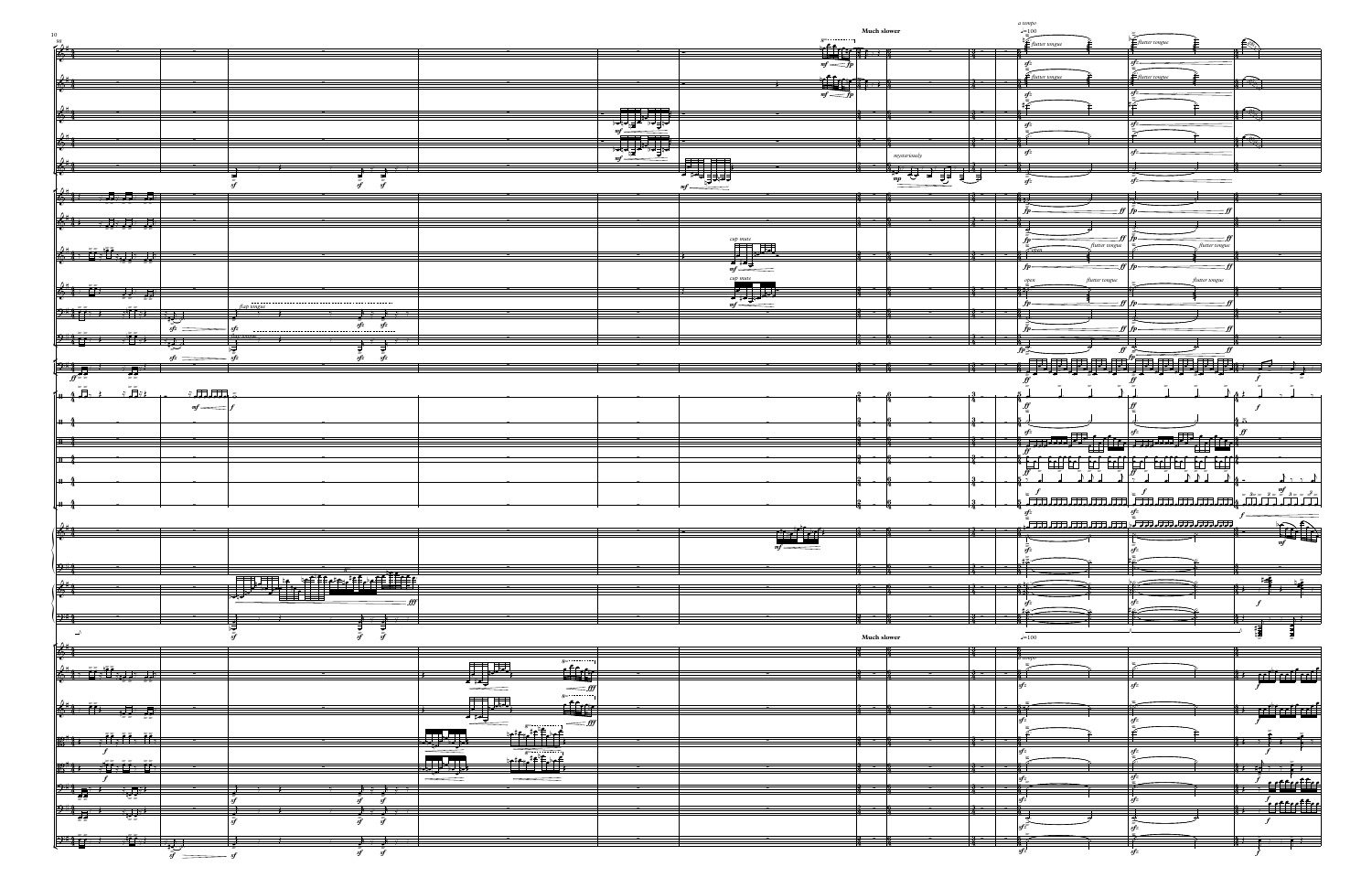| 10<br>98                                                                                                                                                                                                                                                                                                                                                                      |                                                                                                                                                                                                                                                   |                                  |                                          |                                                                                                                                                                                                                                                                                                                                                                    |                                                                                                                                                                                                                                                                                                                                                                                                                                                                                                                                                                                             | $\boldsymbol{8}^{\text{no}-\text{---1}}$                                                                                                                                                                                                                                                                                                                           | Much slower                   |                                              |                               |
|-------------------------------------------------------------------------------------------------------------------------------------------------------------------------------------------------------------------------------------------------------------------------------------------------------------------------------------------------------------------------------|---------------------------------------------------------------------------------------------------------------------------------------------------------------------------------------------------------------------------------------------------|----------------------------------|------------------------------------------|--------------------------------------------------------------------------------------------------------------------------------------------------------------------------------------------------------------------------------------------------------------------------------------------------------------------------------------------------------------------|---------------------------------------------------------------------------------------------------------------------------------------------------------------------------------------------------------------------------------------------------------------------------------------------------------------------------------------------------------------------------------------------------------------------------------------------------------------------------------------------------------------------------------------------------------------------------------------------|--------------------------------------------------------------------------------------------------------------------------------------------------------------------------------------------------------------------------------------------------------------------------------------------------------------------------------------------------------------------|-------------------------------|----------------------------------------------|-------------------------------|
| 64                                                                                                                                                                                                                                                                                                                                                                            |                                                                                                                                                                                                                                                   |                                  |                                          |                                                                                                                                                                                                                                                                                                                                                                    |                                                                                                                                                                                                                                                                                                                                                                                                                                                                                                                                                                                             | $\frac{1}{\frac{1}{m}}\sum_{i=1}^{m} \frac{1}{i} \sum_{j=1}^{m} \frac{1}{i} \sum_{j=1}^{m} \frac{1}{j} \sum_{j=1}^{m} \frac{1}{j} \sum_{j=1}^{m} \frac{1}{j} \sum_{j=1}^{m} \frac{1}{j} \sum_{j=1}^{m} \frac{1}{j} \sum_{j=1}^{m} \frac{1}{j} \sum_{j=1}^{m} \frac{1}{j} \sum_{j=1}^{m} \frac{1}{j} \sum_{j=1}^{m} \frac{1}{j} \sum_{j=1}^{m} \frac{1}{j} \sum_{j$ |                               |                                              |                               |
|                                                                                                                                                                                                                                                                                                                                                                               |                                                                                                                                                                                                                                                   |                                  |                                          |                                                                                                                                                                                                                                                                                                                                                                    |                                                                                                                                                                                                                                                                                                                                                                                                                                                                                                                                                                                             |                                                                                                                                                                                                                                                                                                                                                                    |                               |                                              |                               |
|                                                                                                                                                                                                                                                                                                                                                                               |                                                                                                                                                                                                                                                   |                                  |                                          |                                                                                                                                                                                                                                                                                                                                                                    |                                                                                                                                                                                                                                                                                                                                                                                                                                                                                                                                                                                             |                                                                                                                                                                                                                                                                                                                                                                    |                               |                                              |                               |
| $\frac{24}{9}$                                                                                                                                                                                                                                                                                                                                                                |                                                                                                                                                                                                                                                   |                                  |                                          |                                                                                                                                                                                                                                                                                                                                                                    |                                                                                                                                                                                                                                                                                                                                                                                                                                                                                                                                                                                             | <u> Tigra</u>                                                                                                                                                                                                                                                                                                                                                      |                               |                                              |                               |
|                                                                                                                                                                                                                                                                                                                                                                               |                                                                                                                                                                                                                                                   |                                  |                                          |                                                                                                                                                                                                                                                                                                                                                                    |                                                                                                                                                                                                                                                                                                                                                                                                                                                                                                                                                                                             | $mf = fp$                                                                                                                                                                                                                                                                                                                                                          |                               |                                              |                               |
| $\frac{27}{9}$                                                                                                                                                                                                                                                                                                                                                                |                                                                                                                                                                                                                                                   |                                  |                                          |                                                                                                                                                                                                                                                                                                                                                                    |                                                                                                                                                                                                                                                                                                                                                                                                                                                                                                                                                                                             |                                                                                                                                                                                                                                                                                                                                                                    |                               |                                              |                               |
|                                                                                                                                                                                                                                                                                                                                                                               |                                                                                                                                                                                                                                                   |                                  |                                          | $\frac{1}{\frac{1}{2} \sum_{i=1}^{n} \frac{1}{2} \sum_{j=1}^{n} \frac{1}{2} \sum_{j=1}^{n} \frac{1}{2} \sum_{j=1}^{n} \frac{1}{2} \sum_{j=1}^{n} \frac{1}{2} \sum_{j=1}^{n} \frac{1}{2} \sum_{j=1}^{n} \frac{1}{2} \sum_{j=1}^{n} \frac{1}{2} \sum_{j=1}^{n} \frac{1}{2} \sum_{j=1}^{n} \frac{1}{2} \sum_{j=1}^{n} \frac{1}{2} \sum_{j=1}^{n} \frac{1}{2} \sum_{j$ |                                                                                                                                                                                                                                                                                                                                                                                                                                                                                                                                                                                             |                                                                                                                                                                                                                                                                                                                                                                    |                               |                                              |                               |
| $\frac{27}{9}$                                                                                                                                                                                                                                                                                                                                                                |                                                                                                                                                                                                                                                   |                                  |                                          |                                                                                                                                                                                                                                                                                                                                                                    |                                                                                                                                                                                                                                                                                                                                                                                                                                                                                                                                                                                             |                                                                                                                                                                                                                                                                                                                                                                    |                               |                                              | <u> ) —</u>                   |
|                                                                                                                                                                                                                                                                                                                                                                               |                                                                                                                                                                                                                                                   |                                  |                                          |                                                                                                                                                                                                                                                                                                                                                                    |                                                                                                                                                                                                                                                                                                                                                                                                                                                                                                                                                                                             |                                                                                                                                                                                                                                                                                                                                                                    |                               |                                              |                               |
| 67                                                                                                                                                                                                                                                                                                                                                                            |                                                                                                                                                                                                                                                   |                                  |                                          |                                                                                                                                                                                                                                                                                                                                                                    |                                                                                                                                                                                                                                                                                                                                                                                                                                                                                                                                                                                             |                                                                                                                                                                                                                                                                                                                                                                    |                               | $m$ ysteriously                              |                               |
|                                                                                                                                                                                                                                                                                                                                                                               |                                                                                                                                                                                                                                                   |                                  |                                          |                                                                                                                                                                                                                                                                                                                                                                    |                                                                                                                                                                                                                                                                                                                                                                                                                                                                                                                                                                                             |                                                                                                                                                                                                                                                                                                                                                                    |                               | $\frac{1}{m p}$<br>手<br>₹<br>$\mathfrak{m}p$ | $\exists^{\frac{3}{2}}$       |
|                                                                                                                                                                                                                                                                                                                                                                               | ₹<br>त<br>$\vec{\varepsilon}$                                                                                                                                                                                                                     |                                  |                                          |                                                                                                                                                                                                                                                                                                                                                                    | $\begin{array}{c}\n\overline{\phantom{a}} \\ \overline{\phantom{a}} \\ \overline{\phantom{a}} \\ \overline{\phantom{a}} \\ \overline{\phantom{a}} \\ \overline{\phantom{a}} \\ \overline{\phantom{a}} \\ \overline{\phantom{a}} \\ \overline{\phantom{a}} \\ \overline{\phantom{a}} \\ \overline{\phantom{a}} \\ \overline{\phantom{a}} \\ \overline{\phantom{a}} \\ \overline{\phantom{a}} \\ \overline{\phantom{a}} \\ \overline{\phantom{a}} \\ \overline{\phantom{a}} \\ \overline{\phantom{a}} \\ \overline{\phantom{a}} \\ \overline{\phantom{a}} \\ \overline{\phantom{a}} \\ \over$ |                                                                                                                                                                                                                                                                                                                                                                    |                               |                                              |                               |
| 641<br>$\rightarrow$ Dy Dy<br>$\overline{\phantom{a}}$                                                                                                                                                                                                                                                                                                                        |                                                                                                                                                                                                                                                   |                                  |                                          |                                                                                                                                                                                                                                                                                                                                                                    |                                                                                                                                                                                                                                                                                                                                                                                                                                                                                                                                                                                             |                                                                                                                                                                                                                                                                                                                                                                    |                               |                                              |                               |
|                                                                                                                                                                                                                                                                                                                                                                               |                                                                                                                                                                                                                                                   |                                  |                                          |                                                                                                                                                                                                                                                                                                                                                                    |                                                                                                                                                                                                                                                                                                                                                                                                                                                                                                                                                                                             |                                                                                                                                                                                                                                                                                                                                                                    |                               |                                              |                               |
| $\frac{1}{2}$<br><i>រញុំរៀវ ញុំ</i>                                                                                                                                                                                                                                                                                                                                           |                                                                                                                                                                                                                                                   |                                  |                                          |                                                                                                                                                                                                                                                                                                                                                                    |                                                                                                                                                                                                                                                                                                                                                                                                                                                                                                                                                                                             |                                                                                                                                                                                                                                                                                                                                                                    |                               |                                              |                               |
|                                                                                                                                                                                                                                                                                                                                                                               |                                                                                                                                                                                                                                                   |                                  |                                          |                                                                                                                                                                                                                                                                                                                                                                    |                                                                                                                                                                                                                                                                                                                                                                                                                                                                                                                                                                                             |                                                                                                                                                                                                                                                                                                                                                                    |                               |                                              |                               |
| $\left  \frac{\partial^4 f}{\partial x^2} - \frac{\partial^2 f}{\partial y^2} + \frac{\partial^2 f}{\partial z^2} - \frac{\partial^2 f}{\partial z^2} \right $                                                                                                                                                                                                                |                                                                                                                                                                                                                                                   |                                  |                                          |                                                                                                                                                                                                                                                                                                                                                                    | $\begin{array}{c c}\n\hline\n\text{cup mate} \\ \hline\n\end{array}$                                                                                                                                                                                                                                                                                                                                                                                                                                                                                                                        |                                                                                                                                                                                                                                                                                                                                                                    |                               |                                              |                               |
|                                                                                                                                                                                                                                                                                                                                                                               |                                                                                                                                                                                                                                                   |                                  |                                          |                                                                                                                                                                                                                                                                                                                                                                    | $\frac{1}{m}$                                                                                                                                                                                                                                                                                                                                                                                                                                                                                                                                                                               |                                                                                                                                                                                                                                                                                                                                                                    |                               |                                              | $\frac{3}{2}$ –               |
|                                                                                                                                                                                                                                                                                                                                                                               |                                                                                                                                                                                                                                                   |                                  |                                          |                                                                                                                                                                                                                                                                                                                                                                    |                                                                                                                                                                                                                                                                                                                                                                                                                                                                                                                                                                                             |                                                                                                                                                                                                                                                                                                                                                                    |                               |                                              |                               |
| $\mathcal{E}$ :                                                                                                                                                                                                                                                                                                                                                               |                                                                                                                                                                                                                                                   |                                  |                                          |                                                                                                                                                                                                                                                                                                                                                                    |                                                                                                                                                                                                                                                                                                                                                                                                                                                                                                                                                                                             |                                                                                                                                                                                                                                                                                                                                                                    |                               |                                              | $\frac{3}{2}$                 |
| 契票                                                                                                                                                                                                                                                                                                                                                                            | flap tongue                                                                                                                                                                                                                                       |                                  |                                          |                                                                                                                                                                                                                                                                                                                                                                    |                                                                                                                                                                                                                                                                                                                                                                                                                                                                                                                                                                                             |                                                                                                                                                                                                                                                                                                                                                                    |                               |                                              |                               |
| 痯衤<br>2477                                                                                                                                                                                                                                                                                                                                                                    | $\rightarrow$ $\rightarrow$ $\rightarrow$ $\rightarrow$ $\rightarrow$                                                                                                                                                                             |                                  |                                          |                                                                                                                                                                                                                                                                                                                                                                    |                                                                                                                                                                                                                                                                                                                                                                                                                                                                                                                                                                                             |                                                                                                                                                                                                                                                                                                                                                                    |                               |                                              | $\frac{3}{2}$ –               |
| $\begin{tabular}{ c c } \hline \quad \quad & \quad \quad & \quad \quad & \quad \quad \\ \hline \quad \quad & \quad \quad & \quad \quad & \quad \quad \\ \hline \quad \quad & \quad \quad & \quad \quad & \quad \quad \\ \hline \quad \quad & \quad \quad & \quad \quad & \quad \quad \\ \hline \quad \quad & \quad \quad & \quad \quad & \quad \quad \\ \hline \end{tabular}$ | $\vec{sfz}$ $\vec{sfz}$<br>sfz                                                                                                                                                                                                                    |                                  |                                          |                                                                                                                                                                                                                                                                                                                                                                    |                                                                                                                                                                                                                                                                                                                                                                                                                                                                                                                                                                                             |                                                                                                                                                                                                                                                                                                                                                                    |                               |                                              |                               |
| $\mathcal{H}$ $\mathcal{H}$<br>9:4e:<br>$\rightarrow$ N                                                                                                                                                                                                                                                                                                                       | ------------                                                                                                                                                                                                                                      |                                  |                                          |                                                                                                                                                                                                                                                                                                                                                                    |                                                                                                                                                                                                                                                                                                                                                                                                                                                                                                                                                                                             |                                                                                                                                                                                                                                                                                                                                                                    |                               |                                              | $\frac{13}{2}$                |
| ت                                                                                                                                                                                                                                                                                                                                                                             | $\vec{f}$<br>$\vec{f}$<br>$\overline{ }$                                                                                                                                                                                                          |                                  |                                          |                                                                                                                                                                                                                                                                                                                                                                    |                                                                                                                                                                                                                                                                                                                                                                                                                                                                                                                                                                                             |                                                                                                                                                                                                                                                                                                                                                                    |                               |                                              |                               |
| $s f z =$                                                                                                                                                                                                                                                                                                                                                                     |                                                                                                                                                                                                                                                   |                                  |                                          |                                                                                                                                                                                                                                                                                                                                                                    |                                                                                                                                                                                                                                                                                                                                                                                                                                                                                                                                                                                             |                                                                                                                                                                                                                                                                                                                                                                    | $\frac{2}{2}$ – $\frac{6}{2}$ |                                              | $\frac{3}{4}$ $\frac{3}{4}$   |
| $\frac{2\pi}{f}$<br>्रं चुरे                                                                                                                                                                                                                                                                                                                                                  |                                                                                                                                                                                                                                                   |                                  |                                          |                                                                                                                                                                                                                                                                                                                                                                    |                                                                                                                                                                                                                                                                                                                                                                                                                                                                                                                                                                                             |                                                                                                                                                                                                                                                                                                                                                                    |                               |                                              |                               |
| $\mathcal{F}(\widetilde{\mathbf{J}}_{\mathcal{F}})$<br>$\sqrt{11.111}$                                                                                                                                                                                                                                                                                                        |                                                                                                                                                                                                                                                   |                                  |                                          |                                                                                                                                                                                                                                                                                                                                                                    |                                                                                                                                                                                                                                                                                                                                                                                                                                                                                                                                                                                             |                                                                                                                                                                                                                                                                                                                                                                    |                               |                                              |                               |
| [ <del>Ⅱ 4 J</del>                                                                                                                                                                                                                                                                                                                                                            |                                                                                                                                                                                                                                                   |                                  |                                          |                                                                                                                                                                                                                                                                                                                                                                    |                                                                                                                                                                                                                                                                                                                                                                                                                                                                                                                                                                                             |                                                                                                                                                                                                                                                                                                                                                                    |                               |                                              | $\frac{3}{4}$                 |
| $m f \longrightarrow$                                                                                                                                                                                                                                                                                                                                                         |                                                                                                                                                                                                                                                   |                                  |                                          |                                                                                                                                                                                                                                                                                                                                                                    |                                                                                                                                                                                                                                                                                                                                                                                                                                                                                                                                                                                             |                                                                                                                                                                                                                                                                                                                                                                    |                               |                                              |                               |
| $+$ $+$ $+$ $+$                                                                                                                                                                                                                                                                                                                                                               |                                                                                                                                                                                                                                                   |                                  |                                          |                                                                                                                                                                                                                                                                                                                                                                    |                                                                                                                                                                                                                                                                                                                                                                                                                                                                                                                                                                                             |                                                                                                                                                                                                                                                                                                                                                                    |                               |                                              |                               |
| $\mathbb{H}$                                                                                                                                                                                                                                                                                                                                                                  |                                                                                                                                                                                                                                                   |                                  |                                          |                                                                                                                                                                                                                                                                                                                                                                    |                                                                                                                                                                                                                                                                                                                                                                                                                                                                                                                                                                                             |                                                                                                                                                                                                                                                                                                                                                                    |                               |                                              |                               |
|                                                                                                                                                                                                                                                                                                                                                                               |                                                                                                                                                                                                                                                   |                                  |                                          |                                                                                                                                                                                                                                                                                                                                                                    |                                                                                                                                                                                                                                                                                                                                                                                                                                                                                                                                                                                             |                                                                                                                                                                                                                                                                                                                                                                    |                               |                                              |                               |
| $\mathbb{L}^4$                                                                                                                                                                                                                                                                                                                                                                |                                                                                                                                                                                                                                                   |                                  |                                          |                                                                                                                                                                                                                                                                                                                                                                    |                                                                                                                                                                                                                                                                                                                                                                                                                                                                                                                                                                                             |                                                                                                                                                                                                                                                                                                                                                                    |                               |                                              |                               |
|                                                                                                                                                                                                                                                                                                                                                                               |                                                                                                                                                                                                                                                   |                                  |                                          |                                                                                                                                                                                                                                                                                                                                                                    |                                                                                                                                                                                                                                                                                                                                                                                                                                                                                                                                                                                             |                                                                                                                                                                                                                                                                                                                                                                    |                               |                                              |                               |
| $+$ $+$ $+$ $+$                                                                                                                                                                                                                                                                                                                                                               |                                                                                                                                                                                                                                                   |                                  |                                          |                                                                                                                                                                                                                                                                                                                                                                    |                                                                                                                                                                                                                                                                                                                                                                                                                                                                                                                                                                                             |                                                                                                                                                                                                                                                                                                                                                                    |                               |                                              |                               |
| $H - \frac{4}{4}$                                                                                                                                                                                                                                                                                                                                                             |                                                                                                                                                                                                                                                   |                                  |                                          |                                                                                                                                                                                                                                                                                                                                                                    |                                                                                                                                                                                                                                                                                                                                                                                                                                                                                                                                                                                             |                                                                                                                                                                                                                                                                                                                                                                    |                               |                                              |                               |
|                                                                                                                                                                                                                                                                                                                                                                               |                                                                                                                                                                                                                                                   |                                  |                                          |                                                                                                                                                                                                                                                                                                                                                                    |                                                                                                                                                                                                                                                                                                                                                                                                                                                                                                                                                                                             |                                                                                                                                                                                                                                                                                                                                                                    |                               |                                              |                               |
|                                                                                                                                                                                                                                                                                                                                                                               |                                                                                                                                                                                                                                                   |                                  |                                          |                                                                                                                                                                                                                                                                                                                                                                    |                                                                                                                                                                                                                                                                                                                                                                                                                                                                                                                                                                                             | $\frac{e^{i\theta}e^{i\theta}}{e^{i\theta}}\frac{e^{i\theta}e^{i\theta}}{e^{i\theta}}$                                                                                                                                                                                                                                                                             |                               |                                              |                               |
| $\frac{24}{5}$                                                                                                                                                                                                                                                                                                                                                                |                                                                                                                                                                                                                                                   |                                  |                                          |                                                                                                                                                                                                                                                                                                                                                                    |                                                                                                                                                                                                                                                                                                                                                                                                                                                                                                                                                                                             |                                                                                                                                                                                                                                                                                                                                                                    |                               |                                              |                               |
|                                                                                                                                                                                                                                                                                                                                                                               |                                                                                                                                                                                                                                                   |                                  |                                          |                                                                                                                                                                                                                                                                                                                                                                    |                                                                                                                                                                                                                                                                                                                                                                                                                                                                                                                                                                                             |                                                                                                                                                                                                                                                                                                                                                                    |                               |                                              |                               |
| 94                                                                                                                                                                                                                                                                                                                                                                            |                                                                                                                                                                                                                                                   |                                  |                                          |                                                                                                                                                                                                                                                                                                                                                                    |                                                                                                                                                                                                                                                                                                                                                                                                                                                                                                                                                                                             |                                                                                                                                                                                                                                                                                                                                                                    |                               |                                              | $3 - +$                       |
|                                                                                                                                                                                                                                                                                                                                                                               |                                                                                                                                                                                                                                                   |                                  |                                          |                                                                                                                                                                                                                                                                                                                                                                    |                                                                                                                                                                                                                                                                                                                                                                                                                                                                                                                                                                                             |                                                                                                                                                                                                                                                                                                                                                                    |                               |                                              |                               |
| $\frac{2}{3}$                                                                                                                                                                                                                                                                                                                                                                 |                                                                                                                                                                                                                                                   |                                  |                                          |                                                                                                                                                                                                                                                                                                                                                                    |                                                                                                                                                                                                                                                                                                                                                                                                                                                                                                                                                                                             |                                                                                                                                                                                                                                                                                                                                                                    |                               |                                              |                               |
|                                                                                                                                                                                                                                                                                                                                                                               | ›৵৸৵<br>▅▅▙▁▆▅▆<br>∰                                                                                                                                                                                                                              |                                  |                                          |                                                                                                                                                                                                                                                                                                                                                                    |                                                                                                                                                                                                                                                                                                                                                                                                                                                                                                                                                                                             |                                                                                                                                                                                                                                                                                                                                                                    |                               |                                              |                               |
| 24                                                                                                                                                                                                                                                                                                                                                                            | $\frac{1}{2}$                                                                                                                                                                                                                                     |                                  |                                          |                                                                                                                                                                                                                                                                                                                                                                    |                                                                                                                                                                                                                                                                                                                                                                                                                                                                                                                                                                                             |                                                                                                                                                                                                                                                                                                                                                                    |                               |                                              | $\frac{1}{2}$ =               |
| $\overline{\phantom{a}}$                                                                                                                                                                                                                                                                                                                                                      | すず<br>トラ                                                                                                                                                                                                                                          |                                  |                                          |                                                                                                                                                                                                                                                                                                                                                                    |                                                                                                                                                                                                                                                                                                                                                                                                                                                                                                                                                                                             |                                                                                                                                                                                                                                                                                                                                                                    |                               |                                              |                               |
|                                                                                                                                                                                                                                                                                                                                                                               | すっす                                                                                                                                                                                                                                               |                                  |                                          |                                                                                                                                                                                                                                                                                                                                                                    |                                                                                                                                                                                                                                                                                                                                                                                                                                                                                                                                                                                             |                                                                                                                                                                                                                                                                                                                                                                    | Much slower                   |                                              |                               |
| 61                                                                                                                                                                                                                                                                                                                                                                            |                                                                                                                                                                                                                                                   |                                  |                                          |                                                                                                                                                                                                                                                                                                                                                                    |                                                                                                                                                                                                                                                                                                                                                                                                                                                                                                                                                                                             |                                                                                                                                                                                                                                                                                                                                                                    |                               |                                              | $\equiv$                      |
|                                                                                                                                                                                                                                                                                                                                                                               |                                                                                                                                                                                                                                                   |                                  | $8^{\omega \cdots \cdots \cdots \cdots}$ |                                                                                                                                                                                                                                                                                                                                                                    |                                                                                                                                                                                                                                                                                                                                                                                                                                                                                                                                                                                             |                                                                                                                                                                                                                                                                                                                                                                    |                               |                                              |                               |
| <b>A</b> , FI, F                                                                                                                                                                                                                                                                                                                                                              |                                                                                                                                                                                                                                                   | $\frac{1}{\sqrt{2}}$             | ֞֟<br>׆ֺ֝׆֖֖֖֖֖֖֖֖֖֖֖֖֖֖֖֬֝֞             |                                                                                                                                                                                                                                                                                                                                                                    |                                                                                                                                                                                                                                                                                                                                                                                                                                                                                                                                                                                             |                                                                                                                                                                                                                                                                                                                                                                    |                               |                                              | <u>y —</u>                    |
|                                                                                                                                                                                                                                                                                                                                                                               |                                                                                                                                                                                                                                                   |                                  | $=$ fff<br>$8^{\omega}$                  |                                                                                                                                                                                                                                                                                                                                                                    |                                                                                                                                                                                                                                                                                                                                                                                                                                                                                                                                                                                             |                                                                                                                                                                                                                                                                                                                                                                    |                               |                                              |                               |
|                                                                                                                                                                                                                                                                                                                                                                               |                                                                                                                                                                                                                                                   |                                  | <u>fice</u>                              |                                                                                                                                                                                                                                                                                                                                                                    |                                                                                                                                                                                                                                                                                                                                                                                                                                                                                                                                                                                             |                                                                                                                                                                                                                                                                                                                                                                    |                               |                                              | $\frac{1}{2}$ – $\frac{1}{2}$ |
| 64.7<br>$\overline{\psi}$ ,                                                                                                                                                                                                                                                                                                                                                   |                                                                                                                                                                                                                                                   | $\frac{1}{\sqrt{1-\frac{1}{2}}}$ |                                          |                                                                                                                                                                                                                                                                                                                                                                    |                                                                                                                                                                                                                                                                                                                                                                                                                                                                                                                                                                                             |                                                                                                                                                                                                                                                                                                                                                                    |                               |                                              |                               |
|                                                                                                                                                                                                                                                                                                                                                                               |                                                                                                                                                                                                                                                   |                                  | $=$ fff                                  |                                                                                                                                                                                                                                                                                                                                                                    |                                                                                                                                                                                                                                                                                                                                                                                                                                                                                                                                                                                             |                                                                                                                                                                                                                                                                                                                                                                    |                               |                                              |                               |
| $\sqrt{2}$ $\sqrt{2}$ $\sqrt{2}$ $\sqrt{2}$ $\sqrt{2}$<br>$\mathbb{B}^*4$                                                                                                                                                                                                                                                                                                     |                                                                                                                                                                                                                                                   | $\frac{1}{2}$                    |                                          |                                                                                                                                                                                                                                                                                                                                                                    |                                                                                                                                                                                                                                                                                                                                                                                                                                                                                                                                                                                             |                                                                                                                                                                                                                                                                                                                                                                    | $\overline{\phantom{a}}$      |                                              | $\frac{3}{2}$ – –             |
| $\boldsymbol{f}$                                                                                                                                                                                                                                                                                                                                                              |                                                                                                                                                                                                                                                   |                                  | $\frac{1}{2}$                            |                                                                                                                                                                                                                                                                                                                                                                    |                                                                                                                                                                                                                                                                                                                                                                                                                                                                                                                                                                                             |                                                                                                                                                                                                                                                                                                                                                                    |                               |                                              |                               |
| $\sqrt{2}$ , $\frac{1}{2}$ , $\frac{1}{2}$ , $\frac{1}{2}$<br>$\mathbb{B}^*$ :                                                                                                                                                                                                                                                                                                |                                                                                                                                                                                                                                                   | $\frac{1}{2}$                    |                                          |                                                                                                                                                                                                                                                                                                                                                                    |                                                                                                                                                                                                                                                                                                                                                                                                                                                                                                                                                                                             |                                                                                                                                                                                                                                                                                                                                                                    |                               |                                              | $\frac{3}{2}$ –               |
| $\bm{f}$                                                                                                                                                                                                                                                                                                                                                                      |                                                                                                                                                                                                                                                   |                                  |                                          |                                                                                                                                                                                                                                                                                                                                                                    |                                                                                                                                                                                                                                                                                                                                                                                                                                                                                                                                                                                             |                                                                                                                                                                                                                                                                                                                                                                    |                               |                                              |                               |
| $\frac{94}{12}$<br>्रं नुरं*                                                                                                                                                                                                                                                                                                                                                  | $\rightarrow$ ; $\rightarrow$ ; $\rightarrow$                                                                                                                                                                                                     |                                  |                                          |                                                                                                                                                                                                                                                                                                                                                                    |                                                                                                                                                                                                                                                                                                                                                                                                                                                                                                                                                                                             |                                                                                                                                                                                                                                                                                                                                                                    |                               |                                              |                               |
|                                                                                                                                                                                                                                                                                                                                                                               | F<br>$\tilde{\mathbf{f}}$<br>$\tilde{\mathbf{f}}$<br>$\overline{\phantom{a}}$                                                                                                                                                                     |                                  |                                          |                                                                                                                                                                                                                                                                                                                                                                    |                                                                                                                                                                                                                                                                                                                                                                                                                                                                                                                                                                                             |                                                                                                                                                                                                                                                                                                                                                                    |                               |                                              |                               |
| $24 \frac{1}{2}$<br>्रं नुरू                                                                                                                                                                                                                                                                                                                                                  | $\lambda$ , $\lambda$ , $\gamma$                                                                                                                                                                                                                  |                                  |                                          |                                                                                                                                                                                                                                                                                                                                                                    |                                                                                                                                                                                                                                                                                                                                                                                                                                                                                                                                                                                             |                                                                                                                                                                                                                                                                                                                                                                    |                               |                                              | $3 \longrightarrow$           |
|                                                                                                                                                                                                                                                                                                                                                                               | $\check{\check\mathscr{F}}$<br>F                                                                                                                                                                                                                  |                                  |                                          |                                                                                                                                                                                                                                                                                                                                                                    |                                                                                                                                                                                                                                                                                                                                                                                                                                                                                                                                                                                             |                                                                                                                                                                                                                                                                                                                                                                    |                               |                                              |                               |
| 植沙<br>247<br>$\overline{w_{\tilde{t}}}$                                                                                                                                                                                                                                                                                                                                       | $\begin{array}{c c c c} \hline \quad \bullet & \rightarrow & \bullet & \rightarrow & \bullet \\ \hline \quad \bullet & \rightarrow & \bullet & \rightarrow & \bullet \\ \hline \quad \bullet & \bullet & \bullet & \bullet & \bullet \end{array}$ |                                  |                                          |                                                                                                                                                                                                                                                                                                                                                                    |                                                                                                                                                                                                                                                                                                                                                                                                                                                                                                                                                                                             |                                                                                                                                                                                                                                                                                                                                                                    |                               |                                              |                               |
|                                                                                                                                                                                                                                                                                                                                                                               | – sf                                                                                                                                                                                                                                              |                                  |                                          |                                                                                                                                                                                                                                                                                                                                                                    |                                                                                                                                                                                                                                                                                                                                                                                                                                                                                                                                                                                             |                                                                                                                                                                                                                                                                                                                                                                    |                               |                                              |                               |

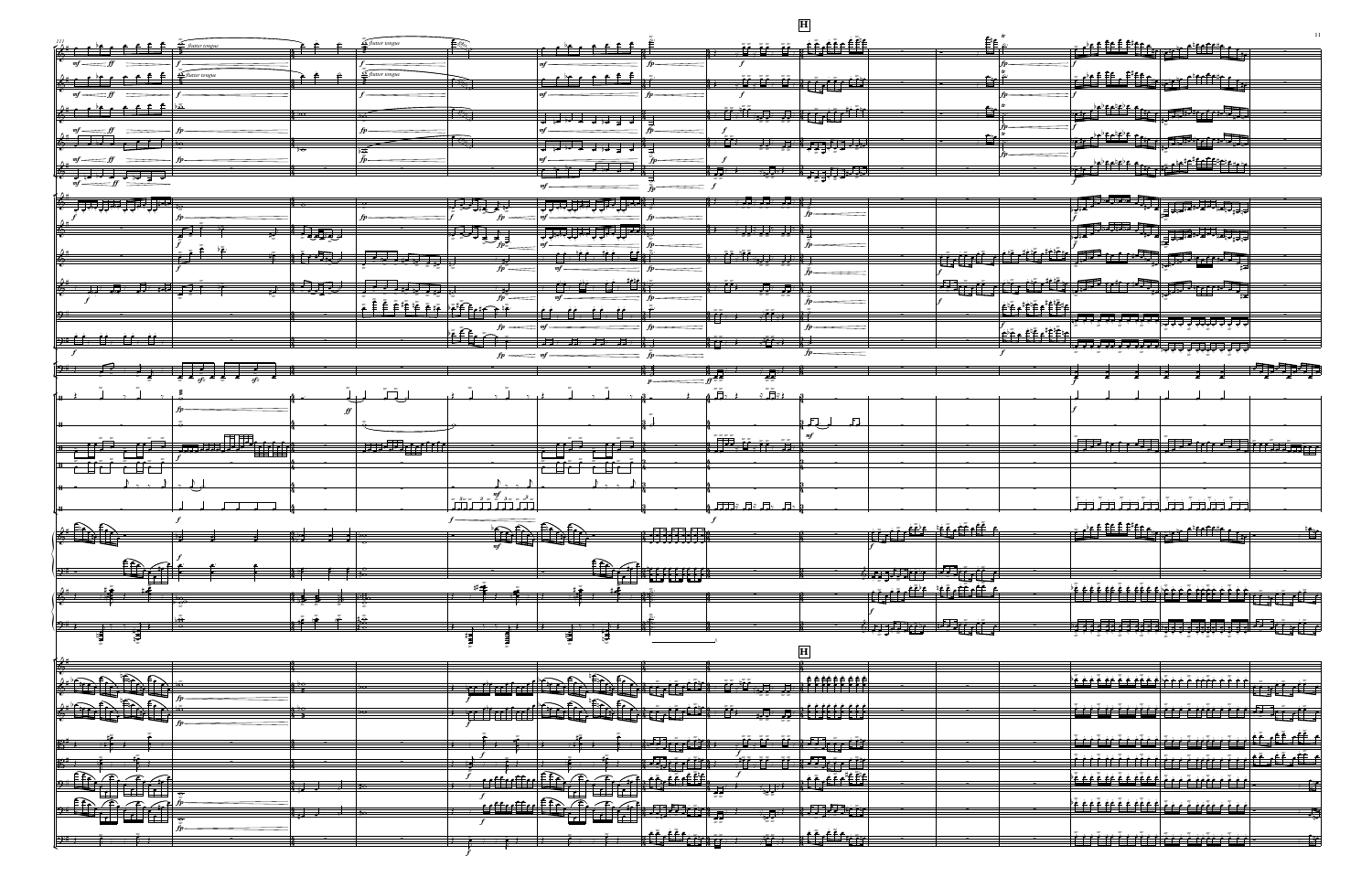**H**

|                                                                                                                                                                                                                                                                                                                                                     |                                                         |                                                                                                                               |                                                                                                                                                                                                                                                                                                                                                                                                                |                                                                                                               |                                                                                                               |                                                                                                                                      |                              |                              | $\mathbb{E}_{\mathbb{H},\mathcal{C}}$ |                                                     |                                                                                                                                                                                                                                                                                                                                                                                                          |        |
|-----------------------------------------------------------------------------------------------------------------------------------------------------------------------------------------------------------------------------------------------------------------------------------------------------------------------------------------------------|---------------------------------------------------------|-------------------------------------------------------------------------------------------------------------------------------|----------------------------------------------------------------------------------------------------------------------------------------------------------------------------------------------------------------------------------------------------------------------------------------------------------------------------------------------------------------------------------------------------------------|---------------------------------------------------------------------------------------------------------------|---------------------------------------------------------------------------------------------------------------|--------------------------------------------------------------------------------------------------------------------------------------|------------------------------|------------------------------|---------------------------------------|-----------------------------------------------------|----------------------------------------------------------------------------------------------------------------------------------------------------------------------------------------------------------------------------------------------------------------------------------------------------------------------------------------------------------------------------------------------------------|--------|
| $\mathbb{R}^*$ correction<br>flutter tongue                                                                                                                                                                                                                                                                                                         |                                                         | $\mathbf{\Omega}$ flutter tongue                                                                                              | $E_{\mathcal{L}_{\mathcal{G}}}$                                                                                                                                                                                                                                                                                                                                                                                |                                                                                                               |                                                                                                               |                                                                                                                                      | <u> vişi, iç, iççin</u>      |                              |                                       |                                                     | <u>ë etë filitje e propertite e p</u>                                                                                                                                                                                                                                                                                                                                                                    |        |
| $mf \longrightarrow ff$                                                                                                                                                                                                                                                                                                                             |                                                         |                                                                                                                               |                                                                                                                                                                                                                                                                                                                                                                                                                |                                                                                                               |                                                                                                               |                                                                                                                                      |                              |                              |                                       |                                                     |                                                                                                                                                                                                                                                                                                                                                                                                          |        |
| $\triangle$ flutter tongue<br>$2 \pm 2$                                                                                                                                                                                                                                                                                                             |                                                         | $\sum$ <i>flutter tongue</i>                                                                                                  |                                                                                                                                                                                                                                                                                                                                                                                                                | $\pm$                                                                                                         |                                                                                                               |                                                                                                                                      |                              |                              |                                       |                                                     | <u>er i fransk politiker.</u>                                                                                                                                                                                                                                                                                                                                                                            |        |
| $2$ + $\epsilon$ + $\epsilon$ + $\epsilon$                                                                                                                                                                                                                                                                                                          |                                                         |                                                                                                                               | $\overline{\mathcal{M}_{\mathcal{G}_i}}$                                                                                                                                                                                                                                                                                                                                                                       |                                                                                                               |                                                                                                               |                                                                                                                                      | $\frac{1}{\sqrt{2}}$         | $\rightarrow$ 2 $^{\circ}$   |                                       |                                                     |                                                                                                                                                                                                                                                                                                                                                                                                          |        |
| $mf \equiv ff$                                                                                                                                                                                                                                                                                                                                      |                                                         |                                                                                                                               |                                                                                                                                                                                                                                                                                                                                                                                                                |                                                                                                               |                                                                                                               |                                                                                                                                      |                              |                              |                                       |                                                     |                                                                                                                                                                                                                                                                                                                                                                                                          |        |
| $2 + 1$                                                                                                                                                                                                                                                                                                                                             | $\frac{1}{2}$                                           |                                                                                                                               | $\overline{\phantom{a}}$                                                                                                                                                                                                                                                                                                                                                                                       |                                                                                                               |                                                                                                               |                                                                                                                                      |                              | $\frac{1}{2}$                |                                       |                                                     | pobeniabe e e de la population de la population de la population de la population de la population de la popul<br>La population de la population de la population de la population de la population de la population de la popul                                                                                                                                                                         |        |
|                                                                                                                                                                                                                                                                                                                                                     |                                                         |                                                                                                                               |                                                                                                                                                                                                                                                                                                                                                                                                                | <b>FRU JULI</b>                                                                                               |                                                                                                               |                                                                                                                                      |                              |                              |                                       |                                                     |                                                                                                                                                                                                                                                                                                                                                                                                          |        |
| أتبط                                                                                                                                                                                                                                                                                                                                                |                                                         |                                                                                                                               | $\overline{\phantom{a}}$                                                                                                                                                                                                                                                                                                                                                                                       |                                                                                                               |                                                                                                               | $\overrightarrow{r}$                                                                                                                 |                              | , 11                         |                                       |                                                     | <u>s porcher creating the second season</u>                                                                                                                                                                                                                                                                                                                                                              |        |
| $\overline{z}$<br>$\overline{\phantom{a}}$                                                                                                                                                                                                                                                                                                          |                                                         |                                                                                                                               |                                                                                                                                                                                                                                                                                                                                                                                                                | <del>किया प्राप्त</del>                                                                                       |                                                                                                               |                                                                                                                                      | <u>न्देश्रद्धाः स्कृतसम्</u> |                              |                                       |                                                     |                                                                                                                                                                                                                                                                                                                                                                                                          |        |
| $m f \equiv f f$                                                                                                                                                                                                                                                                                                                                    |                                                         |                                                                                                                               |                                                                                                                                                                                                                                                                                                                                                                                                                |                                                                                                               |                                                                                                               |                                                                                                                                      |                              |                              |                                       | $\frac{b^{\frac{1}{2}}}{\frac{1}{2} + \frac{1}{2}}$ | ** e <sup>4</sup> e#CEE#P1e#e4                                                                                                                                                                                                                                                                                                                                                                           |        |
|                                                                                                                                                                                                                                                                                                                                                     |                                                         |                                                                                                                               |                                                                                                                                                                                                                                                                                                                                                                                                                | $\frac{1}{2}$ in the contract of $\frac{1}{2}$ in the contract of $\frac{1}{2}$                               |                                                                                                               |                                                                                                                                      |                              |                              |                                       |                                                     |                                                                                                                                                                                                                                                                                                                                                                                                          |        |
|                                                                                                                                                                                                                                                                                                                                                     |                                                         |                                                                                                                               |                                                                                                                                                                                                                                                                                                                                                                                                                |                                                                                                               |                                                                                                               |                                                                                                                                      |                              |                              |                                       |                                                     |                                                                                                                                                                                                                                                                                                                                                                                                          |        |
|                                                                                                                                                                                                                                                                                                                                                     |                                                         |                                                                                                                               |                                                                                                                                                                                                                                                                                                                                                                                                                |                                                                                                               |                                                                                                               | ≀≀ <i>→ סיבו</i> ל א                                                                                                                 |                              |                              |                                       |                                                     |                                                                                                                                                                                                                                                                                                                                                                                                          |        |
| $\sqrt{10}$ , $\sqrt{10}$ , $\sqrt{10}$ , $\sqrt{10}$                                                                                                                                                                                                                                                                                               |                                                         |                                                                                                                               | $\sqrt{2\pi}$                                                                                                                                                                                                                                                                                                                                                                                                  | $\frac{1}{2}$ , $\frac{1}{2}$ , $\frac{1}{2}$ , $\frac{1}{2}$ , $\frac{1}{2}$ , $\frac{1}{2}$ , $\frac{1}{2}$ |                                                                                                               |                                                                                                                                      |                              |                              |                                       |                                                     | <b>The Property of Section 1999</b>                                                                                                                                                                                                                                                                                                                                                                      |        |
|                                                                                                                                                                                                                                                                                                                                                     |                                                         |                                                                                                                               |                                                                                                                                                                                                                                                                                                                                                                                                                |                                                                                                               |                                                                                                               |                                                                                                                                      |                              |                              |                                       |                                                     |                                                                                                                                                                                                                                                                                                                                                                                                          |        |
| $\sqrt{2}$                                                                                                                                                                                                                                                                                                                                          | $\frac{1}{12}$ $\frac{1}{12}$ $\frac{1}{12}$            |                                                                                                                               | E C                                                                                                                                                                                                                                                                                                                                                                                                            | <u>सम्बद्धाः स्टब्स् स्टब्स्</u>                                                                              |                                                                                                               | $\overline{\mathcal{U}}$ , $\overline{\mathcal{U}}$ , $\overline{\mathcal{U}}$ , $\overline{\mathcal{U}}$ , $\overline{\mathcal{U}}$ |                              |                              |                                       |                                                     | $\frac{1}{\sqrt{2}}\int_{\mathbb{R}^{2}}\frac{1}{\sqrt{2}}\int_{\mathbb{R}^{2}}\frac{1}{\sqrt{2}}\int_{\mathbb{R}^{2}}\frac{1}{\sqrt{2}}\int_{\mathbb{R}^{2}}\frac{1}{\sqrt{2}}\int_{\mathbb{R}^{2}}\frac{1}{\sqrt{2}}\int_{\mathbb{R}^{2}}\frac{1}{\sqrt{2}}\int_{\mathbb{R}^{2}}\frac{1}{\sqrt{2}}\int_{\mathbb{R}^{2}}\frac{1}{\sqrt{2}}\int_{\mathbb{R}^{2}}\frac{1}{\sqrt{2}}\int_{\mathbb{R}^{2}}$ |        |
|                                                                                                                                                                                                                                                                                                                                                     |                                                         |                                                                                                                               |                                                                                                                                                                                                                                                                                                                                                                                                                |                                                                                                               |                                                                                                               |                                                                                                                                      |                              |                              |                                       |                                                     |                                                                                                                                                                                                                                                                                                                                                                                                          |        |
| $\epsilon$ $\pm$                                                                                                                                                                                                                                                                                                                                    | ليتمنى                                                  | $\frac{1}{\sqrt{2}}$ $\frac{1}{\sqrt{2}}$ $\frac{1}{\sqrt{2}}$ $\frac{1}{\sqrt{2}}$ $\frac{1}{\sqrt{2}}$ $\frac{1}{\sqrt{2}}$ |                                                                                                                                                                                                                                                                                                                                                                                                                |                                                                                                               |                                                                                                               | $\psi$ in $\mathbb{F}_2$                                                                                                             |                              |                              | <u> Kiriiri (fritr'il</u>             |                                                     | 57 recent 3                                                                                                                                                                                                                                                                                                                                                                                              |        |
|                                                                                                                                                                                                                                                                                                                                                     |                                                         |                                                                                                                               |                                                                                                                                                                                                                                                                                                                                                                                                                |                                                                                                               |                                                                                                               |                                                                                                                                      |                              |                              |                                       |                                                     |                                                                                                                                                                                                                                                                                                                                                                                                          |        |
| 7 87 57 57 65 67 6 5                                                                                                                                                                                                                                                                                                                                |                                                         |                                                                                                                               |                                                                                                                                                                                                                                                                                                                                                                                                                | $\gamma$ $\equiv$ 2                                                                                           |                                                                                                               |                                                                                                                                      |                              |                              |                                       |                                                     | <u>Figure (Self College State ) (Self College State )</u>                                                                                                                                                                                                                                                                                                                                                |        |
|                                                                                                                                                                                                                                                                                                                                                     | RU J                                                    | $\sqrt{2}$                                                                                                                    |                                                                                                                                                                                                                                                                                                                                                                                                                |                                                                                                               |                                                                                                               | $\frac{1}{2}$ , $\frac{1}{2}$ , $\frac{3}{4}$<br>$\mathbf{f} \in \mathbf{G}$                                                         |                              |                              |                                       |                                                     |                                                                                                                                                                                                                                                                                                                                                                                                          |        |
|                                                                                                                                                                                                                                                                                                                                                     |                                                         |                                                                                                                               |                                                                                                                                                                                                                                                                                                                                                                                                                |                                                                                                               |                                                                                                               |                                                                                                                                      |                              |                              | $\frac{1}{2}$                         |                                                     |                                                                                                                                                                                                                                                                                                                                                                                                          |        |
|                                                                                                                                                                                                                                                                                                                                                     |                                                         |                                                                                                                               |                                                                                                                                                                                                                                                                                                                                                                                                                | $\blacksquare$ , $\blacksquare$ ,                                                                             |                                                                                                               | $\widetilde{w}$                                                                                                                      |                              |                              |                                       |                                                     |                                                                                                                                                                                                                                                                                                                                                                                                          |        |
|                                                                                                                                                                                                                                                                                                                                                     |                                                         |                                                                                                                               | <u>rich</u>                                                                                                                                                                                                                                                                                                                                                                                                    |                                                                                                               |                                                                                                               |                                                                                                                                      |                              |                              |                                       |                                                     |                                                                                                                                                                                                                                                                                                                                                                                                          |        |
| $ $ p: ii, ii, ii, ii,                                                                                                                                                                                                                                                                                                                              |                                                         |                                                                                                                               |                                                                                                                                                                                                                                                                                                                                                                                                                |                                                                                                               |                                                                                                               | $\sqrt{2}$<br>$\mathbf{f}$                                                                                                           |                              |                              |                                       | 历历历历历                                               | न, <del>म, म,म,म,म</del>                                                                                                                                                                                                                                                                                                                                                                                 |        |
|                                                                                                                                                                                                                                                                                                                                                     |                                                         |                                                                                                                               |                                                                                                                                                                                                                                                                                                                                                                                                                |                                                                                                               |                                                                                                               |                                                                                                                                      |                              |                              |                                       |                                                     |                                                                                                                                                                                                                                                                                                                                                                                                          |        |
| $\longrightarrow$                                                                                                                                                                                                                                                                                                                                   |                                                         |                                                                                                                               |                                                                                                                                                                                                                                                                                                                                                                                                                |                                                                                                               |                                                                                                               | $\blacksquare$<br>$7 - 75$                                                                                                           |                              |                              |                                       |                                                     |                                                                                                                                                                                                                                                                                                                                                                                                          | فلأخلخ |
|                                                                                                                                                                                                                                                                                                                                                     |                                                         |                                                                                                                               |                                                                                                                                                                                                                                                                                                                                                                                                                |                                                                                                               |                                                                                                               |                                                                                                                                      |                              |                              |                                       |                                                     |                                                                                                                                                                                                                                                                                                                                                                                                          |        |
|                                                                                                                                                                                                                                                                                                                                                     |                                                         | $\overleftrightarrow{\Box}$                                                                                                   |                                                                                                                                                                                                                                                                                                                                                                                                                |                                                                                                               |                                                                                                               | $x \stackrel{\sim}{\blacksquare} x$<br>$\geq$                                                                                        |                              |                              |                                       |                                                     |                                                                                                                                                                                                                                                                                                                                                                                                          |        |
|                                                                                                                                                                                                                                                                                                                                                     |                                                         |                                                                                                                               |                                                                                                                                                                                                                                                                                                                                                                                                                |                                                                                                               |                                                                                                               |                                                                                                                                      |                              |                              |                                       |                                                     |                                                                                                                                                                                                                                                                                                                                                                                                          |        |
|                                                                                                                                                                                                                                                                                                                                                     |                                                         |                                                                                                                               |                                                                                                                                                                                                                                                                                                                                                                                                                |                                                                                                               |                                                                                                               |                                                                                                                                      | E                            |                              |                                       |                                                     |                                                                                                                                                                                                                                                                                                                                                                                                          |        |
|                                                                                                                                                                                                                                                                                                                                                     |                                                         |                                                                                                                               |                                                                                                                                                                                                                                                                                                                                                                                                                |                                                                                                               |                                                                                                               |                                                                                                                                      | میں<br>م                     |                              |                                       |                                                     |                                                                                                                                                                                                                                                                                                                                                                                                          |        |
|                                                                                                                                                                                                                                                                                                                                                     |                                                         |                                                                                                                               |                                                                                                                                                                                                                                                                                                                                                                                                                |                                                                                                               |                                                                                                               |                                                                                                                                      | m f                          |                              |                                       |                                                     |                                                                                                                                                                                                                                                                                                                                                                                                          |        |
|                                                                                                                                                                                                                                                                                                                                                     |                                                         |                                                                                                                               |                                                                                                                                                                                                                                                                                                                                                                                                                |                                                                                                               |                                                                                                               |                                                                                                                                      |                              |                              |                                       |                                                     |                                                                                                                                                                                                                                                                                                                                                                                                          |        |
| $\frac{1}{\sqrt{2}}$                                                                                                                                                                                                                                                                                                                                |                                                         | <b>John College</b>                                                                                                           |                                                                                                                                                                                                                                                                                                                                                                                                                |                                                                                                               |                                                                                                               | - <del>771</del><br>1. サビッピ・カー                                                                                                       |                              |                              |                                       |                                                     | 更好 男 更好 男 经第五                                                                                                                                                                                                                                                                                                                                                                                            |        |
|                                                                                                                                                                                                                                                                                                                                                     |                                                         |                                                                                                                               |                                                                                                                                                                                                                                                                                                                                                                                                                | 弄声                                                                                                            |                                                                                                               |                                                                                                                                      |                              |                              |                                       |                                                     |                                                                                                                                                                                                                                                                                                                                                                                                          |        |
| ZEZ TZE                                                                                                                                                                                                                                                                                                                                             |                                                         |                                                                                                                               |                                                                                                                                                                                                                                                                                                                                                                                                                | <u>to de la componenta</u>                                                                                    |                                                                                                               |                                                                                                                                      |                              |                              |                                       |                                                     |                                                                                                                                                                                                                                                                                                                                                                                                          |        |
| $\mathbf{A}$<br>ڪ                                                                                                                                                                                                                                                                                                                                   |                                                         |                                                                                                                               |                                                                                                                                                                                                                                                                                                                                                                                                                |                                                                                                               |                                                                                                               |                                                                                                                                      |                              |                              |                                       |                                                     |                                                                                                                                                                                                                                                                                                                                                                                                          |        |
|                                                                                                                                                                                                                                                                                                                                                     |                                                         |                                                                                                                               |                                                                                                                                                                                                                                                                                                                                                                                                                |                                                                                                               |                                                                                                               |                                                                                                                                      |                              |                              |                                       |                                                     |                                                                                                                                                                                                                                                                                                                                                                                                          |        |
|                                                                                                                                                                                                                                                                                                                                                     |                                                         |                                                                                                                               | $\begin{array}{c}\n\frac{3}{2} & \frac{m f}{2} & \frac{3}{2} & \frac{3}{2} \\ \frac{3}{2} & \frac{3}{2} & \frac{3}{2} & \frac{3}{2} \\ \frac{3}{2} & \frac{3}{2} & \frac{3}{2} & \frac{3}{2} \\ \frac{3}{2} & \frac{3}{2} & \frac{3}{2} & \frac{3}{2} \\ \frac{3}{2} & \frac{3}{2} & \frac{3}{2} & \frac{3}{2} \\ \frac{3}{2} & \frac{3}{2} & \frac{3}{2} & \frac{3}{2} \\ \frac{3}{2} & \frac{3}{2} & \frac{$ |                                                                                                               |                                                                                                               | $J\overline{J}$ ) $J$ ) $J$ ) $J$                                                                                                    |                              |                              |                                       |                                                     | hinininininin                                                                                                                                                                                                                                                                                                                                                                                            |        |
|                                                                                                                                                                                                                                                                                                                                                     |                                                         |                                                                                                                               |                                                                                                                                                                                                                                                                                                                                                                                                                |                                                                                                               |                                                                                                               |                                                                                                                                      |                              |                              |                                       |                                                     |                                                                                                                                                                                                                                                                                                                                                                                                          |        |
| $k$ by $\rightarrow$                                                                                                                                                                                                                                                                                                                                |                                                         |                                                                                                                               |                                                                                                                                                                                                                                                                                                                                                                                                                | <b>RACTES</b>                                                                                                 | <u>eta eta eta</u>                                                                                            |                                                                                                                                      |                              | <u>ež čečke kčeččeč s</u>    |                                       |                                                     | religione del control de la control de la control de la control de la control de la control de la control de l<br>La control de la control de la control de la control de la control de la control de la control de la control d                                                                                                                                                                         |        |
|                                                                                                                                                                                                                                                                                                                                                     |                                                         |                                                                                                                               |                                                                                                                                                                                                                                                                                                                                                                                                                |                                                                                                               | 1:1:1:1:1                                                                                                     |                                                                                                                                      |                              |                              |                                       |                                                     |                                                                                                                                                                                                                                                                                                                                                                                                          |        |
|                                                                                                                                                                                                                                                                                                                                                     |                                                         |                                                                                                                               |                                                                                                                                                                                                                                                                                                                                                                                                                |                                                                                                               |                                                                                                               |                                                                                                                                      |                              |                              |                                       |                                                     |                                                                                                                                                                                                                                                                                                                                                                                                          |        |
| Erf<br>$-91$                                                                                                                                                                                                                                                                                                                                        |                                                         |                                                                                                                               |                                                                                                                                                                                                                                                                                                                                                                                                                | $\Rightarrow$                                                                                                 |                                                                                                               |                                                                                                                                      |                              |                              |                                       |                                                     |                                                                                                                                                                                                                                                                                                                                                                                                          |        |
|                                                                                                                                                                                                                                                                                                                                                     |                                                         |                                                                                                                               |                                                                                                                                                                                                                                                                                                                                                                                                                |                                                                                                               | $\frac{1}{2}$ , $\frac{1}{2}$ , $\frac{1}{2}$ , $\frac{1}{2}$ , $\frac{1}{2}$ , $\frac{1}{2}$ , $\frac{1}{2}$ |                                                                                                                                      |                              | <b>Franklin Kong (C)</b>     |                                       |                                                     |                                                                                                                                                                                                                                                                                                                                                                                                          |        |
| $\rightarrow$ $\mathbb{H}$ , $\rightarrow$<br>$7 - \infty$                                                                                                                                                                                                                                                                                          | $4,5$ $5$                                               |                                                                                                                               | $\overrightarrow{1}$ , $\overrightarrow{5}$ , $\overrightarrow{1}$                                                                                                                                                                                                                                                                                                                                             | – ਅਥਿ ਮ                                                                                                       |                                                                                                               |                                                                                                                                      |                              |                              |                                       |                                                     |                                                                                                                                                                                                                                                                                                                                                                                                          |        |
|                                                                                                                                                                                                                                                                                                                                                     |                                                         |                                                                                                                               |                                                                                                                                                                                                                                                                                                                                                                                                                |                                                                                                               |                                                                                                               |                                                                                                                                      |                              |                              |                                       |                                                     |                                                                                                                                                                                                                                                                                                                                                                                                          |        |
| - <del>1. 7 - 7 - 1</del><br>$-\mathbf{e}$                                                                                                                                                                                                                                                                                                          | $+$                                                     | $\mathbb{R}^n$                                                                                                                | $\rightarrow$ $\rightarrow$ $\rightarrow$                                                                                                                                                                                                                                                                                                                                                                      | $\overline{+}$ $\rightarrow$ $\rightarrow$ $\rightarrow$ $\rightarrow$ $\rightarrow$                          |                                                                                                               |                                                                                                                                      |                              |                              |                                       |                                                     |                                                                                                                                                                                                                                                                                                                                                                                                          |        |
| $9 + 1$                                                                                                                                                                                                                                                                                                                                             |                                                         |                                                                                                                               | 糦                                                                                                                                                                                                                                                                                                                                                                                                              |                                                                                                               |                                                                                                               |                                                                                                                                      |                              | <u> La provincia de la c</u> |                                       |                                                     | <u> 1919 - 1919 - 1919 - 1919 - 1919 - 1920 - 1920 - 19</u>                                                                                                                                                                                                                                                                                                                                              |        |
|                                                                                                                                                                                                                                                                                                                                                     |                                                         |                                                                                                                               |                                                                                                                                                                                                                                                                                                                                                                                                                |                                                                                                               |                                                                                                               |                                                                                                                                      |                              |                              |                                       |                                                     |                                                                                                                                                                                                                                                                                                                                                                                                          |        |
|                                                                                                                                                                                                                                                                                                                                                     |                                                         |                                                                                                                               |                                                                                                                                                                                                                                                                                                                                                                                                                |                                                                                                               |                                                                                                               |                                                                                                                                      | $\mathbf{H}%$                |                              |                                       |                                                     |                                                                                                                                                                                                                                                                                                                                                                                                          |        |
|                                                                                                                                                                                                                                                                                                                                                     |                                                         |                                                                                                                               |                                                                                                                                                                                                                                                                                                                                                                                                                |                                                                                                               |                                                                                                               |                                                                                                                                      |                              |                              |                                       |                                                     |                                                                                                                                                                                                                                                                                                                                                                                                          |        |
|                                                                                                                                                                                                                                                                                                                                                     |                                                         |                                                                                                                               |                                                                                                                                                                                                                                                                                                                                                                                                                |                                                                                                               |                                                                                                               |                                                                                                                                      |                              |                              |                                       |                                                     |                                                                                                                                                                                                                                                                                                                                                                                                          |        |
|                                                                                                                                                                                                                                                                                                                                                     | ⊟ਭ                                                      |                                                                                                                               |                                                                                                                                                                                                                                                                                                                                                                                                                |                                                                                                               |                                                                                                               |                                                                                                                                      |                              |                              |                                       |                                                     | <u>اقدر قدر قدرتها فدر قدرته وقدارى وقواتي والمستور</u>                                                                                                                                                                                                                                                                                                                                                  |        |
|                                                                                                                                                                                                                                                                                                                                                     |                                                         |                                                                                                                               |                                                                                                                                                                                                                                                                                                                                                                                                                |                                                                                                               |                                                                                                               |                                                                                                                                      |                              |                              |                                       |                                                     |                                                                                                                                                                                                                                                                                                                                                                                                          |        |
| $\mathbb{R}$                                                                                                                                                                                                                                                                                                                                        |                                                         |                                                                                                                               |                                                                                                                                                                                                                                                                                                                                                                                                                |                                                                                                               |                                                                                                               |                                                                                                                                      |                              |                              |                                       |                                                     | <u>inin indi berbent berhalt (</u>                                                                                                                                                                                                                                                                                                                                                                       |        |
|                                                                                                                                                                                                                                                                                                                                                     |                                                         |                                                                                                                               |                                                                                                                                                                                                                                                                                                                                                                                                                |                                                                                                               |                                                                                                               |                                                                                                                                      |                              |                              |                                       |                                                     |                                                                                                                                                                                                                                                                                                                                                                                                          |        |
| $\mathbb{R}^*$ :<br>$75 - 1$                                                                                                                                                                                                                                                                                                                        |                                                         |                                                                                                                               | $\cdot$ $\cdot$                                                                                                                                                                                                                                                                                                                                                                                                | $\tau$ , $\tau$<br>71.7                                                                                       |                                                                                                               |                                                                                                                                      |                              |                              |                                       |                                                     | <u>stritti (tri trini ni histori t</u>                                                                                                                                                                                                                                                                                                                                                                   |        |
|                                                                                                                                                                                                                                                                                                                                                     |                                                         |                                                                                                                               |                                                                                                                                                                                                                                                                                                                                                                                                                |                                                                                                               | $\frac{1}{2}$ , $\frac{3}{4}$ , $\frac{1}{2}$ , $\frac{1}{2}$ , $\frac{1}{2}$                                 |                                                                                                                                      |                              |                              |                                       |                                                     |                                                                                                                                                                                                                                                                                                                                                                                                          |        |
|                                                                                                                                                                                                                                                                                                                                                     |                                                         |                                                                                                                               | $\frac{1}{2}$ is $\frac{1}{2}$                                                                                                                                                                                                                                                                                                                                                                                 |                                                                                                               |                                                                                                               |                                                                                                                                      |                              |                              |                                       |                                                     | <u>اقده قده قده قده اقده قده افق دفق فق</u>                                                                                                                                                                                                                                                                                                                                                              |        |
|                                                                                                                                                                                                                                                                                                                                                     |                                                         |                                                                                                                               |                                                                                                                                                                                                                                                                                                                                                                                                                |                                                                                                               |                                                                                                               |                                                                                                                                      |                              |                              |                                       |                                                     |                                                                                                                                                                                                                                                                                                                                                                                                          |        |
| $\sqrt{2\pi}$                                                                                                                                                                                                                                                                                                                                       |                                                         |                                                                                                                               | <u>utirin in</u>                                                                                                                                                                                                                                                                                                                                                                                               |                                                                                                               |                                                                                                               | <del>्</del> राप्तिरे स                                                                                                              |                              |                              |                                       |                                                     | <u>اَقْفَهُ فَقَدْ فَسَرْفَهُمْ وَمَنْ فَسَرْفَتْ فَسَرَاءِ</u>                                                                                                                                                                                                                                                                                                                                          |        |
|                                                                                                                                                                                                                                                                                                                                                     |                                                         |                                                                                                                               | ttterffection                                                                                                                                                                                                                                                                                                                                                                                                  |                                                                                                               |                                                                                                               |                                                                                                                                      |                              |                              |                                       |                                                     |                                                                                                                                                                                                                                                                                                                                                                                                          |        |
|                                                                                                                                                                                                                                                                                                                                                     | $\frac{4}{4}$ $\frac{1}{4}$ $\frac{1}{4}$ $\frac{1}{4}$ |                                                                                                                               | ▚▘▕▘▕▆▎▆▆▆▚                                                                                                                                                                                                                                                                                                                                                                                                    | 一个人的人的人。<br>第二个人的人的人。                                                                                         |                                                                                                               | ं¦,∃"े                                                                                                                               | <b>ITER</b>                  |                              |                                       |                                                     | <u>اقداقدا قداقدا قداقية فاقدا فدا</u>                                                                                                                                                                                                                                                                                                                                                                   | ., r   |
| $\begin{picture}(20,20) \put(0,0){\line(1,0){15}} \put(15,0){\line(1,0){15}} \put(15,0){\line(1,0){15}} \put(15,0){\line(1,0){15}} \put(15,0){\line(1,0){15}} \put(15,0){\line(1,0){15}} \put(15,0){\line(1,0){15}} \put(15,0){\line(1,0){15}} \put(15,0){\line(1,0){15}} \put(15,0){\line(1,0){15}} \put(15,0){\line(1,0){15}} \put(15,0){\line(1$ |                                                         |                                                                                                                               |                                                                                                                                                                                                                                                                                                                                                                                                                |                                                                                                               |                                                                                                               |                                                                                                                                      |                              |                              |                                       |                                                     |                                                                                                                                                                                                                                                                                                                                                                                                          |        |
| 941<br>6.7.7.5.1                                                                                                                                                                                                                                                                                                                                    |                                                         |                                                                                                                               | $\mathcal{X} \subseteq \mathcal{Y}$                                                                                                                                                                                                                                                                                                                                                                            | 5.7.7.5.1                                                                                                     | <u>ji ilizme</u>                                                                                              | $\sqrt{2}$                                                                                                                           | <u>, ji tî pr</u>            |                              |                                       |                                                     | الخصائص فصافحنا فحصا فصافعا المتعاشقا                                                                                                                                                                                                                                                                                                                                                                    |        |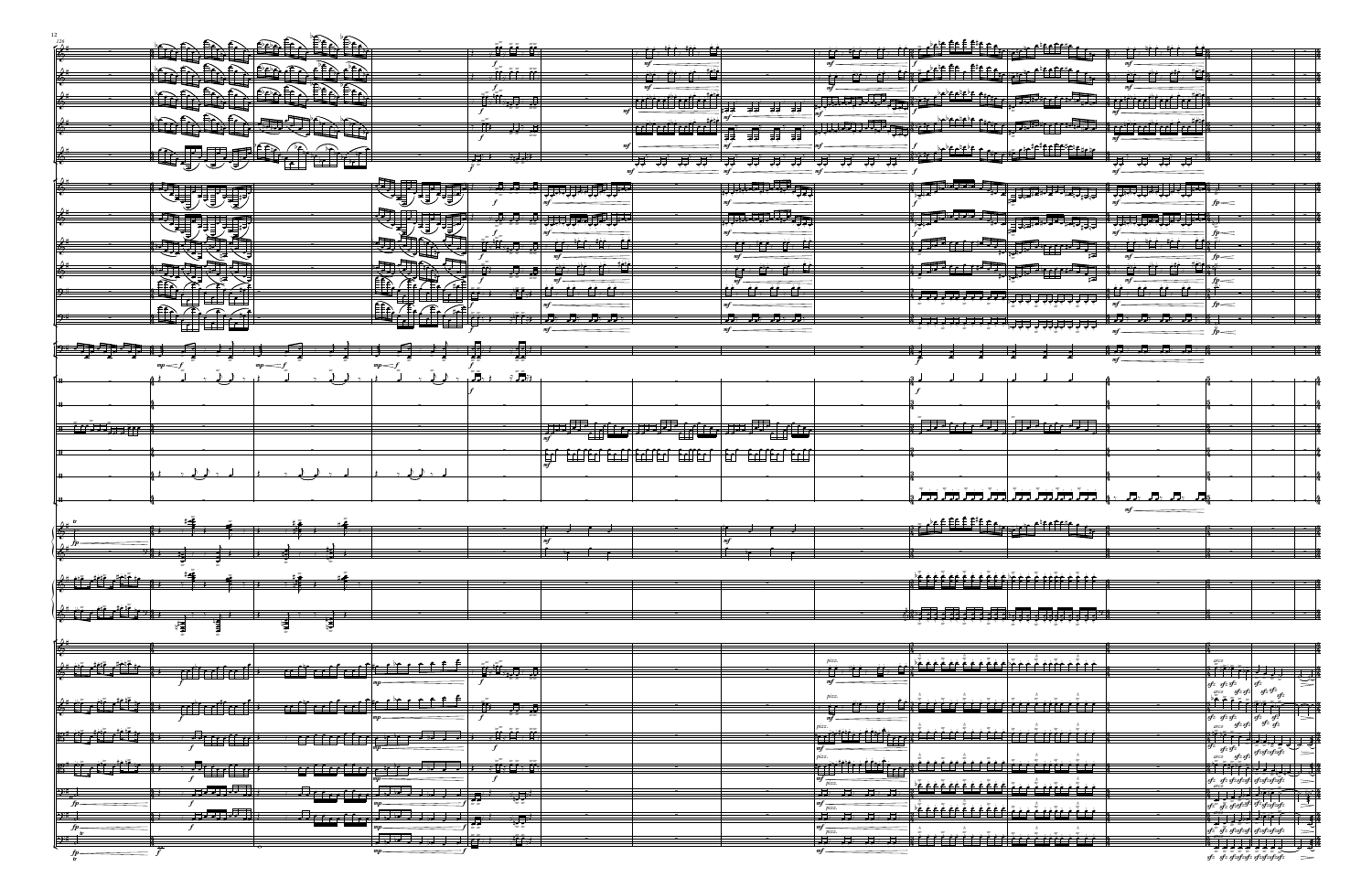|                                                                      |                                                                   | a a a a a a a                                                                                                                                                                                                                                                                                                                                                                                                                                             | <u>, ř. čí, ř.</u>                                                                                                                                                                                                                                                                                                                                                                                                                                                                      |                                                                                                                                         |                                                                                     |                                                                             |                                    |                                                                                                                                                                                                                                                                                                                                                                                                                                                          |                                                                                                               |                                                                                                                                                                                                                                                                                                                                                                                                                         |
|----------------------------------------------------------------------|-------------------------------------------------------------------|-----------------------------------------------------------------------------------------------------------------------------------------------------------------------------------------------------------------------------------------------------------------------------------------------------------------------------------------------------------------------------------------------------------------------------------------------------------|-----------------------------------------------------------------------------------------------------------------------------------------------------------------------------------------------------------------------------------------------------------------------------------------------------------------------------------------------------------------------------------------------------------------------------------------------------------------------------------------|-----------------------------------------------------------------------------------------------------------------------------------------|-------------------------------------------------------------------------------------|-----------------------------------------------------------------------------|------------------------------------|----------------------------------------------------------------------------------------------------------------------------------------------------------------------------------------------------------------------------------------------------------------------------------------------------------------------------------------------------------------------------------------------------------------------------------------------------------|---------------------------------------------------------------------------------------------------------------|-------------------------------------------------------------------------------------------------------------------------------------------------------------------------------------------------------------------------------------------------------------------------------------------------------------------------------------------------------------------------------------------------------------------------|
|                                                                      |                                                                   |                                                                                                                                                                                                                                                                                                                                                                                                                                                           |                                                                                                                                                                                                                                                                                                                                                                                                                                                                                         |                                                                                                                                         |                                                                                     | $\sim$ cessices from                                                        |                                    |                                                                                                                                                                                                                                                                                                                                                                                                                                                          |                                                                                                               |                                                                                                                                                                                                                                                                                                                                                                                                                         |
|                                                                      |                                                                   |                                                                                                                                                                                                                                                                                                                                                                                                                                                           | $\frac{f_{\rm s}}{\sqrt{2\pi}}$                                                                                                                                                                                                                                                                                                                                                                                                                                                         |                                                                                                                                         | بلغات<br><u>- er er er </u>                                                         |                                                                             | <u> امریکا میتا میتار است</u>      | ا میں انگل <sup>ائی</sup> استعمال                                                                                                                                                                                                                                                                                                                                                                                                                        | للغاث                                                                                                         |                                                                                                                                                                                                                                                                                                                                                                                                                         |
|                                                                      |                                                                   | <b>TARA</b>                                                                                                                                                                                                                                                                                                                                                                                                                                               |                                                                                                                                                                                                                                                                                                                                                                                                                                                                                         |                                                                                                                                         | $mf -$<br>e e <sup>pp</sup> e e <sup>pp</sup> e ef <sup>f</sup> e e <sup>ppe</sup>  | $\overline{\phantom{a}}$                                                    | bobe obebe expert                  |                                                                                                                                                                                                                                                                                                                                                                                                                                                          | أأموم فموم فطعوم فطومو                                                                                        |                                                                                                                                                                                                                                                                                                                                                                                                                         |
|                                                                      |                                                                   |                                                                                                                                                                                                                                                                                                                                                                                                                                                           |                                                                                                                                                                                                                                                                                                                                                                                                                                                                                         |                                                                                                                                         | <u>न्द्रं मुंग्रे</u>                                                               |                                                                             |                                    | <b>Title of City and</b>                                                                                                                                                                                                                                                                                                                                                                                                                                 |                                                                                                               |                                                                                                                                                                                                                                                                                                                                                                                                                         |
|                                                                      |                                                                   |                                                                                                                                                                                                                                                                                                                                                                                                                                                           | $\frac{1}{\sqrt{2}}$<br>$\frac{1}{2}$                                                                                                                                                                                                                                                                                                                                                                                                                                                   |                                                                                                                                         |                                                                                     |                                                                             |                                    | <u> Turker van d</u>                                                                                                                                                                                                                                                                                                                                                                                                                                     | <sup>نه:</sup> ۱۰ زمین خواه خواهیم ا                                                                          |                                                                                                                                                                                                                                                                                                                                                                                                                         |
|                                                                      |                                                                   |                                                                                                                                                                                                                                                                                                                                                                                                                                                           |                                                                                                                                                                                                                                                                                                                                                                                                                                                                                         |                                                                                                                                         |                                                                                     |                                                                             |                                    |                                                                                                                                                                                                                                                                                                                                                                                                                                                          |                                                                                                               |                                                                                                                                                                                                                                                                                                                                                                                                                         |
|                                                                      |                                                                   | CJUF <sup>RAA</sup>                                                                                                                                                                                                                                                                                                                                                                                                                                       | $\partial_{\mu}$ , $\partial_{\nu}$<br>$\blacksquare$                                                                                                                                                                                                                                                                                                                                                                                                                                   |                                                                                                                                         | न्द्र न्दर्<br>尹<br>₹                                                               |                                                                             |                                    | <u>Erechtelse Cerechte (1995) er frager er en </u>                                                                                                                                                                                                                                                                                                                                                                                                       | चर्<br>्रद्                                                                                                   |                                                                                                                                                                                                                                                                                                                                                                                                                         |
|                                                                      |                                                                   |                                                                                                                                                                                                                                                                                                                                                                                                                                                           |                                                                                                                                                                                                                                                                                                                                                                                                                                                                                         |                                                                                                                                         |                                                                                     |                                                                             |                                    |                                                                                                                                                                                                                                                                                                                                                                                                                                                          |                                                                                                               |                                                                                                                                                                                                                                                                                                                                                                                                                         |
|                                                                      |                                                                   |                                                                                                                                                                                                                                                                                                                                                                                                                                                           | $\mathbb{Z}$ , $\mathbb{Z}$                                                                                                                                                                                                                                                                                                                                                                                                                                                             | $\frac{1}{2}$ , $\frac{1}{2}$ , $\frac{1}{2}$ , $\frac{1}{2}$ , $\frac{1}{2}$ , $\frac{1}{2}$ , $\frac{1}{2}$                           | $\sqrt{2}$                                                                          |                                                                             |                                    | <b>The Control of the Second Property</b>                                                                                                                                                                                                                                                                                                                                                                                                                | $\frac{1}{2}$ , $\frac{1}{2}$ , $\frac{1}{2}$ , $\frac{1}{2}$ , $\frac{1}{2}$ , $\frac{1}{2}$ , $\frac{1}{2}$ |                                                                                                                                                                                                                                                                                                                                                                                                                         |
|                                                                      | 3.7.7.7                                                           |                                                                                                                                                                                                                                                                                                                                                                                                                                                           |                                                                                                                                                                                                                                                                                                                                                                                                                                                                                         |                                                                                                                                         |                                                                                     |                                                                             |                                    |                                                                                                                                                                                                                                                                                                                                                                                                                                                          |                                                                                                               | $f_p$ —                                                                                                                                                                                                                                                                                                                                                                                                                 |
|                                                                      |                                                                   |                                                                                                                                                                                                                                                                                                                                                                                                                                                           | <b>RIVER</b>                                                                                                                                                                                                                                                                                                                                                                                                                                                                            | $\rightarrow$ By $\Box$ $\rightarrow$ $\Box$ $\rightarrow$ $\Box$ $\rightarrow$ $\Box$ $\rightarrow$                                    | $\overline{L}$ , $\overline{L}$ , $\overline{L}$ , $\overline{L}$ , $\overline{L}$  |                                                                             | $\frac{1}{2}$                      | $\frac{1}{\sqrt{1-\frac{1}{2}}\sqrt{\frac{1}{2}}\sqrt{\frac{1}{2}}\sqrt{\frac{1}{2}}\sqrt{\frac{1}{2}}\sqrt{\frac{1}{2}}\sqrt{\frac{1}{2}}\sqrt{\frac{1}{2}}\sqrt{\frac{1}{2}}\sqrt{\frac{1}{2}}\sqrt{\frac{1}{2}}\sqrt{\frac{1}{2}}\sqrt{\frac{1}{2}}\sqrt{\frac{1}{2}}\sqrt{\frac{1}{2}}\sqrt{\frac{1}{2}}\sqrt{\frac{1}{2}}\sqrt{\frac{1}{2}}\sqrt{\frac{1}{2}}\sqrt{\frac{1}{2}}\sqrt{\frac{1}{2}}\sqrt{\frac{1}{2}}\sqrt{\frac{1}{2}}\sqrt{\frac{1$ | $\overline{\phantom{a}}$ , $\overline{\phantom{a}}$ , $\overline{\phantom{a}}$                                |                                                                                                                                                                                                                                                                                                                                                                                                                         |
|                                                                      |                                                                   |                                                                                                                                                                                                                                                                                                                                                                                                                                                           | $\mathbf{F}^{\mathbf{G}}$                                                                                                                                                                                                                                                                                                                                                                                                                                                               |                                                                                                                                         | <u> 11 ⁄ اسم</u>                                                                    |                                                                             |                                    |                                                                                                                                                                                                                                                                                                                                                                                                                                                          |                                                                                                               | fp—                                                                                                                                                                                                                                                                                                                                                                                                                     |
|                                                                      |                                                                   |                                                                                                                                                                                                                                                                                                                                                                                                                                                           |                                                                                                                                                                                                                                                                                                                                                                                                                                                                                         |                                                                                                                                         |                                                                                     |                                                                             |                                    | $\sqrt{2\pi\sqrt{2\pi}}$                                                                                                                                                                                                                                                                                                                                                                                                                                 |                                                                                                               |                                                                                                                                                                                                                                                                                                                                                                                                                         |
|                                                                      |                                                                   |                                                                                                                                                                                                                                                                                                                                                                                                                                                           |                                                                                                                                                                                                                                                                                                                                                                                                                                                                                         | $\frac{1}{\sqrt{2}}$ , $\frac{1}{\sqrt{2}}$ , $\frac{1}{\sqrt{2}}$ , $\frac{1}{\sqrt{2}}$ , $\frac{1}{\sqrt{2}}$ , $\frac{1}{\sqrt{2}}$ | $\gamma$ is the state of $\gamma$ is the state of $\gamma$ is the state of $\gamma$ |                                                                             |                                    |                                                                                                                                                                                                                                                                                                                                                                                                                                                          | <u>erer e</u> r er                                                                                            |                                                                                                                                                                                                                                                                                                                                                                                                                         |
|                                                                      |                                                                   |                                                                                                                                                                                                                                                                                                                                                                                                                                                           | $\frac{1}{\sqrt{\frac{1}{2}}}}$<br>$\frac{1}{2}$ $\frac{1}{2}$ $\frac{1}{2}$ $\frac{1}{2}$ $\frac{1}{2}$ $\frac{1}{2}$ $\frac{1}{2}$ $\frac{1}{2}$                                                                                                                                                                                                                                                                                                                                      |                                                                                                                                         |                                                                                     |                                                                             |                                    |                                                                                                                                                                                                                                                                                                                                                                                                                                                          |                                                                                                               | fp—                                                                                                                                                                                                                                                                                                                                                                                                                     |
|                                                                      | 宝<br>$\overline{\mathcal{L}}$                                     |                                                                                                                                                                                                                                                                                                                                                                                                                                                           |                                                                                                                                                                                                                                                                                                                                                                                                                                                                                         |                                                                                                                                         |                                                                                     |                                                                             |                                    | )すすす <i>す すすすす すす すす</i>                                                                                                                                                                                                                                                                                                                                                                                                                                 |                                                                                                               | $f_p$ $\equiv$                                                                                                                                                                                                                                                                                                                                                                                                          |
|                                                                      |                                                                   |                                                                                                                                                                                                                                                                                                                                                                                                                                                           | $\mathscr{H}$                                                                                                                                                                                                                                                                                                                                                                                                                                                                           |                                                                                                                                         |                                                                                     |                                                                             |                                    | <u>ىن ئىن ئىن ئىن بىن ئىن ئىن ئ</u>                                                                                                                                                                                                                                                                                                                                                                                                                      |                                                                                                               |                                                                                                                                                                                                                                                                                                                                                                                                                         |
|                                                                      |                                                                   |                                                                                                                                                                                                                                                                                                                                                                                                                                                           |                                                                                                                                                                                                                                                                                                                                                                                                                                                                                         |                                                                                                                                         |                                                                                     |                                                                             |                                    |                                                                                                                                                                                                                                                                                                                                                                                                                                                          |                                                                                                               |                                                                                                                                                                                                                                                                                                                                                                                                                         |
|                                                                      |                                                                   |                                                                                                                                                                                                                                                                                                                                                                                                                                                           | $\frac{1}{\sqrt{\frac{1}{2}}}\frac{1}{\sqrt{\frac{1}{2}}}\frac{1}{\sqrt{\frac{1}{2}}}\frac{1}{\sqrt{\frac{1}{2}}}\frac{1}{\sqrt{\frac{1}{2}}}\frac{1}{\sqrt{\frac{1}{2}}}\frac{1}{\sqrt{\frac{1}{2}}}\frac{1}{\sqrt{\frac{1}{2}}}\frac{1}{\sqrt{\frac{1}{2}}}\frac{1}{\sqrt{\frac{1}{2}}}\frac{1}{\sqrt{\frac{1}{2}}}\frac{1}{\sqrt{\frac{1}{2}}}\frac{1}{\sqrt{\frac{1}{2}}}\frac{1}{\sqrt{\frac{1}{2}}}\frac{1}{\sqrt{\frac{1}{2}}}\frac{1}{\sqrt{\frac{$<br><del>ਕ 7   447 } .</del> |                                                                                                                                         |                                                                                     |                                                                             |                                    |                                                                                                                                                                                                                                                                                                                                                                                                                                                          |                                                                                                               |                                                                                                                                                                                                                                                                                                                                                                                                                         |
|                                                                      | $mp \leq f$                                                       |                                                                                                                                                                                                                                                                                                                                                                                                                                                           |                                                                                                                                                                                                                                                                                                                                                                                                                                                                                         |                                                                                                                                         |                                                                                     |                                                                             |                                    |                                                                                                                                                                                                                                                                                                                                                                                                                                                          |                                                                                                               |                                                                                                                                                                                                                                                                                                                                                                                                                         |
|                                                                      |                                                                   |                                                                                                                                                                                                                                                                                                                                                                                                                                                           |                                                                                                                                                                                                                                                                                                                                                                                                                                                                                         |                                                                                                                                         |                                                                                     |                                                                             |                                    |                                                                                                                                                                                                                                                                                                                                                                                                                                                          |                                                                                                               |                                                                                                                                                                                                                                                                                                                                                                                                                         |
|                                                                      |                                                                   |                                                                                                                                                                                                                                                                                                                                                                                                                                                           |                                                                                                                                                                                                                                                                                                                                                                                                                                                                                         |                                                                                                                                         |                                                                                     |                                                                             |                                    |                                                                                                                                                                                                                                                                                                                                                                                                                                                          |                                                                                                               |                                                                                                                                                                                                                                                                                                                                                                                                                         |
|                                                                      |                                                                   |                                                                                                                                                                                                                                                                                                                                                                                                                                                           |                                                                                                                                                                                                                                                                                                                                                                                                                                                                                         |                                                                                                                                         |                                                                                     |                                                                             |                                    |                                                                                                                                                                                                                                                                                                                                                                                                                                                          |                                                                                                               |                                                                                                                                                                                                                                                                                                                                                                                                                         |
| eriting                                                              |                                                                   |                                                                                                                                                                                                                                                                                                                                                                                                                                                           |                                                                                                                                                                                                                                                                                                                                                                                                                                                                                         |                                                                                                                                         | $\varpi \varpi_{\mathcal{M}}$                                                       |                                                                             |                                    |                                                                                                                                                                                                                                                                                                                                                                                                                                                          |                                                                                                               |                                                                                                                                                                                                                                                                                                                                                                                                                         |
|                                                                      |                                                                   |                                                                                                                                                                                                                                                                                                                                                                                                                                                           |                                                                                                                                                                                                                                                                                                                                                                                                                                                                                         |                                                                                                                                         | <u>  Egi Egili Egi Egili Egili Egi Egili Egi Egili Egili Egili</u>                  |                                                                             |                                    |                                                                                                                                                                                                                                                                                                                                                                                                                                                          |                                                                                                               |                                                                                                                                                                                                                                                                                                                                                                                                                         |
|                                                                      | $\frac{1}{2}$                                                     |                                                                                                                                                                                                                                                                                                                                                                                                                                                           | $x + y$                                                                                                                                                                                                                                                                                                                                                                                                                                                                                 |                                                                                                                                         |                                                                                     |                                                                             |                                    |                                                                                                                                                                                                                                                                                                                                                                                                                                                          |                                                                                                               |                                                                                                                                                                                                                                                                                                                                                                                                                         |
|                                                                      |                                                                   |                                                                                                                                                                                                                                                                                                                                                                                                                                                           |                                                                                                                                                                                                                                                                                                                                                                                                                                                                                         |                                                                                                                                         |                                                                                     |                                                                             |                                    |                                                                                                                                                                                                                                                                                                                                                                                                                                                          |                                                                                                               |                                                                                                                                                                                                                                                                                                                                                                                                                         |
|                                                                      |                                                                   |                                                                                                                                                                                                                                                                                                                                                                                                                                                           |                                                                                                                                                                                                                                                                                                                                                                                                                                                                                         |                                                                                                                                         |                                                                                     |                                                                             |                                    | 用用用用用用用用                                                                                                                                                                                                                                                                                                                                                                                                                                                 | $\blacksquare$<br>F.,<br>$\blacksquare$                                                                       |                                                                                                                                                                                                                                                                                                                                                                                                                         |
|                                                                      |                                                                   |                                                                                                                                                                                                                                                                                                                                                                                                                                                           |                                                                                                                                                                                                                                                                                                                                                                                                                                                                                         |                                                                                                                                         |                                                                                     |                                                                             |                                    |                                                                                                                                                                                                                                                                                                                                                                                                                                                          |                                                                                                               |                                                                                                                                                                                                                                                                                                                                                                                                                         |
|                                                                      |                                                                   |                                                                                                                                                                                                                                                                                                                                                                                                                                                           |                                                                                                                                                                                                                                                                                                                                                                                                                                                                                         |                                                                                                                                         |                                                                                     |                                                                             |                                    |                                                                                                                                                                                                                                                                                                                                                                                                                                                          |                                                                                                               |                                                                                                                                                                                                                                                                                                                                                                                                                         |
| $\ell$                                                               | $\mathbf{t}$ , $\mathbf{t}$                                       | $\mathbf{1}$                                                                                                                                                                                                                                                                                                                                                                                                                                              |                                                                                                                                                                                                                                                                                                                                                                                                                                                                                         |                                                                                                                                         |                                                                                     |                                                                             |                                    |                                                                                                                                                                                                                                                                                                                                                                                                                                                          |                                                                                                               |                                                                                                                                                                                                                                                                                                                                                                                                                         |
|                                                                      |                                                                   |                                                                                                                                                                                                                                                                                                                                                                                                                                                           |                                                                                                                                                                                                                                                                                                                                                                                                                                                                                         |                                                                                                                                         |                                                                                     |                                                                             |                                    |                                                                                                                                                                                                                                                                                                                                                                                                                                                          |                                                                                                               |                                                                                                                                                                                                                                                                                                                                                                                                                         |
|                                                                      |                                                                   |                                                                                                                                                                                                                                                                                                                                                                                                                                                           |                                                                                                                                                                                                                                                                                                                                                                                                                                                                                         |                                                                                                                                         |                                                                                     |                                                                             |                                    |                                                                                                                                                                                                                                                                                                                                                                                                                                                          |                                                                                                               |                                                                                                                                                                                                                                                                                                                                                                                                                         |
|                                                                      |                                                                   |                                                                                                                                                                                                                                                                                                                                                                                                                                                           |                                                                                                                                                                                                                                                                                                                                                                                                                                                                                         |                                                                                                                                         |                                                                                     |                                                                             |                                    |                                                                                                                                                                                                                                                                                                                                                                                                                                                          |                                                                                                               |                                                                                                                                                                                                                                                                                                                                                                                                                         |
|                                                                      | $\overline{X}$ $\overline{Y}$                                     |                                                                                                                                                                                                                                                                                                                                                                                                                                                           |                                                                                                                                                                                                                                                                                                                                                                                                                                                                                         |                                                                                                                                         |                                                                                     |                                                                             |                                    | #短盘盘盘 再用用用                                                                                                                                                                                                                                                                                                                                                                                                                                               |                                                                                                               |                                                                                                                                                                                                                                                                                                                                                                                                                         |
|                                                                      | 帽                                                                 |                                                                                                                                                                                                                                                                                                                                                                                                                                                           |                                                                                                                                                                                                                                                                                                                                                                                                                                                                                         |                                                                                                                                         |                                                                                     |                                                                             |                                    |                                                                                                                                                                                                                                                                                                                                                                                                                                                          |                                                                                                               |                                                                                                                                                                                                                                                                                                                                                                                                                         |
| <u>is</u>                                                            |                                                                   |                                                                                                                                                                                                                                                                                                                                                                                                                                                           |                                                                                                                                                                                                                                                                                                                                                                                                                                                                                         |                                                                                                                                         |                                                                                     |                                                                             |                                    |                                                                                                                                                                                                                                                                                                                                                                                                                                                          |                                                                                                               |                                                                                                                                                                                                                                                                                                                                                                                                                         |
| <u> 21 15 115 115 1</u>                                              | المناعبات أندا                                                    | <u>ئے ان م</u><br>- 11                                                                                                                                                                                                                                                                                                                                                                                                                                    | <u>efker er er e f</u><br>$\frac{1}{2}$                                                                                                                                                                                                                                                                                                                                                                                                                                                 |                                                                                                                                         |                                                                                     | pizz.<br><del>, 같 , 한 , 같 ,</del> 같 , 같                                     |                                    |                                                                                                                                                                                                                                                                                                                                                                                                                                                          |                                                                                                               | arco<br>$\left\{ \left( \left  \mathbf{r} \right  \right) \in \mathbb{R}^d \right\}$                                                                                                                                                                                                                                                                                                                                    |
|                                                                      |                                                                   |                                                                                                                                                                                                                                                                                                                                                                                                                                                           |                                                                                                                                                                                                                                                                                                                                                                                                                                                                                         |                                                                                                                                         |                                                                                     |                                                                             |                                    |                                                                                                                                                                                                                                                                                                                                                                                                                                                          |                                                                                                               |                                                                                                                                                                                                                                                                                                                                                                                                                         |
|                                                                      | ee <sup>be</sup> ee <sup>ss</sup> ee                              | مغانهم والمومود والمستور                                                                                                                                                                                                                                                                                                                                                                                                                                  | $\overline{P}$<br>$\gamma$ in                                                                                                                                                                                                                                                                                                                                                                                                                                                           |                                                                                                                                         |                                                                                     |                                                                             |                                    |                                                                                                                                                                                                                                                                                                                                                                                                                                                          |                                                                                                               | $\begin{array}{ c c c c }\hline &\text{ $g_2$ $g_2$} &\text{ $g_3$} &\text{ $g_4$} &\text{ $g_5$} &\text{ $g_6$} \\ \hline &\text{ $g_{00}$} &\text{ $g_2$} &\text{ $g_2$} &\text{ $g_2$} &\text{ $g_3$} \\ \hline &\text{ $g_4$} &\text{ $g_4$} &\text{ $g_5$} &\text{ $g_6$} &\text{ $g_6$} &\text{ $g_7$} \\ \hline \end{array}$                                                                                     |
|                                                                      |                                                                   |                                                                                                                                                                                                                                                                                                                                                                                                                                                           |                                                                                                                                                                                                                                                                                                                                                                                                                                                                                         |                                                                                                                                         |                                                                                     |                                                                             |                                    |                                                                                                                                                                                                                                                                                                                                                                                                                                                          |                                                                                                               |                                                                                                                                                                                                                                                                                                                                                                                                                         |
|                                                                      | r de techt eel                                                    | $\rightarrow$ eeffeef feel a sere e d sadd                                                                                                                                                                                                                                                                                                                                                                                                                | <u> Fírin</u>                                                                                                                                                                                                                                                                                                                                                                                                                                                                           |                                                                                                                                         |                                                                                     | <u>recording a filter con</u>                                               | وفقه فقه فقد فقدا أفقه أقلاقها فقد |                                                                                                                                                                                                                                                                                                                                                                                                                                                          |                                                                                                               |                                                                                                                                                                                                                                                                                                                                                                                                                         |
|                                                                      | === ===                                                           |                                                                                                                                                                                                                                                                                                                                                                                                                                                           |                                                                                                                                                                                                                                                                                                                                                                                                                                                                                         |                                                                                                                                         |                                                                                     |                                                                             |                                    |                                                                                                                                                                                                                                                                                                                                                                                                                                                          |                                                                                                               | $\begin{array}{ c c c c c c } \hline \textbf{4} & \textbf{5} & \textbf{6} & \textbf{8} & \textbf{9} & \textbf{1} & \textbf{1} & \textbf{1} & \textbf{1} & \textbf{1} & \textbf{1} & \textbf{1} & \textbf{1} & \textbf{1} & \textbf{1} & \textbf{1} & \textbf{1} & \textbf{1} & \textbf{1} & \textbf{1} & \textbf{1} & \textbf{1} & \textbf{1} & \textbf{1} & \textbf{1} & \textbf{1} & \textbf{1} & \textbf{1} & \text$ |
| $\left \mathbb{B}^*\right _2^*$ , if $\left \mathbb{B}^*\right _2^*$ | $\overline{\phantom{a}}$ . For the state $\overline{\phantom{a}}$ |                                                                                                                                                                                                                                                                                                                                                                                                                                                           | $\frac{1}{2}$ eeffect fee a self e a band a $\frac{1}{2}$ $\frac{1}{2}$ $\frac{1}{2}$ $\frac{1}{2}$                                                                                                                                                                                                                                                                                                                                                                                     |                                                                                                                                         |                                                                                     | <u>keesstele e Chief e e e</u>                                              |                                    | <u>I CONCO CON CON EXITENTE EXI</u>                                                                                                                                                                                                                                                                                                                                                                                                                      |                                                                                                               |                                                                                                                                                                                                                                                                                                                                                                                                                         |
|                                                                      | $\mathbf{f}$                                                      |                                                                                                                                                                                                                                                                                                                                                                                                                                                           |                                                                                                                                                                                                                                                                                                                                                                                                                                                                                         |                                                                                                                                         |                                                                                     | pizz.                                                                       |                                    | <u>, 11111111111111111111111111</u>                                                                                                                                                                                                                                                                                                                                                                                                                      |                                                                                                               |                                                                                                                                                                                                                                                                                                                                                                                                                         |
| $ 2^*$ ,<br>fp-                                                      | $\leftarrow$                                                      |                                                                                                                                                                                                                                                                                                                                                                                                                                                           | <del>ा परिस्स्त स्</del> त्रीका को प्रोफोर परिवार समिति हो। स्त्री स्थान स्थान स्थान स्थान स्थान स्थान स्थान स्थान स्थान स                                                                                                                                                                                                                                                                                                                                                              |                                                                                                                                         |                                                                                     | - カ・カ・カ・<br>$\frac{m f}{m}$                                                 |                                    |                                                                                                                                                                                                                                                                                                                                                                                                                                                          |                                                                                                               |                                                                                                                                                                                                                                                                                                                                                                                                                         |
| $2^*$ .                                                              | 万万万万                                                              | $\frac{1}{\sqrt{2}}\left[\frac{1}{\sqrt{2}}\left(\frac{1}{\sqrt{2}}\right)^2-\frac{1}{\sqrt{2}}\left(\frac{1}{\sqrt{2}}\right)^2-\frac{1}{\sqrt{2}}\left(\frac{1}{\sqrt{2}}\right)^2-\frac{1}{\sqrt{2}}\left(\frac{1}{\sqrt{2}}\right)^2-\frac{1}{\sqrt{2}}\left(\frac{1}{\sqrt{2}}\right)^2-\frac{1}{\sqrt{2}}\left(\frac{1}{\sqrt{2}}\right)^2-\frac{1}{\sqrt{2}}\left(\frac{1}{\sqrt{2}}\right)^2-\frac{1}{\sqrt{2}}\left(\frac{1}{\sqrt{2}}\right)^2$ | $\blacksquare$<br>ブルフォ                                                                                                                                                                                                                                                                                                                                                                                                                                                                  |                                                                                                                                         |                                                                                     | pizz.<br>$\overline{J}$<br>アカラ                                              |                                    | <u>اَخْفَهُ خَفَهُ خَفَهُ خَفَهُ أَخَذَهُ خَفَيْفَهُ * خَفَفَ</u>                                                                                                                                                                                                                                                                                                                                                                                        |                                                                                                               |                                                                                                                                                                                                                                                                                                                                                                                                                         |
| $f\!p$<br>$-$ fr                                                     |                                                                   |                                                                                                                                                                                                                                                                                                                                                                                                                                                           |                                                                                                                                                                                                                                                                                                                                                                                                                                                                                         |                                                                                                                                         |                                                                                     | $m f \frac{1}{pizz}$<br>▏ <del>Ŋ</del> ŗĸŊŗĸŊŗ <u>ŖŶĿĿĔĿĿĔĔĿĔĔĔĔĔĔĔĔĔĔĔ</u> |                                    |                                                                                                                                                                                                                                                                                                                                                                                                                                                          |                                                                                                               | $\frac{1}{4}$<br>$\frac{1}{3}$<br>$\frac{1}{3}$<br>$\frac{1}{3}$<br>$\frac{1}{3}$<br>$\frac{1}{3}$<br>$\frac{1}{3}$<br>$\frac{1}{3}$<br>$\frac{1}{3}$<br>$\frac{1}{3}$<br>$\frac{1}{3}$<br>$\frac{1}{3}$<br>$\frac{1}{3}$<br>$\frac{1}{3}$<br>$\frac{1}{3}$<br>$\frac{1}{3}$<br>$\frac{1}{3}$<br>$\frac{1}{3}$<br>$\frac{1}{3}$<br>$\frac{1}{3}$<br>$\frac{1}{3}$<br>$\frac{1}{3}$<br>                                  |
| $2 + 1$                                                              |                                                                   |                                                                                                                                                                                                                                                                                                                                                                                                                                                           | $\frac{1}{2}$ $\frac{1}{2}$ $\frac{1}{2}$ $\frac{1}{2}$ $\frac{1}{2}$ $\frac{1}{2}$ $\frac{1}{2}$ $\frac{1}{2}$ $\frac{1}{2}$ $\frac{1}{2}$ $\frac{1}{2}$ $\frac{1}{2}$ $\frac{1}{2}$ $\frac{1}{2}$ $\frac{1}{2}$ $\frac{1}{2}$ $\frac{1}{2}$ $\frac{1}{2}$ $\frac{1}{2}$ $\frac{1}{2}$ $\frac{1}{2}$ $\frac{1}{2}$                                                                                                                                                                     |                                                                                                                                         |                                                                                     |                                                                             |                                    |                                                                                                                                                                                                                                                                                                                                                                                                                                                          |                                                                                                               | $\left[\begin{array}{c c} \text{arc} & \text{ } \\ \text{arc} & \text{ } \\ \text{arc} & \text{ } \\ \end{array}\right]$<br><del>*********</del><br>$s^2$ $s^2$ $s^2$ $s^2$ $s^2$ $s^2$ $s^2$ $s^2$ $s^2$ $s^2$ $s^2$ $s^2$ $s^2$ $s^2$ $s^2$ $s^2$ $s^2$ $s^2$ $s^2$ $s^2$ $s^2$ $s^2$ $s^2$ $s^2$ $s^2$ $s^2$ $s^2$ $s^2$ $s^2$ $s^2$ $s^2$ $s^2$ $s^2$ $s^2$ $s^2$ $s^2$ $s^2$                                       |
|                                                                      |                                                                   |                                                                                                                                                                                                                                                                                                                                                                                                                                                           |                                                                                                                                                                                                                                                                                                                                                                                                                                                                                         |                                                                                                                                         |                                                                                     |                                                                             |                                    |                                                                                                                                                                                                                                                                                                                                                                                                                                                          |                                                                                                               |                                                                                                                                                                                                                                                                                                                                                                                                                         |